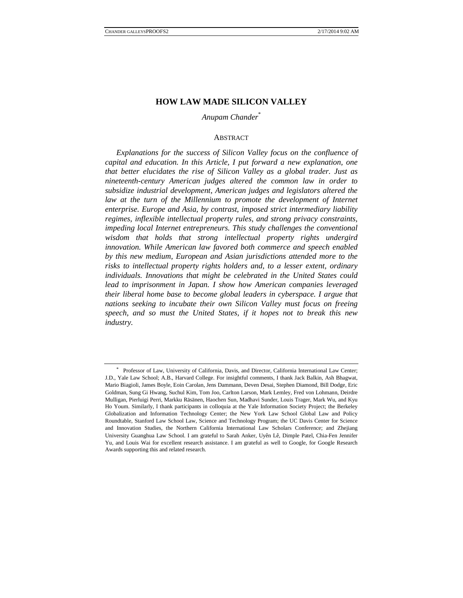# **HOW LAW MADE SILICON VALLEY**

# *Anupam Chander*\*

#### **ABSTRACT**

*Explanations for the success of Silicon Valley focus on the confluence of capital and education. In this Article, I put forward a new explanation, one that better elucidates the rise of Silicon Valley as a global trader. Just as nineteenth-century American judges altered the common law in order to subsidize industrial development, American judges and legislators altered the*  law at the turn of the Millennium to promote the development of Internet *enterprise. Europe and Asia, by contrast, imposed strict intermediary liability regimes, inflexible intellectual property rules, and strong privacy constraints, impeding local Internet entrepreneurs. This study challenges the conventional wisdom that holds that strong intellectual property rights undergird innovation. While American law favored both commerce and speech enabled by this new medium, European and Asian jurisdictions attended more to the risks to intellectual property rights holders and, to a lesser extent, ordinary individuals. Innovations that might be celebrated in the United States could lead to imprisonment in Japan. I show how American companies leveraged their liberal home base to become global leaders in cyberspace. I argue that nations seeking to incubate their own Silicon Valley must focus on freeing speech, and so must the United States, if it hopes not to break this new industry.*

<sup>\*</sup> Professor of Law, University of California, Davis, and Director, California International Law Center; J.D., Yale Law School; A.B., Harvard College. For insightful comments, I thank Jack Balkin, Ash Bhagwat, Mario Biagioli, James Boyle, Eoin Carolan, Jens Dammann, Deven Desai, Stephen Diamond, Bill Dodge, Eric Goldman, Sung Gi Hwang, Suchul Kim, Tom Joo, Carlton Larson, Mark Lemley, Fred von Lohmann, Deirdre Mulligan, Pierluigi Perri, Markku Räsänen, Haochen Sun, Madhavi Sunder, Louis Trager, Mark Wu, and Kyu Ho Youm. Similarly, I thank participants in colloquia at the Yale Information Society Project; the Berkeley Globalization and Information Technology Center; the New York Law School Global Law and Policy Roundtable, Stanford Law School Law, Science and Technology Program; the UC Davis Center for Science and Innovation Studies, the Northern California International Law Scholars Conference; and Zhejiang University Guanghua Law School. I am grateful to Sarah Anker, Uyên Lê, Dimple Patel, Chia-Fen Jennifer Yu, and Louis Wai for excellent research assistance. I am grateful as well to Google, for Google Research Awards supporting this and related research.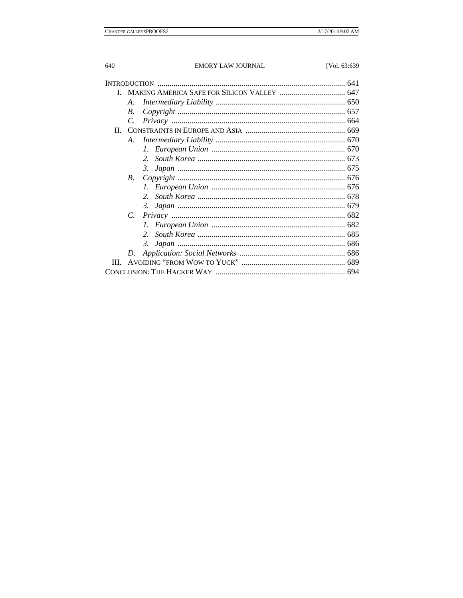| <b>INTRODUCTION</b> |             |    |  |
|---------------------|-------------|----|--|
|                     |             |    |  |
|                     | A.          |    |  |
|                     | $B_{\cdot}$ |    |  |
|                     | C.          |    |  |
|                     |             |    |  |
|                     | A.          |    |  |
|                     |             |    |  |
|                     |             | 2. |  |
|                     |             |    |  |
|                     | <i>B</i> .  |    |  |
|                     |             |    |  |
|                     |             | 2. |  |
|                     |             |    |  |
|                     | $C_{\cdot}$ |    |  |
|                     |             |    |  |
|                     |             | 2. |  |
|                     |             | 3. |  |
|                     |             |    |  |
| Ш                   |             |    |  |
|                     |             |    |  |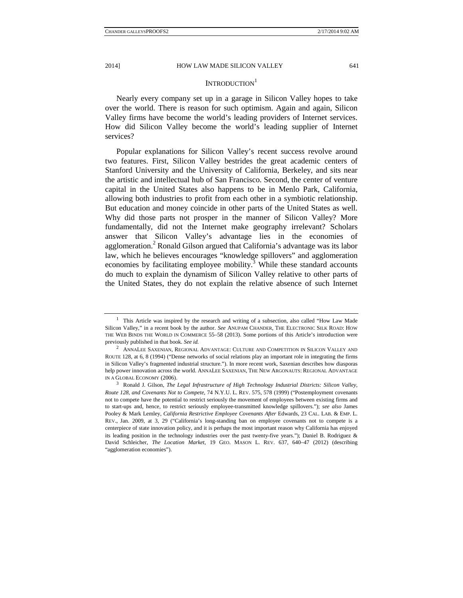## INTRODUCTION<sup>1</sup>

Nearly every company set up in a garage in Silicon Valley hopes to take over the world. There is reason for such optimism. Again and again, Silicon Valley firms have become the world's leading providers of Internet services. How did Silicon Valley become the world's leading supplier of Internet services?

Popular explanations for Silicon Valley's recent success revolve around two features. First, Silicon Valley bestrides the great academic centers of Stanford University and the University of California, Berkeley, and sits near the artistic and intellectual hub of San Francisco. Second, the center of venture capital in the United States also happens to be in Menlo Park, California, allowing both industries to profit from each other in a symbiotic relationship. But education and money coincide in other parts of the United States as well. Why did those parts not prosper in the manner of Silicon Valley? More fundamentally, did not the Internet make geography irrelevant? Scholars answer that Silicon Valley's advantage lies in the economies of agglomeration.<sup>2</sup> Ronald Gilson argued that California's advantage was its labor law, which he believes encourages "knowledge spillovers" and agglomeration economies by facilitating employee mobility. $3$  While these standard accounts do much to explain the dynamism of Silicon Valley relative to other parts of the United States, they do not explain the relative absence of such Internet

<sup>&</sup>lt;sup>1</sup> This Article was inspired by the research and writing of a subsection, also called "How Law Made Silicon Valley," in a recent book by the author. *See* ANUPAM CHANDER, THE ELECTRONIC SILK ROAD: HOW THE WEB BINDS THE WORLD IN COMMERCE 55–58 (2013). Some portions of this Article's introduction were previously published in that book. *See id.* 2

 $^2$  ANNALEE SAXENIAN, REGIONAL ADVANTAGE: CULTURE AND COMPETITION IN SILICON VALLEY AND ROUTE 128, at 6, 8 (1994) ("Dense networks of social relations play an important role in integrating the firms in Silicon Valley's fragmented industrial structure."). In more recent work, Saxenian describes how diasporas help power innovation across the world. ANNALEE SAXENIAN, THE NEW ARGONAUTS: REGIONAL ADVANTAGE IN A GLOBAL ECONOMY (2006).

Ronald J. Gilson, *The Legal Infrastructure of High Technology Industrial Districts: Silicon Valley, Route 128, and Covenants Not to Compete*, 74 N.Y.U. L. REV. 575, 578 (1999) ("Postemployment covenants not to compete have the potential to restrict seriously the movement of employees between existing firms and to start-ups and, hence, to restrict seriously employee-transmitted knowledge spillovers."); *see also* James Pooley & Mark Lemley, *California Restrictive Employee Covenants After* Edwards, 23 CAL. LAB. & EMP. L. REV., Jan. 2009, at 3, 29 ("California's long-standing ban on employee covenants not to compete is a centerpiece of state innovation policy, and it is perhaps the most important reason why California has enjoyed its leading position in the technology industries over the past twenty-five years."); Daniel B. Rodriguez & David Schleicher, *The Location Market*, 19 GEO. MASON L. REV. 637, 640–47 (2012) (describing "agglomeration economies").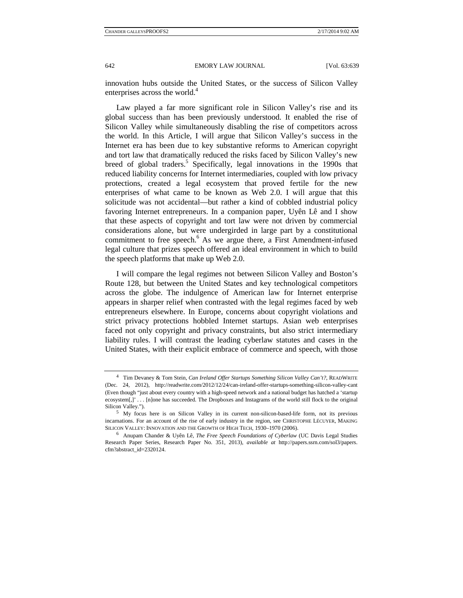innovation hubs outside the United States, or the success of Silicon Valley enterprises across the world.<sup>4</sup>

Law played a far more significant role in Silicon Valley's rise and its global success than has been previously understood. It enabled the rise of Silicon Valley while simultaneously disabling the rise of competitors across the world. In this Article, I will argue that Silicon Valley's success in the Internet era has been due to key substantive reforms to American copyright and tort law that dramatically reduced the risks faced by Silicon Valley's new breed of global traders.<sup>5</sup> Specifically, legal innovations in the 1990s that reduced liability concerns for Internet intermediaries, coupled with low privacy protections, created a legal ecosystem that proved fertile for the new enterprises of what came to be known as Web 2.0. I will argue that this solicitude was not accidental—but rather a kind of cobbled industrial policy favoring Internet entrepreneurs. In a companion paper, Uyên Lê and I show that these aspects of copyright and tort law were not driven by commercial considerations alone, but were undergirded in large part by a constitutional commitment to free speech.<sup>6</sup> As we argue there, a First Amendment-infused legal culture that prizes speech offered an ideal environment in which to build the speech platforms that make up Web 2.0.

I will compare the legal regimes not between Silicon Valley and Boston's Route 128, but between the United States and key technological competitors across the globe. The indulgence of American law for Internet enterprise appears in sharper relief when contrasted with the legal regimes faced by web entrepreneurs elsewhere. In Europe, concerns about copyright violations and strict privacy protections hobbled Internet startups. Asian web enterprises faced not only copyright and privacy constraints, but also strict intermediary liability rules. I will contrast the leading cyberlaw statutes and cases in the United States, with their explicit embrace of commerce and speech, with those

<sup>4</sup> Tim Devaney & Tom Stein, *Can Ireland Offer Startups Something Silicon Valley Can't?*, READWRITE (Dec. 24, 2012), http://readwrite.com/2012/12/24/can-ireland-offer-startups-something-silicon-valley-cant (Even though "just about every country with a high-speed network and a national budget has hatched a 'startup ecosystem[,]' . . . [n]one has succeeded. The Dropboxes and Instagrams of the world still flock to the original Silicon Valley.").

<sup>&</sup>lt;sup>5</sup> My focus here is on Silicon Valley in its current non-silicon-based-life form, not its previous incarnations. For an account of the rise of early industry in the region, see CHRISTOPHE LÉCUYER, MAKING SILICON VALLEY: INNOVATION AND THE GROWTH OF HIGH TECH, 1930-1970 (2006).

Anupam Chander & Uyên Lê, *The Free Speech Foundations of Cyberlaw* (UC Davis Legal Studies Research Paper Series, Research Paper No. 351, 2013), *available at* http://papers.ssrn.com/sol3/papers. cfm?abstract\_id=2320124.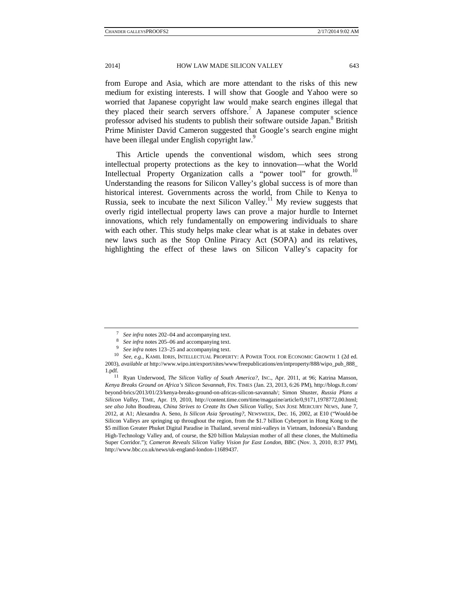from Europe and Asia, which are more attendant to the risks of this new medium for existing interests. I will show that Google and Yahoo were so worried that Japanese copyright law would make search engines illegal that they placed their search servers offshore.<sup>7</sup> A Japanese computer science professor advised his students to publish their software outside Japan.<sup>8</sup> British Prime Minister David Cameron suggested that Google's search engine might have been illegal under English copyright law.<sup>9</sup>

This Article upends the conventional wisdom, which sees strong intellectual property protections as the key to innovation—what the World Intellectual Property Organization calls a "power tool" for growth.<sup>10</sup> Understanding the reasons for Silicon Valley's global success is of more than historical interest. Governments across the world, from Chile to Kenya to Russia, seek to incubate the next Silicon Valley.<sup>11</sup> My review suggests that overly rigid intellectual property laws can prove a major hurdle to Internet innovations, which rely fundamentally on empowering individuals to share with each other. This study helps make clear what is at stake in debates over new laws such as the Stop Online Piracy Act (SOPA) and its relatives, highlighting the effect of these laws on Silicon Valley's capacity for

<sup>&</sup>lt;sup>7</sup> See infra notes 202–04 and accompanying text.<br>
<sup>8</sup> See infra notes 205–06 and accompanying text.<br>
<sup>9</sup> See infra notes 123–25 and accompanying text.<br>
<sup>10</sup> See, e.g., KAMIL IDRIS, INTELLECTUAL PROPERTY: A POWER TOOL FOR 2003), *available at* http://www.wipo.int/export/sites/www/freepublications/en/intproperty/888/wipo\_pub\_888\_

<sup>1.</sup>pdf. 11 Ryan Underwood, *The Silicon Valley of South America?*, INC., Apr. 2011, at 96; Katrina Manson, *Kenya Breaks Ground on Africa's Silicon Savannah*, FIN. TIMES (Jan. 23, 2013, 6:26 PM), http://blogs.ft.com/ beyond-brics/2013/01/23/kenya-breaks-ground-on-africas-silicon-savannah/; Simon Shuster, *Russia Plans a Silicon Valley*, TIME, Apr. 19, 2010, http://content.time.com/time/magazine/article/0,9171,1978772,00.html; *see also* John Boudreau, *China Strives to Create Its Own Silicon Valley*, SAN JOSE MERCURY NEWS, June 7, 2012, at A1; Alexandra A. Seno, *Is Silicon Asia Sprouting?*, NEWSWEEK, Dec. 16, 2002, at E10 ("Would-be Silicon Valleys are springing up throughout the region, from the \$1.7 billion Cyberport in Hong Kong to the \$5 million Greater Phuket Digital Paradise in Thailand, several mini-valleys in Vietnam, Indonesia's Bandung High-Technology Valley and, of course, the \$20 billion Malaysian mother of all these clones, the Multimedia Super Corridor."); *Cameron Reveals Silicon Valley Vision for East London*, BBC (Nov. 3, 2010, 8:37 PM), http://www.bbc.co.uk/news/uk-england-london-11689437.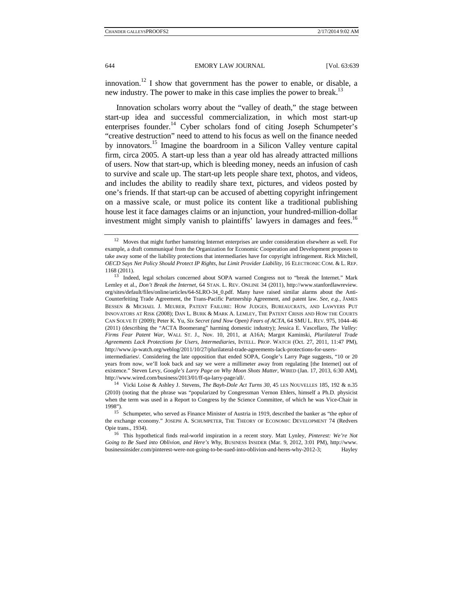innovation.<sup>12</sup> I show that government has the power to enable, or disable, a new industry. The power to make in this case implies the power to break.<sup>13</sup>

Innovation scholars worry about the "valley of death," the stage between start-up idea and successful commercialization, in which most start-up enterprises founder.<sup>14</sup> Cyber scholars fond of citing Joseph Schumpeter's "creative destruction" need to attend to his focus as well on the finance needed by innovators.<sup>15</sup> Imagine the boardroom in a Silicon Valley venture capital firm, circa 2005. A start-up less than a year old has already attracted millions of users. Now that start-up, which is bleeding money, needs an infusion of cash to survive and scale up. The start-up lets people share text, photos, and videos, and includes the ability to readily share text, pictures, and videos posted by one's friends. If that start-up can be accused of abetting copyright infringement on a massive scale, or must police its content like a traditional publishing house lest it face damages claims or an injunction, your hundred-million-dollar investment might simply vanish to plaintiffs' lawyers in damages and fees.<sup>16</sup>

<sup>&</sup>lt;sup>12</sup> Moves that might further hamstring Internet enterprises are under consideration elsewhere as well. For example, a draft communiqué from the Organization for Economic Cooperation and Development proposes to take away some of the liability protections that intermediaries have for copyright infringement. Rick Mitchell*, OECD Says Net Policy Should Protect IP Rights, but Limit Provider Liability*, 16 ELECTRONIC COM. & L. REP.

<sup>1168 (2011). 13</sup> Indeed, legal scholars concerned about SOPA warned Congress not to "break the Internet." Mark Lemley et al., *Don't Break the Internet*, 64 STAN. L. REV. ONLINE 34 (2011), http://www.stanfordlawreview. org/sites/default/files/online/articles/64-SLRO-34\_0.pdf. Many have raised similar alarms about the Anti-Counterfeiting Trade Agreement, the Trans-Pacific Partnership Agreement, and patent law. *See, e.g.*, JAMES BESSEN & MICHAEL J. MEURER, PATENT FAILURE: HOW JUDGES, BUREAUCRATS, AND LAWYERS PUT INNOVATORS AT RISK (2008); DAN L. BURK & MARK A. LEMLEY, THE PATENT CRISIS AND HOW THE COURTS CAN SOLVE IT (2009); Peter K. Yu, *Six Secret (and Now Open) Fears of ACTA*, 64 SMU L. REV. 975, 1044–46 (2011) (describing the "ACTA Boomerang" harming domestic industry); Jessica E. Vascellaro, *The Valley: Firms Fear Patent War*, WALL ST. J., Nov. 10, 2011, at A16A; Margot Kaminski, *Plurilateral Trade Agreements Lack Protections for Users, Intermediaries*, INTELL. PROP. WATCH (Oct. 27, 2011, 11:47 PM), http://www.ip-watch.org/weblog/2011/10/27/plurilateral-trade-agreements-lack-protections-for-users-

intermediaries/. Considering the late opposition that ended SOPA, Google's Larry Page suggests, "10 or 20 years from now, we'll look back and say we were a millimeter away from regulating [the Internet] out of existence." Steven Levy, *Google's Larry Page on Why Moon Shots Matter*, WIRED (Jan. 17, 2013, 6:30 AM), http://www.wired.com/business/2013/01/ff-qa-larry-page/all/. 14 Vicki Loise & Ashley J. Stevens, *The Bayh-Dole Act Turns 30*, 45 LES NOUVELLES 185, 192 & n.35

<sup>(2010) (</sup>noting that the phrase was "popularized by Congressman Vernon Ehlers, himself a Ph.D. physicist when the term was used in a Report to Congress by the Science Committee, of which he was Vice-Chair in 1998").

<sup>&</sup>lt;sup>15</sup> Schumpeter, who served as Finance Minister of Austria in 1919, described the banker as "the ephor of the exchange economy." JOSEPH A. SCHUMPETER, THE THEORY OF ECONOMIC DEVELOPMENT 74 (Redvers Opie trans., 1934). 16 This hypothetical finds real-world inspiration in a recent story. Matt Lynley, *Pinterest: We're Not* 

*Going to Be Sued into Oblivion, and Here's Why*, BUSINESS INSIDER (Mar. 9, 2012, 3:01 PM), http://www. businessinsider.com/pinterest-were-not-going-to-be-sued-into-oblivion-and-heres-why-2012-3; Hayley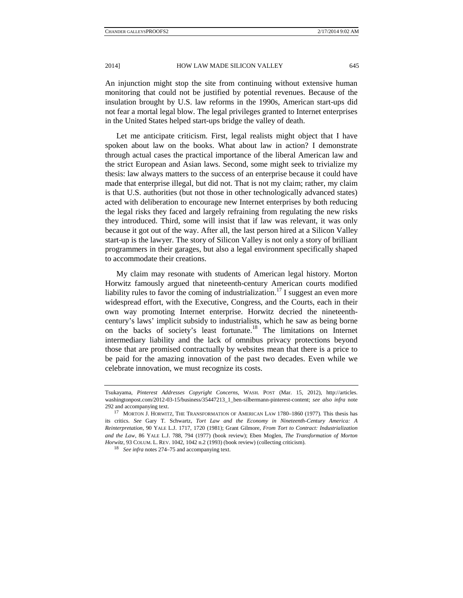An injunction might stop the site from continuing without extensive human monitoring that could not be justified by potential revenues. Because of the insulation brought by U.S. law reforms in the 1990s, American start-ups did not fear a mortal legal blow. The legal privileges granted to Internet enterprises in the United States helped start-ups bridge the valley of death.

Let me anticipate criticism. First, legal realists might object that I have spoken about law on the books. What about law in action? I demonstrate through actual cases the practical importance of the liberal American law and the strict European and Asian laws. Second, some might seek to trivialize my thesis: law always matters to the success of an enterprise because it could have made that enterprise illegal, but did not. That is not my claim; rather, my claim is that U.S. authorities (but not those in other technologically advanced states) acted with deliberation to encourage new Internet enterprises by both reducing the legal risks they faced and largely refraining from regulating the new risks they introduced. Third, some will insist that if law was relevant, it was only because it got out of the way. After all, the last person hired at a Silicon Valley start-up is the lawyer. The story of Silicon Valley is not only a story of brilliant programmers in their garages, but also a legal environment specifically shaped to accommodate their creations.

My claim may resonate with students of American legal history. Morton Horwitz famously argued that nineteenth-century American courts modified liability rules to favor the coming of industrialization.<sup>17</sup> I suggest an even more widespread effort, with the Executive, Congress, and the Courts, each in their own way promoting Internet enterprise. Horwitz decried the nineteenthcentury's laws' implicit subsidy to industrialists, which he saw as being borne on the backs of society's least fortunate.18 The limitations on Internet intermediary liability and the lack of omnibus privacy protections beyond those that are promised contractually by websites mean that there is a price to be paid for the amazing innovation of the past two decades. Even while we celebrate innovation, we must recognize its costs.

Tsukayama, *Pinterest Addresses Copyright Concerns*, WASH. POST (Mar. 15, 2012), http://articles. washingtonpost.com/2012-03-15/business/35447213\_1\_ben-silbermann-pinterest-content; *see also infra* note 292 and accompanying text.<br><sup>17</sup> MORTON J. HORWITZ, THE TRANSFORMATION OF AMERICAN LAW 1780–1860 (1977). This thesis has

its critics. *See* Gary T. Schwartz, *Tort Law and the Economy in Nineteenth-Century America: A Reinterpretation*, 90 YALE L.J. 1717, 1720 (1981); Grant Gilmore, *From Tort to Contract: Industrialization and the Law*, 86 YALE L.J. 788, 794 (1977) (book review); Eben Moglen, *The Transformation of Morton Horwitz*, 93 COLUM. L. REV. 1042, 1042 n.2 (1993) (book review) (collecting criticism). <sup>18</sup> *See infra* notes 274–75 and accompanying text.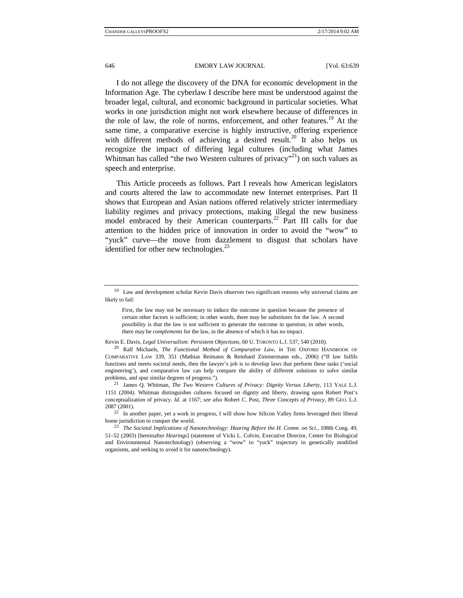I do not allege the discovery of the DNA for economic development in the Information Age. The cyberlaw I describe here must be understood against the broader legal, cultural, and economic background in particular societies. What works in one jurisdiction might not work elsewhere because of differences in the role of law, the role of norms, enforcement, and other features.<sup>19</sup> At the same time, a comparative exercise is highly instructive, offering experience with different methods of achieving a desired result.<sup>20</sup> It also helps us recognize the impact of differing legal cultures (including what James Whitman has called "the two Western cultures of privacy"<sup>21</sup>) on such values as speech and enterprise.

This Article proceeds as follows. Part I reveals how American legislators and courts altered the law to accommodate new Internet enterprises. Part II shows that European and Asian nations offered relatively stricter intermediary liability regimes and privacy protections, making illegal the new business model embraced by their American counterparts.<sup>22</sup> Part III calls for due attention to the hidden price of innovation in order to avoid the "wow" to "yuck" curve—the move from dazzlement to disgust that scholars have identified for other new technologies. $^{23}$ 

<sup>&</sup>lt;sup>19</sup> Law and development scholar Kevin Davis observes two significant reasons why universal claims are likely to fail:

First, the law may not be necessary to induce the outcome in question because the presence of certain other factors is sufficient; in other words, there may be *substitutes* for the law. A second possibility is that the law is not sufficient to generate the outcome in question; in other words, there may be *complements* for the law, in the absence of which it has no impact.

Kevin E. Davis, *Legal Universalism: Persistent Objections*, 60 U. TORONTO L.J. 537, 540 (2010). 20 Ralf Michaels, *The Functional Method of Comparative Law*, *in* THE OXFORD HANDBOOK OF COMPARATIVE LAW 339, 351 (Mathias Reimann & Reinhard Zimmermann eds., 2006) ("If law fulfils functions and meets societal needs, then the lawyer's job is to develop laws that perform these tasks ('social engineering'), and comparative law can help compare the ability of different solutions to solve similar problems, and spur similar degrees of progress."). 21 James Q. Whitman, *The Two Western Cultures of Privacy: Dignity Versus Liberty*, 113 YALE L.J.

<sup>1151 (2004).</sup> Whitman distinguishes cultures focused on dignity and liberty, drawing upon Robert Post's conceptualization of privacy. *Id.* at 1167; *see also* Robert C. Post, *Three Concepts of Privacy*, 89 GEO. L.J. 2087 (2001).

<sup>&</sup>lt;sup>22</sup> In another paper, yet a work in progress, I will show how Silicon Valley firms leveraged their liberal home jurisdiction to conquer the world. 23 *The Societal Implications of Nanotechnology: Hearing Before the H. Comm. on Sci.*, 108th Cong. 49,

<sup>51–52 (2003) [</sup>hereinafter *Hearings*] (statement of Vicki L. Colvin, Executive Director, Center for Biological and Environmental Nanotechnology) (observing a "wow" to "yuck" trajectory in genetically modified organisms, and seeking to avoid it for nanotechnology).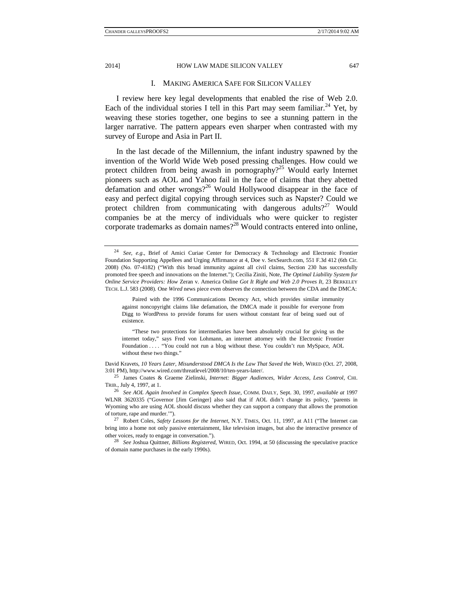## I. MAKING AMERICA SAFE FOR SILICON VALLEY

I review here key legal developments that enabled the rise of Web 2.0. Each of the individual stories I tell in this Part may seem familiar.<sup>24</sup> Yet, by weaving these stories together, one begins to see a stunning pattern in the larger narrative. The pattern appears even sharper when contrasted with my survey of Europe and Asia in Part II.

In the last decade of the Millennium, the infant industry spawned by the invention of the World Wide Web posed pressing challenges. How could we protect children from being awash in pornography?<sup>25</sup> Would early Internet pioneers such as AOL and Yahoo fail in the face of claims that they abetted defamation and other wrongs?<sup>26</sup> Would Hollywood disappear in the face of easy and perfect digital copying through services such as Napster? Could we protect children from communicating with dangerous adults?<sup>27</sup> Would companies be at the mercy of individuals who were quicker to register corporate trademarks as domain names?<sup>28</sup> Would contracts entered into online,

"These two protections for intermediaries have been absolutely crucial for giving us the internet today," says Fred von Lohmann, an internet attorney with the Electronic Frontier Foundation . . . . "You could not run a blog without these. You couldn't run MySpace, AOL without these two things."

David Kravets, *10 Years Later, Misunderstood DMCA Is the Law That Saved the Web*, WIRED (Oct. 27, 2008, 3:01 PM), http://www.wired.com/threatlevel/2008/10/ten-years-later/. 25 James Coates & Graeme Zielinski, *Internet: Bigger Audiences, Wider Access, Less Control*, CHI.

TRIB., July 4, 1997, at 1.

<sup>26</sup> *See AOL Again Involved in Complex Speech Issue*, COMM. DAILY, Sept. 30, 1997, *available at* 1997 WLNR 3620335 ("Governor [Jim Geringer] also said that if AOL didn't change its policy, 'parents in Wyoming who are using AOL should discuss whether they can support a company that allows the promotion of torture, rape and murder.'"). 27 Robert Coles, *Safety Lessons for the Internet*, N.Y. TIMES, Oct. 11, 1997, at A11 ("The Internet can

bring into a home not only passive entertainment, like television images, but also the interactive presence of other voices, ready to engage in conversation."). 28 *See* Joshua Quittner, *Billions Registered*, WIRED, Oct. 1994, at 50 (discussing the speculative practice

of domain name purchases in the early 1990s).

<sup>24</sup> *See, e.g*., Brief of Amici Curiae Center for Democracy & Technology and Electronic Frontier Foundation Supporting Appellees and Urging Affirmance at 4, Doe v. SexSearch.com, 551 F.3d 412 (6th Cir. 2008) (No. 07-4182) ("With this broad immunity against all civil claims, Section 230 has successfully promoted free speech and innovations on the Internet."); Cecilia Ziniti, Note, *The Optimal Liability System for Online Service Providers: How* Zeran v. America Online *Got It Right and Web 2.0 Proves It*, 23 BERKELEY TECH. L.J. 583 (2008). One *Wired* news piece even observes the connection between the CDA and the DMCA:

Paired with the 1996 Communications Decency Act, which provides similar immunity against noncopyright claims like defamation, the DMCA made it possible for everyone from Digg to WordPress to provide forums for users without constant fear of being sued out of existence.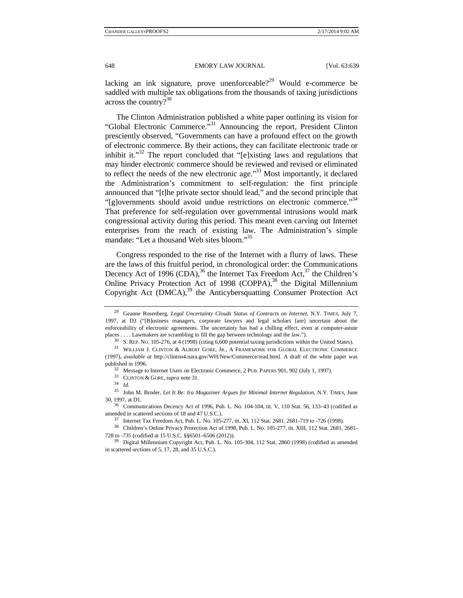lacking an ink signature, prove unenforceable? $2^9$  Would e-commerce be saddled with multiple tax obligations from the thousands of taxing jurisdictions across the country? $30$ 

The Clinton Administration published a white paper outlining its vision for "Global Electronic Commerce."<sup>31</sup> Announcing the report, President Clinton presciently observed, "Governments can have a profound effect on the growth of electronic commerce. By their actions, they can facilitate electronic trade or inhibit it."<sup>32</sup> The report concluded that "[e]xisting laws and regulations that may hinder electronic commerce should be reviewed and revised or eliminated to reflect the needs of the new electronic age."33 Most importantly, it declared the Administration's commitment to self-regulation: the first principle announced that "[t]he private sector should lead," and the second principle that "[g]overnments should avoid undue restrictions on electronic commerce."<sup>34</sup> That preference for self-regulation over governmental intrusions would mark congressional activity during this period. This meant even carving out Internet enterprises from the reach of existing law. The Administration's simple mandate: "Let a thousand Web sites bloom."35

Congress responded to the rise of the Internet with a flurry of laws. These are the laws of this fruitful period, in chronological order: the Communications Decency Act of 1996 (CDA),<sup>36</sup> the Internet Tax Freedom Act,<sup>37</sup> the Children's Online Privacy Protection Act of 1998 (COPPA),<sup>38</sup> the Digital Millennium Copyright Act (DMCA),<sup>39</sup> the Anticybersquatting Consumer Protection Act

- published in 1996.<br><sup>32</sup> Message to Internet Users on Electronic Commerce, 2 PUB. PAPERS 901, 902 (July 1, 1997).<br><sup>33</sup> CLINTON & GORE, *supra* note 31.<br><sup>34</sup> *Id* 
	-

<sup>&</sup>lt;sup>29</sup> Geanne Rosenberg, *Legal Uncertainty Clouds Status of Contracts on Internet*, N.Y. TIMES, July 7, 1997, at D3 ("[B]usiness managers, corporate lawyers and legal scholars [are] uncertain about the enforceability of electronic agreements. The uncertainty has had a chilling effect, even at computer-astute places .... Lawmakers are scrambling to fill the gap between technology and the law.").<br>
<sup>30</sup> S. REP. NO. 105-276, at 4 (1998) (citing 6,600 potential taxing jurisdictions within the United States).<br>
<sup>31</sup> WILLIAM J. CLINT

<sup>(1997),</sup> *available at* http://clinton4.nara.gov/WH/New/Commerce/read.html. A draft of the white paper was

<sup>35</sup> John M. Broder, *Let It Be: Ira Magaziner Argues for Minimal Internet Regulation*, N.Y. TIMES, June 30, 1997, at D1. 36 Communications Decency Act of 1996, Pub. L. No. 104-104, tit. V, 110 Stat. 56, 133–43 (codified as

amended in scattered sections of 18 and 47 U.S.C.).<br><sup>37</sup> Internet Tax Freedom Act, Pub. L. No. 105-277, tit. XI, 112 Stat. 2681, 2681-719 to -726 (1998).

<sup>38</sup> Children's Online Privacy Protection Act of 1998, Pub. L. No. 105-277, tit. XIII, 112 Stat. 2681, 2681- 728 to -735 (codified at 15 U.S.C. §§6501–6506 (2012)). 39 Digital Millennium Copyright Act, Pub. L. No. 105-304, 112 Stat. 2860 (1998) (codified as amended

in scattered sections of 5, 17, 28, and 35 U.S.C.).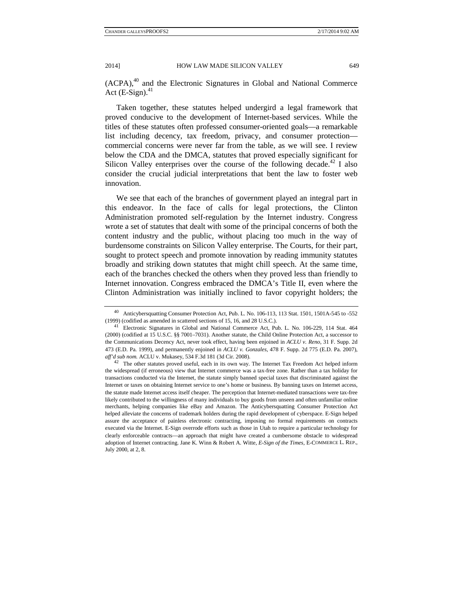(ACPA),<sup>40</sup> and the Electronic Signatures in Global and National Commerce Act  $(E-Sign).$ <sup>41</sup>

Taken together, these statutes helped undergird a legal framework that proved conducive to the development of Internet-based services. While the titles of these statutes often professed consumer-oriented goals—a remarkable list including decency, tax freedom, privacy, and consumer protection commercial concerns were never far from the table, as we will see. I review below the CDA and the DMCA, statutes that proved especially significant for Silicon Valley enterprises over the course of the following decade.<sup>42</sup> I also consider the crucial judicial interpretations that bent the law to foster web innovation.

We see that each of the branches of government played an integral part in this endeavor. In the face of calls for legal protections, the Clinton Administration promoted self-regulation by the Internet industry. Congress wrote a set of statutes that dealt with some of the principal concerns of both the content industry and the public, without placing too much in the way of burdensome constraints on Silicon Valley enterprise. The Courts, for their part, sought to protect speech and promote innovation by reading immunity statutes broadly and striking down statutes that might chill speech. At the same time, each of the branches checked the others when they proved less than friendly to Internet innovation. Congress embraced the DMCA's Title II, even where the Clinton Administration was initially inclined to favor copyright holders; the

<sup>40</sup> Anticybersquatting Consumer Protection Act, Pub. L. No. 106-113, 113 Stat. 1501, 1501A-545 to -552

<sup>(1999) (</sup>codified as amended in scattered sections of 15, 16, and 28 U.S.C.). 41 Electronic Signatures in Global and National Commerce Act, Pub. L. No. 106-229, 114 Stat. 464 (2000) (codified at 15 U.S.C. §§ 7001–7031). Another statute, the Child Online Protection Act, a successor to the Communications Decency Act, never took effect, having been enjoined in *ACLU v. Reno*, 31 F. Supp. 2d 473 (E.D. Pa. 1999), and permanently enjoined in *ACLU v. Gonzales*, 478 F. Supp. 2d 775 (E.D. Pa. 2007), *aff'd sub nom.* ACLU v. Mukasey, 534 F.3d 181 (3d Cir. 2008). 42 The other statutes proved useful, each in its own way. The Internet Tax Freedom Act helped inform

the widespread (if erroneous) view that Internet commerce was a tax-free zone. Rather than a tax holiday for transactions conducted via the Internet, the statute simply banned special taxes that discriminated against the Internet or taxes on obtaining Internet service to one's home or business. By banning taxes on Internet access, the statute made Internet access itself cheaper. The perception that Internet-mediated transactions were tax-free likely contributed to the willingness of many individuals to buy goods from unseen and often unfamiliar online merchants, helping companies like eBay and Amazon. The Anticybersquatting Consumer Protection Act helped alleviate the concerns of trademark holders during the rapid development of cyberspace. E-Sign helped assure the acceptance of painless electronic contracting, imposing no formal requirements on contracts executed via the Internet. E-Sign overrode efforts such as those in Utah to require a particular technology for clearly enforceable contracts—an approach that might have created a cumbersome obstacle to widespread adoption of Internet contracting. Jane K. Winn & Robert A. Witte, *E-Sign of the Times*, E-COMMERCE L. REP., July 2000, at 2, 8.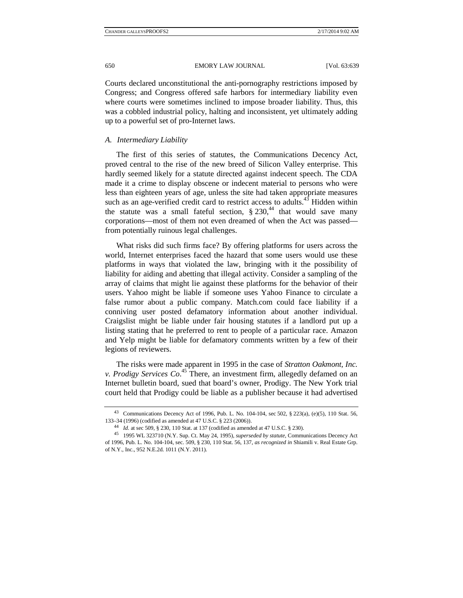Courts declared unconstitutional the anti-pornography restrictions imposed by Congress; and Congress offered safe harbors for intermediary liability even where courts were sometimes inclined to impose broader liability. Thus, this was a cobbled industrial policy, halting and inconsistent, yet ultimately adding up to a powerful set of pro-Internet laws.

## *A. Intermediary Liability*

The first of this series of statutes, the Communications Decency Act, proved central to the rise of the new breed of Silicon Valley enterprise. This hardly seemed likely for a statute directed against indecent speech. The CDA made it a crime to display obscene or indecent material to persons who were less than eighteen years of age, unless the site had taken appropriate measures such as an age-verified credit card to restrict access to adults. $43$  Hidden within the statute was a small fateful section,  $\S 230<sup>44</sup>$  that would save many corporations—most of them not even dreamed of when the Act was passed from potentially ruinous legal challenges.

What risks did such firms face? By offering platforms for users across the world, Internet enterprises faced the hazard that some users would use these platforms in ways that violated the law, bringing with it the possibility of liability for aiding and abetting that illegal activity. Consider a sampling of the array of claims that might lie against these platforms for the behavior of their users. Yahoo might be liable if someone uses Yahoo Finance to circulate a false rumor about a public company. Match.com could face liability if a conniving user posted defamatory information about another individual. Craigslist might be liable under fair housing statutes if a landlord put up a listing stating that he preferred to rent to people of a particular race. Amazon and Yelp might be liable for defamatory comments written by a few of their legions of reviewers.

The risks were made apparent in 1995 in the case of *Stratton Oakmont, Inc. v. Prodigy Services Co*. 45 There, an investment firm, allegedly defamed on an Internet bulletin board, sued that board's owner, Prodigy. The New York trial court held that Prodigy could be liable as a publisher because it had advertised

<sup>43</sup> Communications Decency Act of 1996, Pub. L. No. 104-104, sec 502, § 223(a), (e)(5), 110 Stat. 56, 133–34 (1996) (codified as amended at 47 U.S.C. § 223 (2006)).<br><sup>44</sup> *Id.* at sec 509, § 230, 110 Stat. at 137 (codified as amended at 47 U.S.C. § 230).<br><sup>45</sup> 1995 WL 323710 (N.Y. Sup. Ct. May 24, 1995), *superseded by stat* 

of 1996, Pub. L. No. 104-104, sec. 509, § 230, 110 Stat. 56, 137, *as recognized in* Shiamili v. Real Estate Grp. of N.Y., Inc., 952 N.E.2d. 1011 (N.Y. 2011).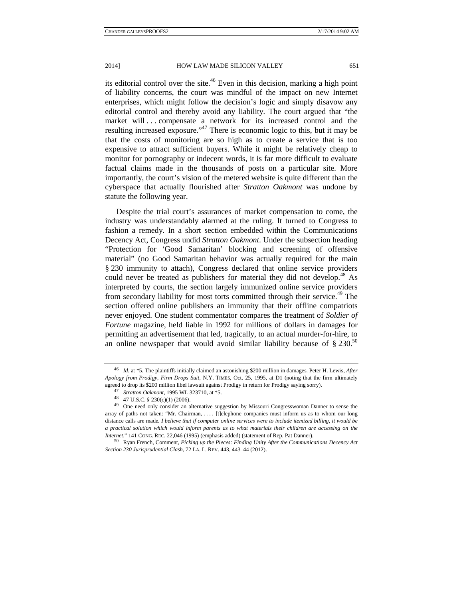its editorial control over the site.<sup>46</sup> Even in this decision, marking a high point of liability concerns, the court was mindful of the impact on new Internet enterprises, which might follow the decision's logic and simply disavow any editorial control and thereby avoid any liability. The court argued that "the market will ... compensate a network for its increased control and the resulting increased exposure."<sup>47</sup> There is economic logic to this, but it may be that the costs of monitoring are so high as to create a service that is too expensive to attract sufficient buyers. While it might be relatively cheap to monitor for pornography or indecent words, it is far more difficult to evaluate factual claims made in the thousands of posts on a particular site. More importantly, the court's vision of the metered website is quite different than the cyberspace that actually flourished after *Stratton Oakmont* was undone by statute the following year.

Despite the trial court's assurances of market compensation to come, the industry was understandably alarmed at the ruling. It turned to Congress to fashion a remedy. In a short section embedded within the Communications Decency Act, Congress undid *Stratton Oakmont*. Under the subsection heading "Protection for 'Good Samaritan' blocking and screening of offensive material" (no Good Samaritan behavior was actually required for the main § 230 immunity to attach), Congress declared that online service providers could never be treated as publishers for material they did not develop.<sup>48</sup> As interpreted by courts, the section largely immunized online service providers from secondary liability for most torts committed through their service.<sup>49</sup> The section offered online publishers an immunity that their offline compatriots never enjoyed. One student commentator compares the treatment of *Soldier of Fortune* magazine, held liable in 1992 for millions of dollars in damages for permitting an advertisement that led, tragically, to an actual murder-for-hire, to an online newspaper that would avoid similar liability because of  $\S 230$ .<sup>50</sup>

<sup>46</sup> *Id.* at \*5. The plaintiffs initially claimed an astonishing \$200 million in damages. Peter H. Lewis, *After Apology from Prodigy, Firm Drops Suit*, N.Y. TIMES, Oct. 25, 1995, at D1 (noting that the firm ultimately agreed to drop its \$200 million libel lawsuit against Prodigy in return for Prodigy saying sorry). 47 *Stratton Oakmont*, 1995 WL 323710, at \*5. 48 47 U.S.C. § 230(c)(1) (2006).

<sup>&</sup>lt;sup>49</sup> One need only consider an alternative suggestion by Missouri Congresswoman Danner to sense the array of paths not taken: "Mr. Chairman, . . . . [t]elephone companies must inform us as to whom our long distance calls are made*. I believe that if computer online services were to include itemized billing, it would be a practical solution which would inform parents as to what materials their children are accessing on the Internet*." 141 CONG. REC. 22,046 (1995) (emphasis added) (statement of Rep. Pat Danner). 50 Ryan French, Comment, *Picking up the Pieces: Finding Unity After the Communications Decency Act* 

*Section 230 Jurisprudential Clash*, 72 LA. L. REV. 443, 443–44 (2012).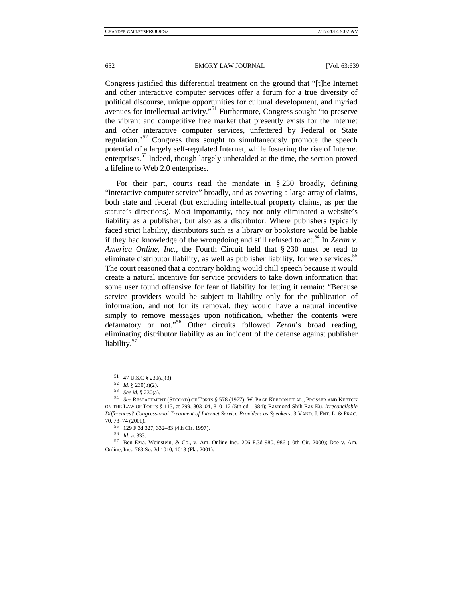Congress justified this differential treatment on the ground that "[t]he Internet and other interactive computer services offer a forum for a true diversity of political discourse, unique opportunities for cultural development, and myriad avenues for intellectual activity."51 Furthermore, Congress sought "to preserve the vibrant and competitive free market that presently exists for the Internet and other interactive computer services, unfettered by Federal or State regulation."52 Congress thus sought to simultaneously promote the speech potential of a largely self-regulated Internet, while fostering the rise of Internet enterprises.53 Indeed, though largely unheralded at the time, the section proved a lifeline to Web 2.0 enterprises.

For their part, courts read the mandate in § 230 broadly, defining "interactive computer service" broadly, and as covering a large array of claims, both state and federal (but excluding intellectual property claims, as per the statute's directions). Most importantly, they not only eliminated a website's liability as a publisher, but also as a distributor. Where publishers typically faced strict liability, distributors such as a library or bookstore would be liable if they had knowledge of the wrongdoing and still refused to act.<sup>54</sup> In *Zeran v*. *America Online, Inc.*, the Fourth Circuit held that § 230 must be read to eliminate distributor liability, as well as publisher liability, for web services.<sup>55</sup> The court reasoned that a contrary holding would chill speech because it would create a natural incentive for service providers to take down information that some user found offensive for fear of liability for letting it remain: "Because service providers would be subject to liability only for the publication of information, and not for its removal, they would have a natural incentive simply to remove messages upon notification, whether the contents were defamatory or not."56 Other circuits followed *Zeran*'s broad reading, eliminating distributor liability as an incident of the defense against publisher liability.<sup>57</sup>

 $^{51}$  47 U.S.C § 230(a)(3).<br>  $^{52}$  *Id.* § 230(b)(2).

<sup>53</sup> *See id.* § 230(a). 54 *See id.* § 230(a). 54 *See RESTATEMENT* (SECOND) OF TORTS § 578 (1977); W. PAGE KEETON ET AL., PROSSER AND KEETON ON THE LAW OF TORTS § 113, at 799, 803–04, 810–12 (5th ed. 1984); Raymond Shih Ray Ku, *Irreconcilable Differences? Congressional Treatment of Internet Service Providers as Speakers*, 3 VAND. J. ENT. L. & PRAC. 70, 73–74 (2001).<br>  $^{55}$  129 F.3d 327, 332–33 (4th Cir. 1997).<br>  $^{56}$  *Id at* 333.

<sup>&</sup>lt;sup>57</sup> Ben Ezra, Weinstein, & Co., v. Am. Online Inc., 206 F.3d 980, 986 (10th Cir. 2000); Doe v. Am. Online, Inc., 783 So. 2d 1010, 1013 (Fla. 2001).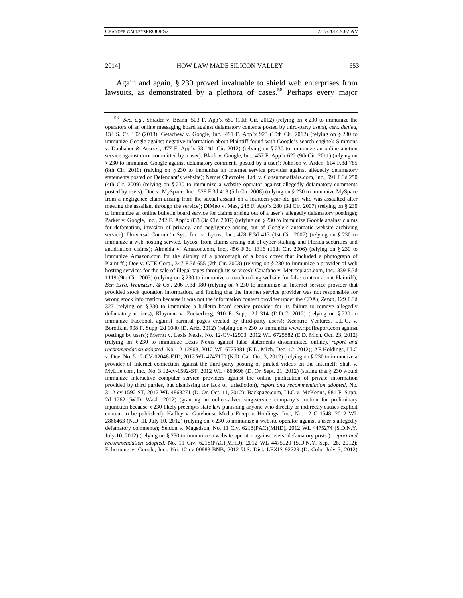Again and again, § 230 proved invaluable to shield web enterprises from lawsuits, as demonstrated by a plethora of cases.<sup>58</sup> Perhaps every major

<sup>58</sup> *See, e.g.*, Shrader v. Beann, 503 F. App'x 650 (10th Cir. 2012) (relying on § 230 to immunize the operators of an online messaging board against defamatory contents posted by third-party users), *cert. denied*, 134 S. Ct. 102 (2013); Getachew v. Google, Inc., 491 F. App'x 923 (10th Cir. 2012) (relying on § 230 to immunize Google against negative information about Plaintiff found with Google's search engine); Simmons v. Danhauer & Assocs., 477 F. App'x 53 (4th Cir. 2012) (relying on § 230 to immunize an online auction service against error committed by a user); Black v. Google, Inc., 457 F. App'x 622 (9th Cir. 2011) (relying on § 230 to immunize Google against defamatory comments posted by a user); Johnson v. Arden, 614 F.3d 785 (8th Cir. 2010) (relying on § 230 to immunize an Internet service provider against allegedly defamatory statements posted on Defendant's website); Nemet Chevrolet, Ltd. v. Consumeraffairs.com, Inc., 591 F.3d 250 (4th Cir. 2009) (relying on § 230 to immunize a website operator against allegedly defamatory comments posted by users); Doe v. MySpace, Inc., 528 F.3d 413 (5th Cir. 2008) (relying on § 230 to immunize MySpace from a negligence claim arising from the sexual assault on a fourteen-year-old girl who was assaulted after meeting the assailant through the service); DiMeo v. Max, 248 F. App'x 280 (3d Cir. 2007) (relying on § 230 to immunize an online bulletin board service for claims arising out of a user's allegedly defamatory postings); Parker v. Google, Inc., 242 F. App'x 833 (3d Cir. 2007) (relying on § 230 to immunize Google against claims for defamation, invasion of privacy, and negligence arising out of Google's automatic website archiving service); Universal Commc'n Sys., Inc. v. Lycos, Inc., 478 F.3d 413 (1st Cir. 2007) (relying on § 230 to immunize a web hosting service, Lycos, from claims arising out of cyber-stalking and Florida securities and antidilution claims); Almeida v. Amazon.com, Inc., 456 F.3d 1316 (11th Cir. 2006) (relying on § 230 to immunize Amazon.com for the display of a photograph of a book cover that included a photograph of Plaintiff); Doe v. GTE Corp., 347 F.3d 655 (7th Cir. 2003) (relying on § 230 to immunize a provider of web hosting services for the sale of illegal tapes through its services); Carafano v. Metrosplash.com, Inc., 339 F.3d 1119 (9th Cir. 2003) (relying on § 230 to immunize a matchmaking website for false content about Plaintiff); *Ben Ezra, Weinstein, & Co.*, 206 F.3d 980 (relying on § 230 to immunize an Internet service provider that provided stock quotation information, and finding that the Internet service provider was not responsible for wrong stock information because it was not the information content provider under the CDA); *Zeran*, 129 F.3d 327 (relying on § 230 to immunize a bulletin board service provider for its failure to remove allegedly defamatory notices); Klayman v. Zuckerberg, 910 F. Supp. 2d 314 (D.D.C. 2012) (relying on § 230 to immunize Facebook against harmful pages created by third-party users); Xcentric Ventures, L.L.C. v. Borodkin, 908 F. Supp. 2d 1040 (D. Ariz. 2012) (relying on § 230 to immunize www.ripoffreport.com against postings by users); Merritt v. Lexis Nexis, No. 12-CV-12903, 2012 WL 6725882 (E.D. Mich. Oct. 23, 2012) (relying on § 230 to immunize Lexis Nexis against false statements disseminated online), *report and recommendation adopted*, No. 12-12903, 2012 WL 6725881 (E.D. Mich. Dec. 12, 2012); AF Holdings, LLC v. Doe, No. 5:12-CV-02048-EJD, 2012 WL 4747170 (N.D. Cal. Oct. 3, 2012) (relying on § 230 to immunize a provider of Internet connection against the third-party posting of pirated videos on the Internet); Shah v. MyLife.com, Inc., No. 3:12-cv-1592-ST, 2012 WL 4863696 (D. Or. Sept. 21, 2012) (stating that § 230 would immunize interactive computer service providers against the online publication of private information provided by third parties, but dismissing for lack of jurisdiction), *report and recommendation adopted*, No. 3:12-cv-1592-ST, 2012 WL 4863271 (D. Or. Oct. 11, 2012); Backpage.com, LLC v. McKenna, 881 F. Supp. 2d 1262 (W.D. Wash. 2012) (granting an online-advertising-service company's motion for preliminary injunction because § 230 likely preempts state law punishing anyone who directly or indirectly causes explicit content to be published); Hadley v. Gatehouse Media Freeport Holdings, Inc., No. 12 C 1548, 2012 WL 2866463 (N.D. Ill. July 10, 2012) (relying on § 230 to immunize a website operator against a user's allegedly defamatory comments); Seldon v. Magedson, No. 11 Civ. 6218(PAC)(MHD), 2012 WL 4475274 (S.D.N.Y. July 10, 2012) (relying on § 230 to immunize a website operator against users' defamatory posts ), *report and recommendation adopted*, No. 11 Civ. 6218(PAC)(MHD), 2012 WL 4475020 (S.D.N.Y. Sept. 28, 2012); Echenique v. Google, Inc., No. 12-cv-00883-BNB, 2012 U.S. Dist. LEXIS 92729 (D. Colo. July 5, 2012)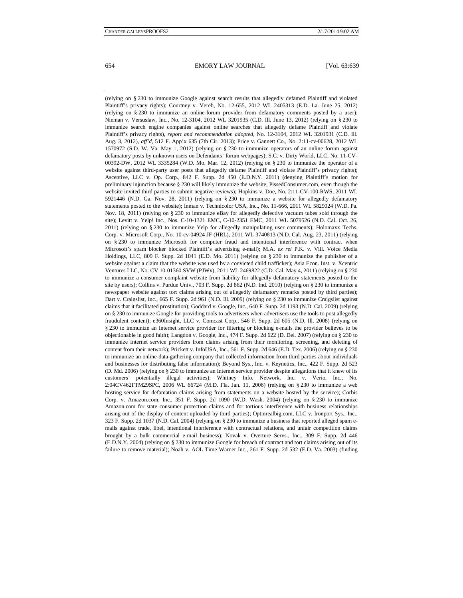(relying on § 230 to immunize Google against search results that allegedly defamed Plaintiff and violated Plaintiff's privacy rights); Courtney v. Vereb, No. 12-655, 2012 WL 2405313 (E.D. La. June 25, 2012) (relying on § 230 to immunize an online-forum provider from defamatory comments posted by a user); Nieman v. Versuslaw, Inc., No. 12-3104, 2012 WL 3201935 (C.D. Ill. June 13, 2012) (relying on § 230 to immunize search engine companies against online searches that allegedly defame Plaintiff and violate Plaintiff's privacy rights), *report and recommendation adopted*, No. 12-3104, 2012 WL 3201931 (C.D. Ill. Aug. 3, 2012), *aff'd*, 512 F. App'x 635 (7th Cir. 2013); Price v. Gannett Co., No. 2:11-cv-00628, 2012 WL 1570972 (S.D. W. Va. May 1, 2012) (relying on § 230 to immunize operators of an online forum against defamatory posts by unknown users on Defendants' forum webpages); S.C. v. Dirty World, LLC, No. 11-CV-00392-DW, 2012 WL 3335284 (W.D. Mo. Mar. 12, 2012) (relying on § 230 to immunize the operator of a website against third-party user posts that allegedly defame Plaintiff and violate Plaintiff's privacy rights); Ascentive, LLC v. Op. Corp., 842 F. Supp. 2d 450 (E.D.N.Y. 2011) (denying Plaintiff's motion for preliminary injunction because § 230 will likely immunize the website, PissedConsumer.com, even though the website invited third parties to submit negative reviews); Hopkins v. Doe, No. 2:11-CV-100-RWS, 2011 WL 5921446 (N.D. Ga. Nov. 28, 2011) (relying on § 230 to immunize a website for allegedly defamatory statements posted to the website); Inman v. Technicolor USA, Inc., No. 11-666, 2011 WL 5829024 (W.D. Pa. Nov. 18, 2011) (relying on § 230 to immunize eBay for allegedly defective vacuum tubes sold through the site); Levitt v. Yelp! Inc., Nos. C-10-1321 EMC, C-10-2351 EMC, 2011 WL 5079526 (N.D. Cal. Oct. 26, 2011) (relying on § 230 to immunize Yelp for allegedly manipulating user comments); Holomaxx Techs. Corp. v. Microsoft Corp., No. 10-cv-04924 JF (HRL), 2011 WL 3740813 (N.D. Cal. Aug. 23, 2011) (relying on § 230 to immunize Microsoft for computer fraud and intentional interference with contract when Microsoft's spam blocker blocked Plaintiff's advertising e-mail); M.A. *ex rel* P.K. v. Vill. Voice Media Holdings, LLC, 809 F. Supp. 2d 1041 (E.D. Mo. 2011) (relying on § 230 to immunize the publisher of a website against a claim that the website was used by a convicted child trafficker); Asia Econ. Inst. v. Xcentric Ventures LLC, No. CV 10-01360 SVW (PJWx), 2011 WL 2469822 (C.D. Cal. May 4, 2011) (relying on § 230 to immunize a consumer complaint website from liability for allegedly defamatory statements posted to the site by users); Collins v. Purdue Univ., 703 F. Supp. 2d 862 (N.D. Ind. 2010) (relying on § 230 to immunize a newspaper website against tort claims arising out of allegedly defamatory remarks posted by third parties); Dart v. Craigslist, Inc., 665 F. Supp. 2d 961 (N.D. Ill. 2009) (relying on § 230 to immunize Craigslist against claims that it facilitated prostitution); Goddard v. Google, Inc., 640 F. Supp. 2d 1193 (N.D. Cal. 2009) (relying on § 230 to immunize Google for providing tools to advertisers when advertisers use the tools to post allegedly fraudulent content); e360Insight, LLC v. Comcast Corp., 546 F. Supp. 2d 605 (N.D. Ill. 2008) (relying on § 230 to immunize an Internet service provider for filtering or blocking e-mails the provider believes to be objectionable in good faith); Langdon v. Google, Inc., 474 F. Supp. 2d 622 (D. Del. 2007) (relying on § 230 to immunize Internet service providers from claims arising from their monitoring, screening, and deleting of content from their network); Prickett v. InfoUSA, Inc., 561 F. Supp. 2d 646 (E.D. Tex. 2006) (relying on § 230 to immunize an online-data-gathering company that collected information from third parties about individuals and businesses for distributing false information); Beyond Sys., Inc. v. Keynetics, Inc., 422 F. Supp. 2d 523 (D. Md. 2006) (relying on § 230 to immunize an Internet service provider despite allegations that it knew of its customers' potentially illegal activities); Whitney Info. Network, Inc. v. Verio, Inc., No. 2:04CV462FTM29SPC, 2006 WL 66724 (M.D. Fla. Jan. 11, 2006) (relying on § 230 to immunize a web hosting service for defamation claims arising from statements on a website hosted by the service); Corbis Corp. v. Amazon.com, Inc., 351 F. Supp. 2d 1090 (W.D. Wash. 2004) (relying on § 230 to immunize Amazon.com for state consumer protection claims and for tortious interference with business relationships arising out of the display of content uploaded by third parties); Optinrealbig.com, LLC v. Ironport Sys., Inc., 323 F. Supp. 2d 1037 (N.D. Cal. 2004) (relying on § 230 to immunize a business that reported alleged spam emails against trade, libel, intentional interference with contractual relations, and unfair competition claims brought by a bulk commercial e-mail business); Novak v. Overture Servs., Inc., 309 F. Supp. 2d 446 (E.D.N.Y. 2004) (relying on § 230 to immunize Google for breach of contract and tort claims arising out of its failure to remove material); Noah v. AOL Time Warner Inc., 261 F. Supp. 2d 532 (E.D. Va. 2003) (finding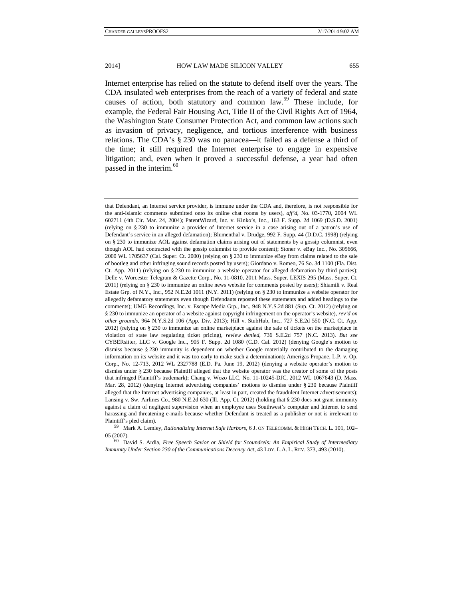Internet enterprise has relied on the statute to defend itself over the years. The CDA insulated web enterprises from the reach of a variety of federal and state causes of action, both statutory and common law.<sup>59</sup> These include, for example, the Federal Fair Housing Act, Title II of the Civil Rights Act of 1964, the Washington State Consumer Protection Act, and common law actions such as invasion of privacy, negligence, and tortious interference with business relations. The CDA's § 230 was no panacea—it failed as a defense a third of the time; it still required the Internet enterprise to engage in expensive litigation; and, even when it proved a successful defense, a year had often passed in the interim. $60$ 

05 (2007). 60 David S. Ardia, *Free Speech Savior or Shield for Scoundrels: An Empirical Study of Intermediary* 

*Immunity Under Section 230 of the Communications Decency Act*, 43 LOY. L.A. L. REV. 373, 493 (2010).

that Defendant, an Internet service provider, is immune under the CDA and, therefore, is not responsible for the anti-Islamic comments submitted onto its online chat rooms by users), *aff'd*, No. 03-1770, 2004 WL 602711 (4th Cir. Mar. 24, 2004); PatentWizard, Inc. v. Kinko's, Inc., 163 F. Supp. 2d 1069 (D.S.D. 2001) (relying on § 230 to immunize a provider of Internet service in a case arising out of a patron's use of Defendant's service in an alleged defamation); Blumenthal v. Drudge, 992 F. Supp. 44 (D.D.C. 1998) (relying on § 230 to immunize AOL against defamation claims arising out of statements by a gossip columnist, even though AOL had contracted with the gossip columnist to provide content); Stoner v. eBay Inc., No. 305666, 2000 WL 1705637 (Cal. Super. Ct. 2000) (relying on § 230 to immunize eBay from claims related to the sale of bootleg and other infringing sound records posted by users); Giordano v. Romeo, 76 So. 3d 1100 (Fla. Dist. Ct. App. 2011) (relying on § 230 to immunize a website operator for alleged defamation by third parties); Delle v. Worcester Telegram & Gazette Corp., No. 11-0810, 2011 Mass. Super. LEXIS 295 (Mass. Super. Ct. 2011) (relying on § 230 to immunize an online news website for comments posted by users); Shiamili v. Real Estate Grp. of N.Y., Inc., 952 N.E.2d 1011 (N.Y. 2011) (relying on § 230 to immunize a website operator for allegedly defamatory statements even though Defendants reposted these statements and added headings to the comments); UMG Recordings, Inc. v. Escape Media Grp., Inc., 948 N.Y.S.2d 881 (Sup. Ct. 2012) (relying on § 230 to immunize an operator of a website against copyright infringement on the operator's website), *rev'd on other grounds*, 964 N.Y.S.2d 106 (App. Div. 2013); Hill v. StubHub, Inc., 727 S.E.2d 550 (N.C. Ct. App. 2012) (relying on § 230 to immunize an online marketplace against the sale of tickets on the marketplace in violation of state law regulating ticket pricing), *review denied*, 736 S.E.2d 757 (N.C. 2013). *But see*  CYBERsitter, LLC v. Google Inc., 905 F. Supp. 2d 1080 (C.D. Cal. 2012) (denying Google's motion to dismiss because § 230 immunity is dependent on whether Google materially contributed to the damaging information on its website and it was too early to make such a determination); Amerigas Propane, L.P. v. Op. Corp., No. 12-713, 2012 WL 2327788 (E.D. Pa. June 19, 2012) (denying a website operator's motion to dismiss under § 230 because Plaintiff alleged that the website operator was the creator of some of the posts that infringed Plaintiff's trademark); Chang v. Wozo LLC, No. 11-10245-DJC, 2012 WL 1067643 (D. Mass. Mar. 28, 2012) (denying Internet advertising companies' motions to dismiss under § 230 because Plaintiff alleged that the Internet advertising companies, at least in part, created the fraudulent Internet advertisements); Lansing v. Sw. Airlines Co., 980 N.E.2d 630 (Ill. App. Ct. 2012) (holding that § 230 does not grant immunity against a claim of negligent supervision when an employee uses Southwest's computer and Internet to send harassing and threatening e-mails because whether Defendant is treated as a publisher or not is irrelevant to Plaintiff's pled claim). 59 Mark A. Lemley, *Rationalizing Internet Safe Harbors*, 6 J. ON TELECOMM. & HIGH TECH. L. 101, 102–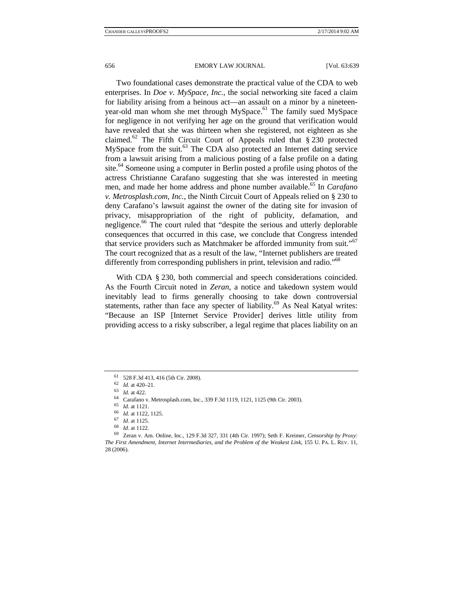Two foundational cases demonstrate the practical value of the CDA to web enterprises. In *Doe v. MySpace, Inc.*, the social networking site faced a claim for liability arising from a heinous act—an assault on a minor by a nineteenyear-old man whom she met through MySpace.<sup>61</sup> The family sued MySpace for negligence in not verifying her age on the ground that verification would have revealed that she was thirteen when she registered, not eighteen as she claimed.<sup>62</sup> The Fifth Circuit Court of Appeals ruled that  $\S 230$  protected MySpace from the suit. $^{63}$  The CDA also protected an Internet dating service from a lawsuit arising from a malicious posting of a false profile on a dating site.<sup>64</sup> Someone using a computer in Berlin posted a profile using photos of the actress Christianne Carafano suggesting that she was interested in meeting men, and made her home address and phone number available.<sup>65</sup> In *Carafano v. Metrosplash.com, Inc.*, the Ninth Circuit Court of Appeals relied on § 230 to deny Carafano's lawsuit against the owner of the dating site for invasion of privacy, misappropriation of the right of publicity, defamation, and negligence.<sup>66</sup> The court ruled that "despite the serious and utterly deplorable consequences that occurred in this case, we conclude that Congress intended that service providers such as Matchmaker be afforded immunity from suit."<sup>67</sup> The court recognized that as a result of the law, "Internet publishers are treated differently from corresponding publishers in print, television and radio."<sup>68</sup>

With CDA § 230, both commercial and speech considerations coincided. As the Fourth Circuit noted in *Zeran*, a notice and takedown system would inevitably lead to firms generally choosing to take down controversial statements, rather than face any specter of liability. $69$  As Neal Katyal writes: "Because an ISP [Internet Service Provider] derives little utility from providing access to a risky subscriber, a legal regime that places liability on an

<sup>61 528</sup> F.3d 413, 416 (5th Cir. 2008).<br>62  $Id.$  at 420-21.

<sup>&</sup>lt;sup>63</sup> *Id.* at 422.<br><sup>64</sup> Carafano v. Metrosplash.com, Inc., 339 F.3d 1119, 1121, 1125 (9th Cir. 2003).<br><sup>65</sup> *Id.* at 1121.

<sup>65</sup> *Id.* at 1121. 66 *Id.* at 1122, 1125. 67 *Id*. at 1125. 68 *Id*. at 1122. 69 Zeran v. Am. Online, Inc., 129 F.3d 327, 331 (4th Cir. 1997); Seth F. Kreimer, *Censorship by Proxy: The First Amendment, Internet Intermediaries, and the Problem of the Weakest Link*, 155 U. PA. L. REV. 11, 28 (2006).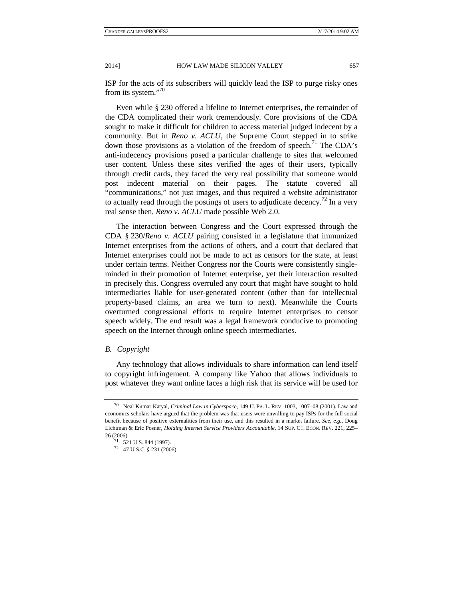ISP for the acts of its subscribers will quickly lead the ISP to purge risky ones from its system."<sup>70</sup>

Even while § 230 offered a lifeline to Internet enterprises, the remainder of the CDA complicated their work tremendously. Core provisions of the CDA sought to make it difficult for children to access material judged indecent by a community. But in *Reno v. ACLU*, the Supreme Court stepped in to strike down those provisions as a violation of the freedom of speech.<sup>71</sup> The CDA's anti-indecency provisions posed a particular challenge to sites that welcomed user content. Unless these sites verified the ages of their users, typically through credit cards, they faced the very real possibility that someone would post indecent material on their pages. The statute covered all "communications," not just images, and thus required a website administrator to actually read through the postings of users to adjudicate decency.<sup>72</sup> In a very real sense then, *Reno v. ACLU* made possible Web 2.0.

The interaction between Congress and the Court expressed through the CDA § 230/*Reno v. ACLU* pairing consisted in a legislature that immunized Internet enterprises from the actions of others, and a court that declared that Internet enterprises could not be made to act as censors for the state, at least under certain terms. Neither Congress nor the Courts were consistently singleminded in their promotion of Internet enterprise, yet their interaction resulted in precisely this. Congress overruled any court that might have sought to hold intermediaries liable for user-generated content (other than for intellectual property-based claims, an area we turn to next). Meanwhile the Courts overturned congressional efforts to require Internet enterprises to censor speech widely. The end result was a legal framework conducive to promoting speech on the Internet through online speech intermediaries.

## *B. Copyright*

Any technology that allows individuals to share information can lend itself to copyright infringement. A company like Yahoo that allows individuals to post whatever they want online faces a high risk that its service will be used for

<sup>70</sup> Neal Kumar Katyal, *Criminal Law in Cyberspace*, 149 U. PA. L. REV. 1003, 1007–08 (2001). Law and economics scholars have argued that the problem was that users were unwilling to pay ISPs for the full social benefit because of positive externalities from their use, and this resulted in a market failure. *See, e.g.*, Doug Lichtman & Eric Posner, *Holding Internet Service Providers Accountable*, 14 SUP. CT. ECON. REV. 221, 225– 26 (2006). 71 521 U.S. 844 (1997).

<sup>72 47</sup> U.S.C. § 231 (2006).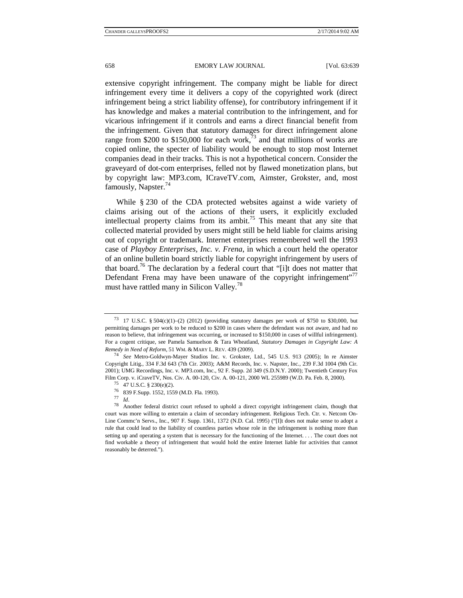extensive copyright infringement. The company might be liable for direct infringement every time it delivers a copy of the copyrighted work (direct infringement being a strict liability offense), for contributory infringement if it has knowledge and makes a material contribution to the infringement, and for vicarious infringement if it controls and earns a direct financial benefit from the infringement. Given that statutory damages for direct infringement alone range from \$200 to \$150,000 for each work, $\frac{73}{2}$  and that millions of works are copied online, the specter of liability would be enough to stop most Internet companies dead in their tracks. This is not a hypothetical concern. Consider the graveyard of dot-com enterprises, felled not by flawed monetization plans, but by copyright law: MP3.com, ICraveTV.com, Aimster, Grokster, and, most famously, Napster.<sup>74</sup>

While § 230 of the CDA protected websites against a wide variety of claims arising out of the actions of their users, it explicitly excluded intellectual property claims from its ambit.<sup>75</sup> This meant that any site that collected material provided by users might still be held liable for claims arising out of copyright or trademark. Internet enterprises remembered well the 1993 case of *Playboy Enterprises, Inc. v. Frena*, in which a court held the operator of an online bulletin board strictly liable for copyright infringement by users of that board.<sup>76</sup> The declaration by a federal court that "[i]t does not matter that Defendant Frena may have been unaware of the copyright infringement"<sup>77</sup> must have rattled many in Silicon Valley.<sup>78</sup>

<sup>73 17</sup> U.S.C. § 504(c)(1)–(2) (2012) (providing statutory damages per work of \$750 to \$30,000, but permitting damages per work to be reduced to \$200 in cases where the defendant was not aware, and had no reason to believe, that infringement was occurring, or increased to \$150,000 in cases of willful infringement). For a cogent critique, see Pamela Samuelson & Tara Wheatland, *Statutory Damages in Copyright Law: A Remedy in Need of Reform*, 51 WM. & MARY L. REV. 439 (2009). 74 *See* Metro-Goldwyn-Mayer Studios Inc. v. Grokster, Ltd., 545 U.S. 913 (2005); In re Aimster

Copyright Litig., 334 F.3d 643 (7th Cir. 2003); A&M Records, Inc. v. Napster, Inc., 239 F.3d 1004 (9th Cir. 2001); UMG Recordings, Inc. v. MP3.com, Inc., 92 F. Supp. 2d 349 (S.D.N.Y. 2000); Twentieth Century Fox Film Corp. v. iCraveTV, Nos. Civ. A. 00-120, Civ. A. 00-121, 2000 WL 255989 (W.D. Pa. Feb. 8, 2000). <sup>75</sup> 47 U.S.C. § 230(e)(2).

<sup>76 839</sup> F.Supp. 1552, 1559 (M.D. Fla. 1993).

<sup>&</sup>lt;sup>78</sup> Another federal district court refused to uphold a direct copyright infringement claim, though that court was more willing to entertain a claim of secondary infringement. Religious Tech. Ctr. v. Netcom On-Line Commc'n Servs., Inc., 907 F. Supp. 1361, 1372 (N.D. Cal. 1995) ("[I]t does not make sense to adopt a rule that could lead to the liability of countless parties whose role in the infringement is nothing more than setting up and operating a system that is necessary for the functioning of the Internet. . . . The court does not find workable a theory of infringement that would hold the entire Internet liable for activities that cannot reasonably be deterred.").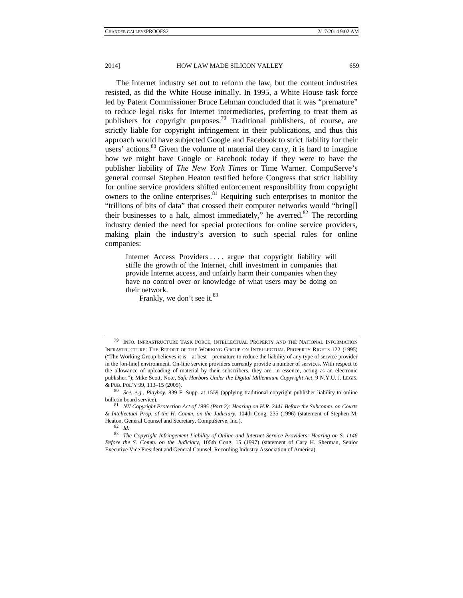The Internet industry set out to reform the law, but the content industries resisted, as did the White House initially. In 1995, a White House task force led by Patent Commissioner Bruce Lehman concluded that it was "premature" to reduce legal risks for Internet intermediaries, preferring to treat them as publishers for copyright purposes.<sup>79</sup> Traditional publishers, of course, are strictly liable for copyright infringement in their publications, and thus this approach would have subjected Google and Facebook to strict liability for their users' actions. $80$  Given the volume of material they carry, it is hard to imagine how we might have Google or Facebook today if they were to have the publisher liability of *The New York Times* or Time Warner. CompuServe's general counsel Stephen Heaton testified before Congress that strict liability for online service providers shifted enforcement responsibility from copyright owners to the online enterprises. $81$  Requiring such enterprises to monitor the "trillions of bits of data" that crossed their computer networks would "bring[] their businesses to a halt, almost immediately," he averred.<sup>82</sup> The recording industry denied the need for special protections for online service providers, making plain the industry's aversion to such special rules for online companies:

Internet Access Providers .... argue that copyright liability will stifle the growth of the Internet, chill investment in companies that provide Internet access, and unfairly harm their companies when they have no control over or knowledge of what users may be doing on their network.

Frankly, we don't see it.<sup>83</sup>

<sup>79</sup> INFO. INFRASTRUCTURE TASK FORCE, INTELLECTUAL PROPERTY AND THE NATIONAL INFORMATION INFRASTRUCTURE: THE REPORT OF THE WORKING GROUP ON INTELLECTUAL PROPERTY RIGHTS 122 (1995) ("The Working Group believes it is—at best—premature to reduce the liability of any type of service provider in the [on-line] environment. On-line service providers currently provide a number of services. With respect to the allowance of uploading of material by their subscribers, they are, in essence, acting as an electronic publisher."); Mike Scott, Note, *Safe Harbors Under the Digital Millennium Copyright Act*, 9 N.Y.U. J. LEGIS. & PUB. POL'Y 99, 113–15 (2005). 80 *See, e.g.*, *Playboy*, 839 F. Supp. at 1559 (applying traditional copyright publisher liability to online

bulletin board service). 81 *NII Copyright Protection Act of 1995 (Part 2): Hearing on H.R. 2441 Before the Subcomm. on Courts* 

*<sup>&</sup>amp; Intellectual Prop. of the H. Comm. on the Judiciary*, 104th Cong. 235 (1996) (statement of Stephen M. Heaton, General Counsel and Secretary, CompuServe, Inc.). 82 *Id.* 

<sup>83</sup> *The Copyright Infringement Liability of Online and Internet Service Providers: Hearing on S. 1146 Before the S. Comm. on the Judiciary*, 105th Cong. 15 (1997) (statement of Cary H. Sherman, Senior Executive Vice President and General Counsel, Recording Industry Association of America).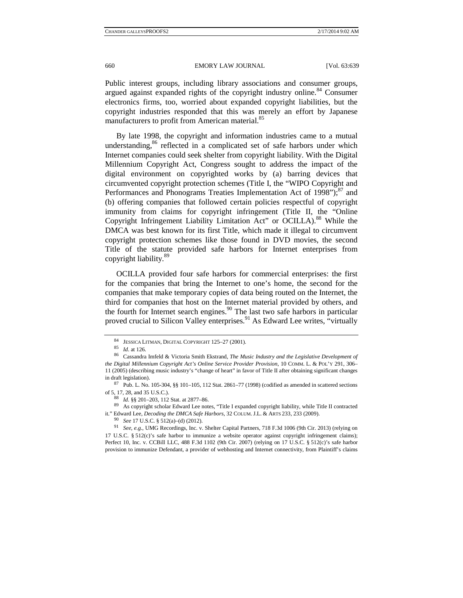Public interest groups, including library associations and consumer groups, argued against expanded rights of the copyright industry online.<sup>84</sup> Consumer electronics firms, too, worried about expanded copyright liabilities, but the copyright industries responded that this was merely an effort by Japanese manufacturers to profit from American material.<sup>85</sup>

By late 1998, the copyright and information industries came to a mutual understanding, $86$  reflected in a complicated set of safe harbors under which Internet companies could seek shelter from copyright liability. With the Digital Millennium Copyright Act, Congress sought to address the impact of the digital environment on copyrighted works by (a) barring devices that circumvented copyright protection schemes (Title I, the "WIPO Copyright and Performances and Phonograms Treaties Implementation Act of  $1998$ "); $87$  and (b) offering companies that followed certain policies respectful of copyright immunity from claims for copyright infringement (Title II, the "Online Copyright Infringement Liability Limitation Act" or OCILLA).<sup>88</sup> While the DMCA was best known for its first Title, which made it illegal to circumvent copyright protection schemes like those found in DVD movies, the second Title of the statute provided safe harbors for Internet enterprises from copyright liability.<sup>89</sup>

OCILLA provided four safe harbors for commercial enterprises: the first for the companies that bring the Internet to one's home, the second for the companies that make temporary copies of data being routed on the Internet, the third for companies that host on the Internet material provided by others, and the fourth for Internet search engines.<sup>90</sup> The last two safe harbors in particular proved crucial to Silicon Valley enterprises.<sup>91</sup> As Edward Lee writes, "virtually

17 U.S.C. § 512(c)'s safe harbor to immunize a website operator against copyright infringement claims); Perfect 10, Inc. v. CCBill LLC, 488 F.3d 1102 (9th Cir. 2007) (relying on 17 U.S.C. § 512(c)'s safe harbor provision to immunize Defendant, a provider of webhosting and Internet connectivity, from Plaintiff's claims

<sup>84</sup> JESSICA LITMAN, DIGITAL COPYRIGHT 125–27 (2001). 85 *Id.* at 126. 86 Cassandra Imfeld & Victoria Smith Ekstrand, *The Music Industry and the Legislative Development of the Digital Millennium Copyright Act's Online Service Provider Provision*, 10 COMM. L. & POL'Y 291, 306– 11 (2005) (describing music industry's "change of heart" in favor of Title II after obtaining significant changes in draft legislation). 87 Pub. L. No. 105-304, §§ 101–105, 112 Stat. 2861–77 (1998) (codified as amended in scattered sections

of 5, 17, 28, and 35 U.S.C.). 88 *Id.* §§ 201–203, 112 Stat. at 2877–86. 89 As copyright scholar Edward Lee notes, "Title I expanded copyright liability, while Title II contracted

it." Edward Lee, *Decoding the DMCA Safe Harbors*, 32 COLUM. J.L. & ARTS 233, 233 (2009).<br><sup>90</sup> See 17 U.S.C. § 512(a)–(d) (2012).<br><sup>91</sup> See, e.g., UMG Recordings, Inc. v. Shelter Capital Partners, 718 F.3d 1006 (9th Cir. 20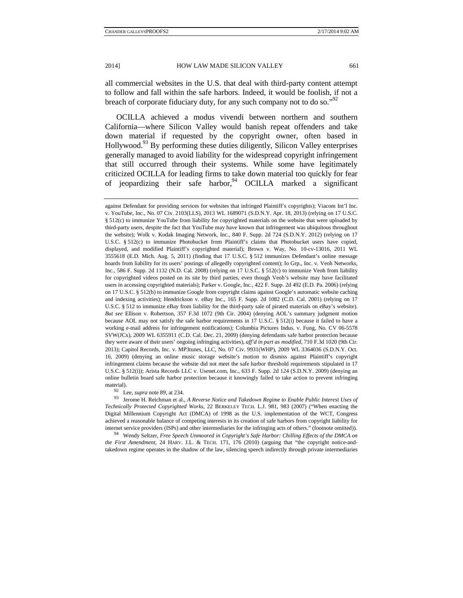all commercial websites in the U.S. that deal with third-party content attempt to follow and fall within the safe harbors. Indeed, it would be foolish, if not a breach of corporate fiduciary duty, for any such company not to do so."<sup>92</sup>

OCILLA achieved a modus vivendi between northern and southern California—where Silicon Valley would banish repeat offenders and take down material if requested by the copyright owner, often based in Hollywood.<sup>93</sup> By performing these duties diligently, Silicon Valley enterprises generally managed to avoid liability for the widespread copyright infringement that still occurred through their systems. While some have legitimately criticized OCILLA for leading firms to take down material too quickly for fear of jeopardizing their safe harbor,  $94$  OCILLA marked a significant

*Technically Protected Copyrighted Works*, 22 BERKELEY TECH. L.J. 981, 983 (2007) ("When enacting the Digital Millennium Copyright Act (DMCA) of 1998 as the U.S. implementation of the WCT, Congress achieved a reasonable balance of competing interests in its creation of safe harbors from copyright liability for internet service providers (ISPs) and other intermediaries for the infringing acts of others." (footnote omitted)). 94 Wendy Seltzer, *Free Speech Unmoored in Copyright's Safe Harbor: Chilling Effects of the DMCA on* 

*the First Amendment*, 24 HARV. J.L. & TECH. 171, 176 (2010) (arguing that "the copyright notice-andtakedown regime operates in the shadow of the law, silencing speech indirectly through private intermediaries

against Defendant for providing services for websites that infringed Plaintiff's copyrights); Viacom Int'l Inc. v. YouTube, Inc., No. 07 Civ. 2103(LLS), 2013 WL 1689071 (S.D.N.Y. Apr. 18, 2013) (relying on 17 U.S.C. § 512(c) to immunize YouTube from liability for copyrighted materials on the website that were uploaded by third-party users, despite the fact that YouTube may have known that infringement was ubiquitous throughout the website); Wolk v. Kodak Imaging Network, Inc., 840 F. Supp. 2d 724 (S.D.N.Y. 2012) (relying on 17 U.S.C. § 512(c) to immunize Photobucket from Plaintiff's claims that Photobucket users have copied, displayed, and modified Plaintiff's copyrighted material); Brown v. Way, No. 10-cv-13016, 2011 WL 3555618 (E.D. Mich. Aug. 5, 2011) (finding that 17 U.S.C. § 512 immunizes Defendant's online message boards from liability for its users' postings of allegedly copyrighted content); Io Grp., Inc. v. Veoh Networks, Inc., 586 F. Supp. 2d 1132 (N.D. Cal. 2008) (relying on 17 U.S.C. § 512(c) to immunize Veoh from liability for copyrighted videos posted on its site by third parties, even though Veoh's website may have facilitated users in accessing copyrighted materials); Parker v. Google, Inc., 422 F. Supp. 2d 492 (E.D. Pa. 2006) (relying on 17 U.S.C. § 512(b) to immunize Google from copyright claims against Google's automatic website caching and indexing activities); Hendrickson v. eBay Inc., 165 F. Supp. 2d 1082 (C.D. Cal. 2001) (relying on 17 U.S.C. § 512 to immunize eBay from liability for the third-party sale of pirated materials on eBay's website). *But see* Ellison v. Robertson, 357 F.3d 1072 (9th Cir. 2004) (denying AOL's summary judgment motion because AOL may not satisfy the safe harbor requirements in 17 U.S.C. § 512(i) because it failed to have a working e-mail address for infringement notifications); Columbia Pictures Indus. v. Fung, No. CV 06-5578 SVW(JCx), 2009 WL 6355911 (C.D. Cal. Dec. 21, 2009) (denying defendants safe harbor protection because they were aware of their users' ongoing infringing activities), *aff'd in part as modified*, 710 F.3d 1020 (9th Cir. 2013); Capitol Records, Inc. v. MP3tunes, LLC, No. 07 Civ. 9931(WHP), 2009 WL 3364036 (S.D.N.Y. Oct. 16, 2009) (denying an online music storage website's motion to dismiss against Plaintiff's copyright infringement claims because the website did not meet the safe harbor threshold requirements stipulated in 17 U.S.C. § 512(i)); Arista Records LLC v. Usenet.com, Inc., 633 F. Supp. 2d 124 (S.D.N.Y. 2009) (denying an online bulletin board safe harbor protection because it knowingly failed to take action to prevent infringing material).<br><sup>92</sup> Lee, *supra* note 89, at 234.<br><sup>93</sup> Jerome H. Reichman et al., *A Reverse Notice and Takedown Regime to Enable Public Interest Uses of*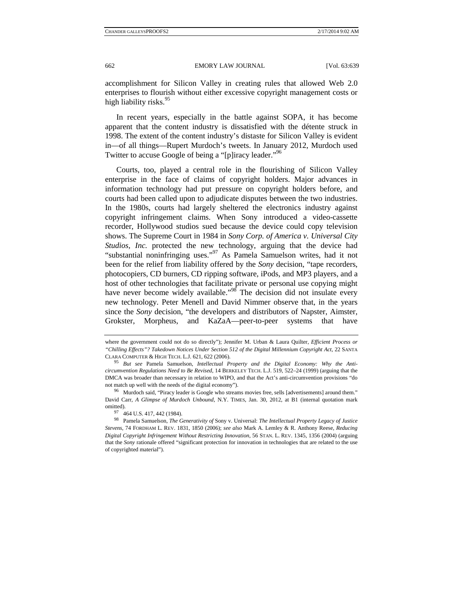accomplishment for Silicon Valley in creating rules that allowed Web 2.0 enterprises to flourish without either excessive copyright management costs or high liability risks.<sup>95</sup>

In recent years, especially in the battle against SOPA, it has become apparent that the content industry is dissatisfied with the détente struck in 1998. The extent of the content industry's distaste for Silicon Valley is evident in—of all things—Rupert Murdoch's tweets. In January 2012, Murdoch used Twitter to accuse Google of being a "[p]iracy leader."<sup>96</sup>

Courts, too, played a central role in the flourishing of Silicon Valley enterprise in the face of claims of copyright holders. Major advances in information technology had put pressure on copyright holders before, and courts had been called upon to adjudicate disputes between the two industries. In the 1980s, courts had largely sheltered the electronics industry against copyright infringement claims. When Sony introduced a video-cassette recorder, Hollywood studios sued because the device could copy television shows. The Supreme Court in 1984 in *Sony Corp. of America v. Universal City Studios, Inc.* protected the new technology, arguing that the device had "substantial noninfringing uses."<sup>97</sup> As Pamela Samuelson writes, had it not been for the relief from liability offered by the *Sony* decision, "tape recorders, photocopiers, CD burners, CD ripping software, iPods, and MP3 players, and a host of other technologies that facilitate private or personal use copying might have never become widely available."<sup>98</sup> The decision did not insulate every new technology. Peter Menell and David Nimmer observe that, in the years since the *Sony* decision, "the developers and distributors of Napster, Aimster, Grokster, Morpheus, and KaZaA—peer-to-peer systems that have

where the government could not do so directly"); Jennifer M. Urban & Laura Quilter, *Efficient Process or "Chilling Effects"? Takedown Notices Under Section 512 of the Digital Millennium Copyright Act*, 22 SANTA

CLARA COMPUTER & HIGH TECH. L.J. 621, 622 (2006). 95 *But see* Pamela Samuelson, *Intellectual Property and the Digital Economy: Why the Anticircumvention Regulations Need to Be Revised*, 14 BERKELEY TECH. L.J. 519, 522–24 (1999) (arguing that the DMCA was broader than necessary in relation to WIPO, and that the Act's anti-circumvention provisions "do

not match up well with the needs of the digital economy"). <sup>96</sup> Murdoch said, "Piracy leader is Google who streams movies free, sells [advertisements] around them." David Carr, *A Glimpse of Murdoch Unbound*, N.Y. TIMES, Jan. 30, 2012, at B1 (internal quotation mark

<sup>97 464</sup> U.S. 417, 442 (1984).

<sup>98</sup> Pamela Samuelson, *The Generativity of* Sony v. Universal: *The Intellectual Property Legacy of Justice Stevens*, 74 FORDHAM L. REV. 1831, 1850 (2006); *see also* Mark A. Lemley & R. Anthony Reese, *Reducing Digital Copyright Infringement Without Restricting Innovation*, 56 STAN. L. REV. 1345, 1356 (2004) (arguing that the *Sony* rationale offered "significant protection for innovation in technologies that are related to the use of copyrighted material").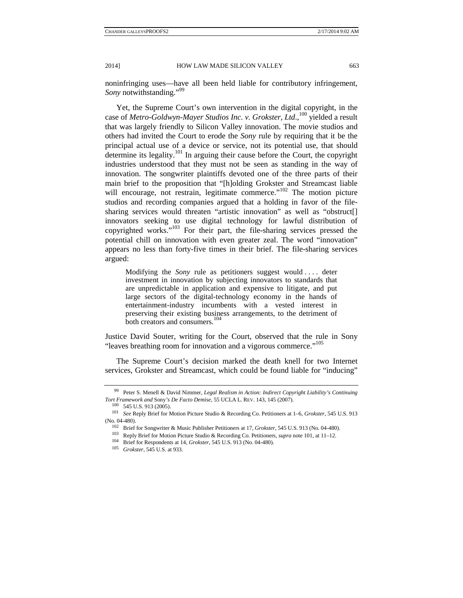noninfringing uses—have all been held liable for contributory infringement, *Sony* notwithstanding."<sup>99</sup>

Yet, the Supreme Court's own intervention in the digital copyright, in the case of *Metro-Goldwyn-Mayer Studios Inc. v. Grokster, Ltd.*,<sup>100</sup> yielded a result that was largely friendly to Silicon Valley innovation. The movie studios and others had invited the Court to erode the *Sony* rule by requiring that it be the principal actual use of a device or service, not its potential use, that should determine its legality.<sup>101</sup> In arguing their cause before the Court, the copyright industries understood that they must not be seen as standing in the way of innovation. The songwriter plaintiffs devoted one of the three parts of their main brief to the proposition that "[h]olding Grokster and Streamcast liable will encourage, not restrain, legitimate commerce."<sup>102</sup> The motion picture studios and recording companies argued that a holding in favor of the filesharing services would threaten "artistic innovation" as well as "obstruct[] innovators seeking to use digital technology for lawful distribution of copyrighted works."103 For their part, the file-sharing services pressed the potential chill on innovation with even greater zeal. The word "innovation" appears no less than forty-five times in their brief. The file-sharing services argued:

Modifying the *Sony* rule as petitioners suggest would ... deter investment in innovation by subjecting innovators to standards that are unpredictable in application and expensive to litigate, and put large sectors of the digital-technology economy in the hands of entertainment-industry incumbents with a vested interest in preserving their existing business arrangements, to the detriment of both creators and consumers.<sup>104</sup>

Justice David Souter, writing for the Court, observed that the rule in Sony "leaves breathing room for innovation and a vigorous commerce."<sup>105</sup>

The Supreme Court's decision marked the death knell for two Internet services, Grokster and Streamcast, which could be found liable for "inducing"

<sup>99</sup> Peter S. Menell & David Nimmer, *Legal Realism in Action: Indirect Copyright Liability's Continuing*  Tort Framework and Sony's De Facto Demise, 55 UCLA L. REV. 143, 145 (2007).<br><sup>100</sup> 545 U.S. 913 (2005).<br><sup>101</sup> *See* Reply Brief for Motion Picture Studio & Recording Co. Petitioners at 1–6, *Grokster*, 545 U.S. 913

<sup>(</sup>No. 04-480).<br>
<sup>102</sup> Brief for Songwriter & Music Publisher Petitioners at 17, *Grokster*, 545 U.S. 913 (No. 04-480).<br>
<sup>103</sup> Reply Brief for Motion Picture Studio & Recording Co. Petitioners, *supra* note 101, at 11–12.<br>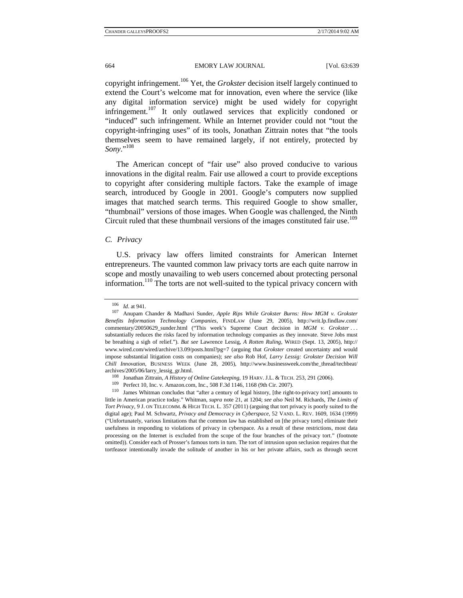copyright infringement.106 Yet, the *Grokster* decision itself largely continued to extend the Court's welcome mat for innovation, even where the service (like any digital information service) might be used widely for copyright infringement.<sup>107</sup> It only outlawed services that explicitly condoned or "induced" such infringement. While an Internet provider could not "tout the copyright-infringing uses" of its tools, Jonathan Zittrain notes that "the tools themselves seem to have remained largely, if not entirely, protected by *Sony*."<sup>108</sup>

The American concept of "fair use" also proved conducive to various innovations in the digital realm. Fair use allowed a court to provide exceptions to copyright after considering multiple factors. Take the example of image search, introduced by Google in 2001. Google's computers now supplied images that matched search terms. This required Google to show smaller, "thumbnail" versions of those images. When Google was challenged, the Ninth Circuit ruled that these thumbnail versions of the images constituted fair use.<sup>109</sup>

## *C. Privacy*

U.S. privacy law offers limited constraints for American Internet entrepreneurs. The vaunted common law privacy torts are each quite narrow in scope and mostly unavailing to web users concerned about protecting personal information.<sup>110</sup> The torts are not well-suited to the typical privacy concern with

<sup>106</sup> *Id.* at 941.<br><sup>107</sup> Anupam Chander & Madhavi Sunder, *Apple Rips While Grokster Burns: How MGM v. Grokster Benefits Information Technology Companies*, FINDLAW (June 29, 2005), http://writ.lp.findlaw.com/ commentary/20050629\_sunder.html ("This week's Supreme Court decision in *MGM v. Grokster* . . . substantially reduces the risks faced by information technology companies as they innovate. Steve Jobs must be breathing a sigh of relief."). *But see* Lawrence Lessig, *A Rotten Ruling*, WIRED (Sept. 13, 2005), http:// www.wired.com/wired/archive/13.09/posts.html?pg=7 (arguing that *Grokster* created uncertainty and would impose substantial litigation costs on companies); *see also* Rob Hof, *Larry Lessig: Grokster Decision Will Chill Innovation*, BUSINESS WEEK (June 28, 2005), http://www.businessweek.com/the\_thread/techbeat/ archives/2005/06/larry\_lessig\_gr.html.

<sup>&</sup>lt;sup>108</sup> Jonathan Zittrain, *A History of Online Gatekeeping*, 19 HARV. J.L. & TECH. 253, 291 (2006).<br><sup>109</sup> Perfect 10, Inc. v. Amazon.com, Inc., 508 F.3d 1146, 1168 (9th Cir. 2007).<br><sup>110</sup> James Whitman concludes that "after

little in American practice today." Whitman, *supra* note 21, at 1204; *see also* Neil M. Richards, *The Limits of Tort Privacy*, 9 J. ON TELECOMM. & HIGH TECH. L. 357 (2011) (arguing that tort privacy is poorly suited to the digital age); Paul M. Schwartz, *Privacy and Democracy in Cyberspace*, 52 VAND. L. REV. 1609, 1634 (1999) ("Unfortunately, various limitations that the common law has established on [the privacy torts] eliminate their usefulness in responding to violations of privacy in cyberspace. As a result of these restrictions, most data processing on the Internet is excluded from the scope of the four branches of the privacy tort." (footnote omitted)). Consider each of Prosser's famous torts in turn. The tort of intrusion upon seclusion requires that the tortfeasor intentionally invade the solitude of another in his or her private affairs, such as through secret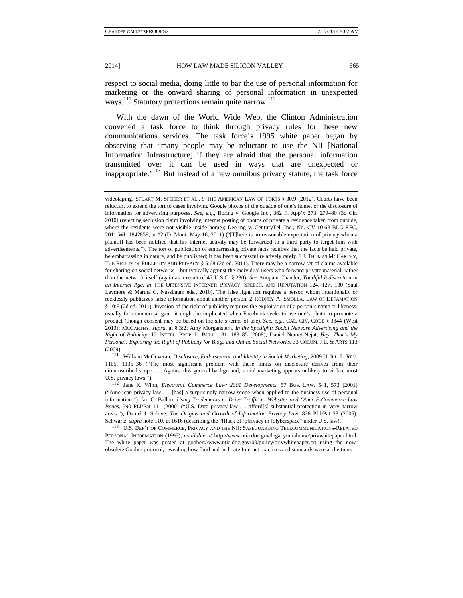respect to social media, doing little to bar the use of personal information for marketing or the onward sharing of personal information in unexpected ways.<sup>111</sup> Statutory protections remain quite narrow.<sup>112</sup>

With the dawn of the World Wide Web, the Clinton Administration convened a task force to think through privacy rules for these new communications services. The task force's 1995 white paper began by observing that "many people may be reluctant to use the NII [National Information Infrastructure] if they are afraid that the personal information transmitted over it can be used in ways that are unexpected or inappropriate."113 But instead of a new omnibus privacy statute, the task force

1105, 1135–36 ("The most significant problem with these limits on disclosure derives from their circumscribed scope. . . . Against this general background, social marketing appears unlikely to violate most U.S. privacy laws."). 112 Jane K. Winn, *Electronic Commerce Law: 2001 Developments*, 57 BUS. LAW. 541, 573 (2001)

("American privacy law . . . [has] a surprisingly narrow scope when applied to the business use of personal information."); Ian C. Ballon, *Using Trademarks to Drive Traffic to Websites and Other E-Commerce Law Issues*, 590 PLI/Pat 111 (2000) ("U.S. Data privacy law . . . afford[s] substantial protection in very narrow areas."); Daniel J. Solove, *The Origins and Growth of Information Privacy Law*, 828 PLI/Pat 23 (2005); Schwartz, *supra* note 110, at 1616 (describing the "[l]ack of [p]rivacy in [c]yberspace" under U.S. law).<br><sup>113</sup> U.S. DEP'T OF COMMERCE, PRIVACY AND THE NII: SAFEGUARDING TELECOMMUNICATIONS-RELATED

PERSONAL INFORMATION (1995), *available at* http://www.ntia.doc.gov/legacy/ntiahome/privwhitepaper.html. The white paper was posted at gopher://www.ntia.doc.gov/00/policy/privwhitepaper.txt using the nowobsolete Gopher protocol, revealing how fluid and inchoate Internet practices and standards were at the time.

videotaping. STUART M. SPEISER ET AL., 9 THE AMERICAN LAW OF TORTS § 30.9 (2012). Courts have been reluctant to extend the tort to cases involving Google photos of the outside of one's home, or the disclosure of information for advertising purposes. *See, e.g.*, Boring v. Google Inc., 362 F. App'x 273, 279–80 (3d Cir. 2010) (rejecting seclusion claim involving Internet posting of photos of private a residence taken from outside, where the residents were not visible inside home); Deering v. CenturyTel, Inc., No. CV-10-63-BLG-RFC, 2011 WL 1842859, at \*2 (D. Mont. May 16, 2011) ("[T]here is no reasonable expectation of privacy when a plaintiff has been notified that his Internet activity may be forwarded to a third party to target him with advertisements."). The tort of publication of embarrassing private facts requires that the facts be held private, be embarrassing in nature, and be published; it has been successful relatively rarely. 1 J. THOMAS MCCARTHY, THE RIGHTS OF PUBLICITY AND PRIVACY § 5:68 (2d ed. 2011). There may be a narrow set of claims available for sharing on social networks—but typically against the individual users who forward private material, rather than the network itself (again as a result of 47 U.S.C. § 230). *See* Anupam Chander, *Youthful Indiscretion in an Internet Age*, *in* THE OFFENSIVE INTERNET: PRIVACY, SPEECH, AND REPUTATION 124, 127, 130 (Saul Levmore & Martha C. Nussbaum eds., 2010). The false light tort requires a person whom intentionally or recklessly publicizes false information about another person. 2 RODNEY A. SMOLLA, LAW OF DEFAMATION § 10:8 (2d ed. 2011). Invasion of the right of publicity requires the exploitation of a person's name or likeness, usually for commercial gain; it might be implicated when Facebook seeks to use one's photo to promote a product (though consent may be based on the site's terms of use). *See, e.g.*, CAL. CIV. CODE § 3344 (West 2013); MCCARTHY, *supra*, at § 3:2; Amy Morganstern, *In the Spotlight: Social Network Advertising and the Right of Publicity*, 12 INTELL. PROP. L. BULL. 181, 183–85 (2008); Daniel Nemet-Nejat, *Hey, That's My Persona!: Exploring the Right of Publicity for Blogs and Online Social Networks*, 33 COLUM. J.L. & ARTS 113 (2009). 111 William McGeveran, *Disclosure, Endorsement, and Identity in Social Marketing*, 2009 U. ILL. L. REV.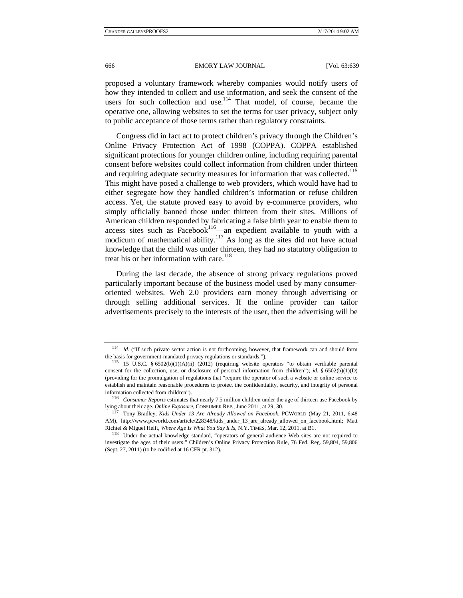proposed a voluntary framework whereby companies would notify users of how they intended to collect and use information, and seek the consent of the users for such collection and use.<sup>114</sup> That model, of course, became the operative one, allowing websites to set the terms for user privacy, subject only to public acceptance of those terms rather than regulatory constraints.

Congress did in fact act to protect children's privacy through the Children's Online Privacy Protection Act of 1998 (COPPA). COPPA established significant protections for younger children online, including requiring parental consent before websites could collect information from children under thirteen and requiring adequate security measures for information that was collected.<sup>115</sup> This might have posed a challenge to web providers, which would have had to either segregate how they handled children's information or refuse children access. Yet, the statute proved easy to avoid by e-commerce providers, who simply officially banned those under thirteen from their sites. Millions of American children responded by fabricating a false birth year to enable them to access sites such as Facebook<sup>116</sup>—an expedient available to youth with a modicum of mathematical ability.<sup>117</sup> As long as the sites did not have actual knowledge that the child was under thirteen, they had no statutory obligation to treat his or her information with care.<sup>118</sup>

During the last decade, the absence of strong privacy regulations proved particularly important because of the business model used by many consumeroriented websites. Web 2.0 providers earn money through advertising or through selling additional services. If the online provider can tailor advertisements precisely to the interests of the user, then the advertising will be

<sup>114</sup> *Id.* ("If such private sector action is not forthcoming, however, that framework can and should form the basis for government-mandated privacy regulations or standards.").<br><sup>115</sup> 15 U.S.C. § 6502(b)(1)(A)(ii) (2012) (requiring website operators "to obtain verifiable parental

consent for the collection, use, or disclosure of personal information from children"); *id.* § 6502(b)(1)(D) (providing for the promulgation of regulations that "require the operator of such a website or online service to establish and maintain reasonable procedures to protect the confidentiality, security, and integrity of personal information collected from children"). 116 *Consumer Reports* estimates that nearly 7.5 million children under the age of thirteen use Facebook by

lying about their age. *Online Exposure*, CONSUMER REP., June 2011, at 29, 30. 117 Tony Bradley, *Kids Under 13 Are Already Allowed on Facebook*, PCWORLD (May 21, 2011, 6:48

AM), http://www.pcworld.com/article/228348/kids\_under\_13\_are\_already\_allowed\_on\_facebook.html; Matt

Richtel & Miguel Helft, *Where Age Is What You Say It Is*, N.Y. TIMES, Mar. 12, 2011, at B1.<br><sup>118</sup> Under the actual knowledge standard, "operators of general audience Web sites are not required to investigate the ages of their users." Children's Online Privacy Protection Rule, 76 Fed. Reg. 59,804, 59,806 (Sept. 27, 2011) (to be codified at 16 CFR pt. 312).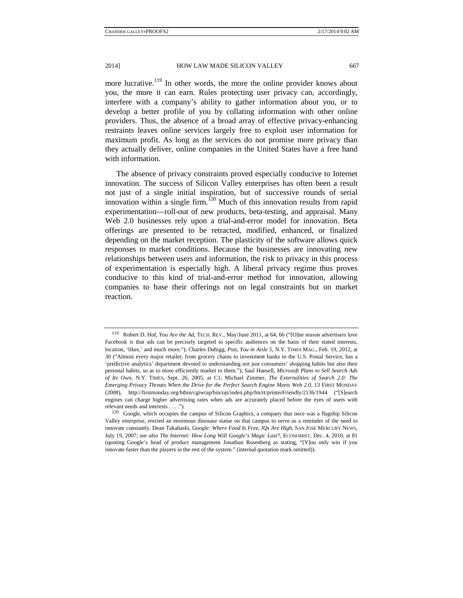more lucrative.<sup>119</sup> In other words, the more the online provider knows about you, the more it can earn. Rules protecting user privacy can, accordingly, interfere with a company's ability to gather information about you, or to develop a better profile of you by collating information with other online providers. Thus, the absence of a broad array of effective privacy-enhancing restraints leaves online services largely free to exploit user information for maximum profit. As long as the services do not promise more privacy than they actually deliver, online companies in the United States have a free hand with information.

The absence of privacy constraints proved especially conducive to Internet innovation. The success of Silicon Valley enterprises has often been a result not just of a single initial inspiration, but of successive rounds of serial innovation within a single firm.<sup>120</sup> Much of this innovation results from rapid experimentation—roll-out of new products, beta-testing, and appraisal. Many Web 2.0 businesses rely upon a trial-and-error model for innovation. Beta offerings are presented to be retracted, modified, enhanced, or finalized depending on the market reception. The plasticity of the software allows quick responses to market conditions. Because the businesses are innovating new relationships between users and information, the risk to privacy in this process of experimentation is especially high. A liberal privacy regime thus proves conducive to this kind of trial-and-error method for innovation, allowing companies to base their offerings not on legal constraints but on market reaction.

<sup>119</sup> Robert D. Hof, *You Are the Ad*, TECH. REV., May/June 2011, at 64, 66 ("[O]ne reason advertisers love Facebook is that ads can be precisely targeted to specific audiences on the basis of their stated interests, location, 'likes,' and much more."); Charles Duhigg, *Psst, You in Aisle 5*, N.Y. TIMES MAG., Feb. 19, 2012, at 30 ("Almost every major retailer, from grocery chains to investment banks to the U.S. Postal Service, has a 'predictive analytics' department devoted to understanding not just consumers' shopping habits but also their personal habits, so as to more efficiently market to them."); Saul Hansell, *Microsoft Plans to Sell Search Ads of Its Own*, N.Y. TIMES, Sept. 26, 2005, at C1; Michael Zimmer, *The Externalities of Search 2.0: The Emerging Privacy Threats When the Drive for the Perfect Search Engine Meets Web 2.0*, 13 FIRST MONDAY (2008), http://firstmonday.org/htbin/cgiwrap/bin/ojs/index.php/fm/rt/printerFriendly/2136/1944 ("[S]earch engines can charge higher advertising rates when ads are accurately placed before the eyes of users with relevant needs and interests . . . .").<br><sup>120</sup> Google, which occupies the campus of Silicon Graphics, a company that once was a flagship Silicon

Valley enterprise, erected an enormous dinosaur statue on that campus to serve as a reminder of the need to innovate constantly. Dean Takahashi, *Google: Where Food Is Free, IQs Are High*, SAN JOSE MERCURY NEWS, July 19, 2007; *see also The Internet: How Long Will Google's Magic Last?*, ECONOMIST, Dec. 4, 2010, at 81 (quoting Google's head of product management Jonathan Rosenberg as stating, "[Y]ou only win if you innovate faster than the players in the rest of the system." (internal quotation mark omitted)).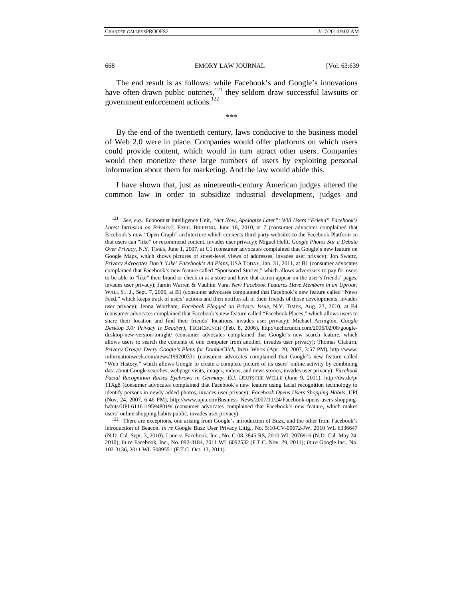The end result is as follows: while Facebook's and Google's innovations have often drawn public outcries,<sup>121</sup> they seldom draw successful lawsuits or government enforcement actions.<sup>122</sup>

\*\*\*

By the end of the twentieth century, laws conducive to the business model of Web 2.0 were in place. Companies would offer platforms on which users could provide content, which would in turn attract other users. Companies would then monetize these large numbers of users by exploiting personal information about them for marketing. And the law would abide this.

I have shown that, just as nineteenth-century American judges altered the common law in order to subsidize industrial development, judges and

<sup>121</sup> *See, e.g.*, Economist Intelligence Unit, *"Act Now, Apologize Later": Will Users "Friend" Facebook's Latest Intrusion on Privacy?*, EXEC. BRIEFING, June 18, 2010, at 7 (consumer advocates complained that Facebook's new "Open Graph" architecture which connects third-party websites to the Facebook Platform so that users can "like" or recommend content, invades user privacy); Miguel Helft, *Google Photos Stir a Debate Over Privacy*, N.Y. TIMES, June 1, 2007, at C1 (consumer advocates complained that Google's new feature on Google Maps, which shows pictures of street-level views of addresses, invades user privacy); Jon Swartz, *Privacy Advocates Don't 'Like' Facebook's Ad Plans*, USA TODAY, Jan. 31, 2011, at B1 (consumer advocates complained that Facebook's new feature called "Sponsored Stories," which allows advertisers to pay for users to be able to "like" their brand or check in at a store and have that action appear on the user's friends' pages, invades user privacy); Jamin Warren & Vauhini Vara, *New Facebook Features Have Members in an Uproar*, WALL ST. J., Sept. 7, 2006, at B1 (consumer advocates complained that Facebook's new feature called "News Feed," which keeps track of users' actions and then notifies all of their friends of those developments, invades user privacy); Jenna Wortham, *Facebook Flagged on Privacy Issue*, N.Y. TIMES, Aug. 23, 2010, at B4 (consumer advocates complained that Facebook's new feature called "Facebook Places," which allows users to share their location and find their friends' locations, invades user privacy); Michael Arrington, *Google Desktop 3.0: Privacy Is Dead(er)*, TECHCRUNCH (Feb. 8, 2006), http://techcrunch.com/2006/02/08/googledesktop-new-version-tonight/ (consumer advocates complained that Google's new search feature, which allows users to search the contents of one computer from another, invades user privacy); Thomas Claburn, *Privacy Groups Decry Google's Plans for DoubleClick*, INFO. WEEK (Apr. 20, 2007, 3:57 PM), http://www. informationweek.com/news/199200331 (consumer advocates complained that Google's new feature called "Web History," which allows Google to create a complete picture of its users' online activity by combining data about Google searches, webpage visits, images, videos, and news stories, invades user privacy); *Facebook Facial Recognition Raises Eyebrows in Germany, EU*, DEUTSCHE WELLE (June 9, 2011), http://dw.de/p/ 11Xg8 (consumer advocates complained that Facebook's new feature using facial recognition technology to identify persons in newly added photos, invades user privacy); *Facebook Opens Users Shopping Habits*, UPI (Nov. 24, 2007, 6:46 PM), http://www.upi.com/Business\_News/2007/11/24/Facebook-opens-users-shoppinghabits/UPI-61161195948019/ (consumer advocates complained that Facebook's new feature, which makes

users' online shopping habits public, invades user privacy).<br><sup>122</sup> There are exceptions, one arising from Google's introduction of Buzz, and the other from Facebook's introduction of Beacon. *In re* Google Buzz User Privacy Litig., No. 5:10-CV-00672-JW, 2010 WL 6336647 (N.D. Cal. Sept. 3, 2010); Lane v. Facebook, Inc., No. C 08-3845 RS, 2010 WL 2076916 (N.D. Cal. May 24, 2010); *In re* Facebook, Inc., No. 092-3184, 2011 WL 6092532 (F.T.C. Nov. 29, 2011); *In re* Google Inc., No. 102-3136, 2011 WL 5089551 (F.T.C. Oct. 13, 2011).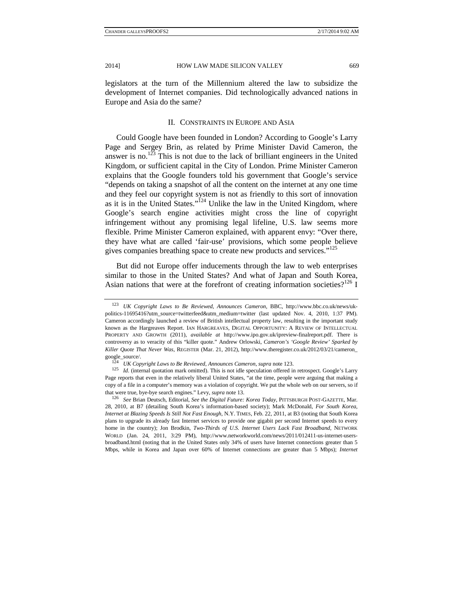legislators at the turn of the Millennium altered the law to subsidize the development of Internet companies. Did technologically advanced nations in Europe and Asia do the same?

## II. CONSTRAINTS IN EUROPE AND ASIA

Could Google have been founded in London? According to Google's Larry Page and Sergey Brin, as related by Prime Minister David Cameron, the answer is no.<sup>123</sup> This is not due to the lack of brilliant engineers in the United Kingdom, or sufficient capital in the City of London. Prime Minister Cameron explains that the Google founders told his government that Google's service "depends on taking a snapshot of all the content on the internet at any one time and they feel our copyright system is not as friendly to this sort of innovation as it is in the United States."<sup>124</sup> Unlike the law in the United Kingdom, where Google's search engine activities might cross the line of copyright infringement without any promising legal lifeline, U.S. law seems more flexible. Prime Minister Cameron explained, with apparent envy: "Over there, they have what are called 'fair-use' provisions, which some people believe gives companies breathing space to create new products and services."<sup>125</sup>

But did not Europe offer inducements through the law to web enterprises similar to those in the United States? And what of Japan and South Korea, Asian nations that were at the forefront of creating information societies?<sup>126</sup> I

28, 2010, at B7 (detailing South Korea's information-based society); Mark McDonald, *For South Korea, Internet at Blazing Speeds Is Still Not Fast Enough*, N.Y. TIMES, Feb. 22, 2011, at B3 (noting that South Korea plans to upgrade its already fast Internet services to provide one gigabit per second Internet speeds to every home in the country); Jon Brodkin, *Two-Thirds of U.S. Internet Users Lack Fast Broadband*, NETWORK WORLD (Jan. 24, 2011, 3:29 PM), http://www.networkworld.com/news/2011/012411-us-internet-usersbroadband.html (noting that in the United States only 34% of users have Internet connections greater than 5 Mbps, while in Korea and Japan over 60% of Internet connections are greater than 5 Mbps); *Internet* 

<sup>123</sup> *UK Copyright Laws to Be Reviewed, Announces Cameron*, BBC, http://www.bbc.co.uk/news/ukpolitics-11695416?utm\_source=twitterfeed&utm\_medium=twitter (last updated Nov. 4, 2010, 1:37 PM). Cameron accordingly launched a review of British intellectual property law, resulting in the important study known as the Hargreaves Report. IAN HARGREAVES, DIGITAL OPPORTUNITY: A REVIEW OF INTELLECTUAL PROPERTY AND GROWTH (2011), *available at* http://www.ipo.gov.uk/ipreview-finalreport.pdf. There is controversy as to veracity of this "killer quote." Andrew Orlowski, *Cameron's 'Google Review' Sparked by Killer Quote That Never Was*, REGISTER (Mar. 21, 2012), http://www.theregister.co.uk/2012/03/21/cameron\_ google\_source/.<br><sup>124</sup> *UK Copyright Laws to Be Reviewed, Announces Cameron, supra* note 123.<br><sup>125</sup> *Id.* (internal quotation mark omitted). This is not idle speculation offered in retrospect. Google's Larry

Page reports that even in the relatively liberal United States, "at the time, people were arguing that making a copy of a file in a computer's memory was a violation of copyright. We put the whole web on our servers, so if that were true, bye-bye search engines." Levy, *supra* note 13. 126 *See* Brian Deutsch, Editorial, *See the Digital Future: Korea Today*, PITTSBURGH POST-GAZETTE, Mar.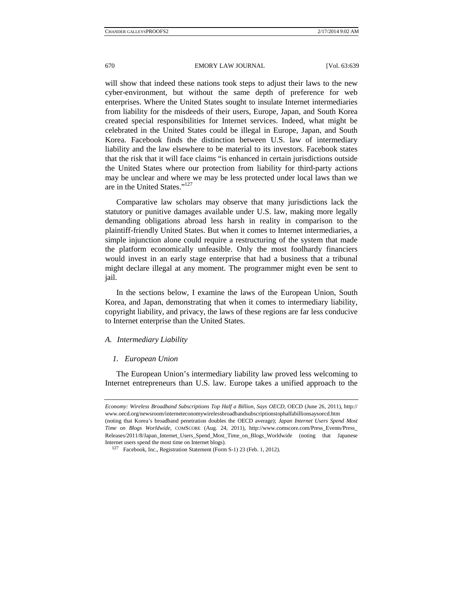will show that indeed these nations took steps to adjust their laws to the new cyber-environment, but without the same depth of preference for web enterprises. Where the United States sought to insulate Internet intermediaries from liability for the misdeeds of their users, Europe, Japan, and South Korea created special responsibilities for Internet services. Indeed, what might be celebrated in the United States could be illegal in Europe, Japan, and South Korea. Facebook finds the distinction between U.S. law of intermediary liability and the law elsewhere to be material to its investors. Facebook states that the risk that it will face claims "is enhanced in certain jurisdictions outside the United States where our protection from liability for third-party actions may be unclear and where we may be less protected under local laws than we are in the United States."<sup>127</sup>

Comparative law scholars may observe that many jurisdictions lack the statutory or punitive damages available under U.S. law, making more legally demanding obligations abroad less harsh in reality in comparison to the plaintiff-friendly United States. But when it comes to Internet intermediaries, a simple injunction alone could require a restructuring of the system that made the platform economically unfeasible. Only the most foolhardy financiers would invest in an early stage enterprise that had a business that a tribunal might declare illegal at any moment. The programmer might even be sent to jail.

In the sections below, I examine the laws of the European Union, South Korea, and Japan, demonstrating that when it comes to intermediary liability, copyright liability, and privacy, the laws of these regions are far less conducive to Internet enterprise than the United States.

## *A. Intermediary Liability*

#### *1. European Union*

The European Union's intermediary liability law proved less welcoming to Internet entrepreneurs than U.S. law. Europe takes a unified approach to the

*Economy: Wireless Broadband Subscriptions Top Half a Billion, Says OECD*, OECD (June 26, 2011), http:// www.oecd.org/newsroom/interneteconomywirelessbroadbandsubscriptionstophalfabillionsaysoecd.htm (noting that Korea's broadband penetration doubles the OECD average); *Japan Internet Users Spend Most Time on Blogs Worldwide*, COMSCORE (Aug. 24, 2011), http://www.comscore.com/Press\_Events/Press\_ Releases/2011/8/Japan\_Internet\_Users\_Spend\_Most\_Time\_on\_Blogs\_Worldwide (noting that Japanese

Internet users spend the most time on Internet blogs). 127 Facebook, Inc., Registration Statement (Form S-1) 23 (Feb. 1, 2012).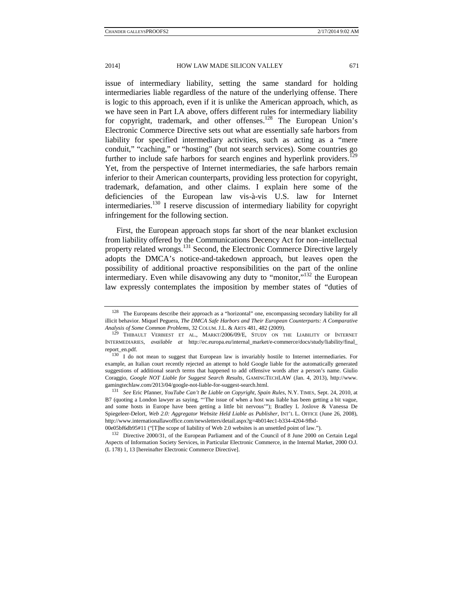issue of intermediary liability, setting the same standard for holding intermediaries liable regardless of the nature of the underlying offense. There is logic to this approach, even if it is unlike the American approach, which, as we have seen in Part I.A above, offers different rules for intermediary liability for copyright, trademark, and other offenses.<sup>128</sup> The European Union's Electronic Commerce Directive sets out what are essentially safe harbors from liability for specified intermediary activities, such as acting as a "mere conduit," "caching," or "hosting" (but not search services). Some countries go further to include safe harbors for search engines and hyperlink providers.<sup>129</sup> Yet, from the perspective of Internet intermediaries, the safe harbors remain inferior to their American counterparts, providing less protection for copyright, trademark, defamation, and other claims. I explain here some of the deficiencies of the European law vis-à-vis U.S. law for Internet intermediaries.130 I reserve discussion of intermediary liability for copyright infringement for the following section.

First, the European approach stops far short of the near blanket exclusion from liability offered by the Communications Decency Act for non–intellectual property related wrongs.<sup>131</sup> Second, the Electronic Commerce Directive largely adopts the DMCA's notice-and-takedown approach, but leaves open the possibility of additional proactive responsibilities on the part of the online intermediary. Even while disavowing any duty to "monitor,"<sup>132</sup> the European law expressly contemplates the imposition by member states of "duties of

<sup>&</sup>lt;sup>128</sup> The Europeans describe their approach as a "horizontal" one, encompassing secondary liability for all illicit behavior. Miquel Peguera, *The DMCA Safe Harbors and Their European Counterparts: A Comparative* 

*Analysis of Some Common Problems*, 32 COLUM. J.L. & ARTS 481, 482 (2009). 129 THIBAULT VERBIEST ET AL., MARKT/2006/09/E, STUDY ON THE LIABILITY OF INTERNET INTERMEDIARIES, *available at* http://ec.europa.eu/internal\_market/e-commerce/docs/study/liability/final\_ report\_en.pdf. 130 I do not mean to suggest that European law is invariably hostile to Internet intermediaries. For

example, an Italian court recently rejected an attempt to hold Google liable for the automatically generated suggestions of additional search terms that happened to add offensive words after a person's name. Giulio Coraggio, *Google NOT Liable for Suggest Search Results*, GAMINGTECHLAW (Jan. 4, 2013), http://www. gamingtechlaw.com/2013/04/google-not-liable-for-suggest-search.html. 131 *See* Eric Pfanner, *YouTube Can't Be Liable on Copyright, Spain Rules*, N.Y. TIMES, Sept. 24, 2010, at

B7 (quoting a London lawyer as saying, "'The issue of when a host was liable has been getting a bit vague, and some hosts in Europe have been getting a little bit nervous'"); Bradley L Joslove & Vanessa De Spiegeleer-Delort, *Web 2.0: Aggregator Website Held Liable as Publisher*, INT'L L. OFFICE (June 26, 2008), http://www.internationallawoffice.com/newsletters/detail.aspx?g=4b014ec1-b334-4204-9fbd-

<sup>00</sup>e05bf6db95#11 ("[T]he scope of liability of Web 2.0 websites is an unsettled point of law.").<br><sup>132</sup> Directive 2000/31, of the European Parliament and of the Council of 8 June 2000 on Certain Legal Aspects of Information Society Services, in Particular Electronic Commerce, in the Internal Market, 2000 O.J.

<sup>(</sup>L 178) 1, 13 [hereinafter Electronic Commerce Directive].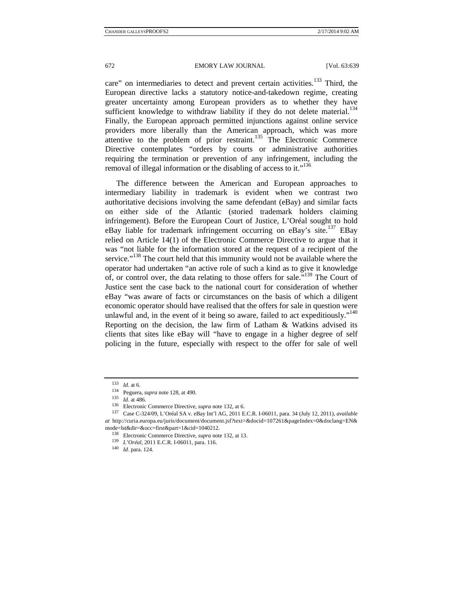672 EMORY LAW JOURNAL [Vol. 63:639

care" on intermediaries to detect and prevent certain activities.<sup>133</sup> Third, the European directive lacks a statutory notice-and-takedown regime, creating greater uncertainty among European providers as to whether they have sufficient knowledge to withdraw liability if they do not delete material.<sup>134</sup> Finally, the European approach permitted injunctions against online service providers more liberally than the American approach, which was more attentive to the problem of prior restraint.<sup>135</sup> The Electronic Commerce Directive contemplates "orders by courts or administrative authorities requiring the termination or prevention of any infringement, including the removal of illegal information or the disabling of access to it."<sup>136</sup>

The difference between the American and European approaches to intermediary liability in trademark is evident when we contrast two authoritative decisions involving the same defendant (eBay) and similar facts on either side of the Atlantic (storied trademark holders claiming infringement). Before the European Court of Justice, L'Oréal sought to hold eBay liable for trademark infringement occurring on eBay's site.<sup>137</sup> EBay relied on Article 14(1) of the Electronic Commerce Directive to argue that it was "not liable for the information stored at the request of a recipient of the service."<sup>138</sup> The court held that this immunity would not be available where the operator had undertaken "an active role of such a kind as to give it knowledge of, or control over, the data relating to those offers for sale."139 The Court of Justice sent the case back to the national court for consideration of whether eBay "was aware of facts or circumstances on the basis of which a diligent economic operator should have realised that the offers for sale in question were unlawful and, in the event of it being so aware, failed to act expeditiously."<sup>140</sup> Reporting on the decision, the law firm of Latham & Watkins advised its clients that sites like eBay will "have to engage in a higher degree of self policing in the future, especially with respect to the offer for sale of well

<sup>&</sup>lt;sup>133</sup> *Id.* at 6.<br>
<sup>134</sup> Peguera, *supra* note 128, at 490.<br>
<sup>135</sup> *Id.* at 486.<br>
<sup>136</sup> Electronic Commerce Directive, *supra* note 132, at 6.<br>
<sup>136</sup> Case C-324/09, L'Oréal SA v. eBay Int'l AG, 2011 E.C.R. I-06011, para. *at* http://curia.europa.eu/juris/document/document.jsf?text=&docid=107261&pageIndex=0&doclang=EN&

mode=lst&dir=&occ=first&part=1&cid=1040212. 138 Electronic Commerce Directive, *supra* note 132, at 13. 139 *L'Oréal*, 2011 E.C.R. I-06011, para. 116. 140 *Id*. para. 124.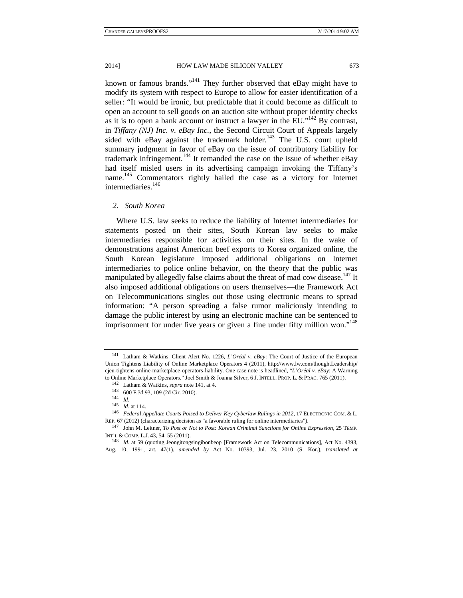known or famous brands."141 They further observed that eBay might have to modify its system with respect to Europe to allow for easier identification of a seller: "It would be ironic, but predictable that it could become as difficult to open an account to sell goods on an auction site without proper identity checks as it is to open a bank account or instruct a lawyer in the EU."<sup>142</sup> By contrast, in *Tiffany (NJ) Inc. v. eBay Inc.*, the Second Circuit Court of Appeals largely sided with eBay against the trademark holder.<sup>143</sup> The U.S. court upheld summary judgment in favor of eBay on the issue of contributory liability for trademark infringement.<sup>144</sup> It remanded the case on the issue of whether eBay had itself misled users in its advertising campaign invoking the Tiffany's name. 145 Commentators rightly hailed the case as a victory for Internet intermediaries.<sup>146</sup>

## *2. South Korea*

Where U.S. law seeks to reduce the liability of Internet intermediaries for statements posted on their sites, South Korean law seeks to make intermediaries responsible for activities on their sites. In the wake of demonstrations against American beef exports to Korea organized online, the South Korean legislature imposed additional obligations on Internet intermediaries to police online behavior, on the theory that the public was manipulated by allegedly false claims about the threat of mad cow disease.<sup>147</sup> It also imposed additional obligations on users themselves—the Framework Act on Telecommunications singles out those using electronic means to spread information: "A person spreading a false rumor maliciously intending to damage the public interest by using an electronic machine can be sentenced to imprisonment for under five years or given a fine under fifty million won."<sup>148</sup>

<sup>141</sup> Latham & Watkins, Client Alert No. 1226, *L'Oréal v. eBay*: The Court of Justice of the European Union Tightens Liability of Online Marketplace Operators 4 (2011), http://www.lw.com/thoughtLeadership/ cjeu-tightens-online-marketplace-operators-liability. One case note is headlined, "*L'Oréal v. eBay*: A Warning to Online Marketplace Operators." Joel Smith & Joanna Silver, 6 J. INTELL. PROP. L. & PRAC. 765 (2011). 142 Latham & Watkins, *supra* note 141, at 4.<br>143 600 F.3d 93, 109 (2d Cir. 2010). 144 *Id.*<br>145 *Id.* at 114.

<sup>&</sup>lt;sup>146</sup> *Federal Appellate Courts Poised to Deliver Key Cyberlaw Rulings in 2012*, 17 ELECTRONIC COM. & L. REP. 67 (2012) (characterizing decision as "a favorable ruling for online intermediaries").

<sup>147</sup> John M. Leitner, *To Post or Not to Post: Korean Criminal Sanctions for Online Expression*, 25 TEMP. INT'L & COMP. L.J. 43, 54–55 (2011). 148 *Id.* at 59 (quoting Jeongitongsingibonbeop [Framework Act on Telecommunications], Act No. 4393,

Aug. 10, 1991, art. 47(1), *amended by* Act No. 10393, Jul. 23, 2010 (S. Kor.), *translated at*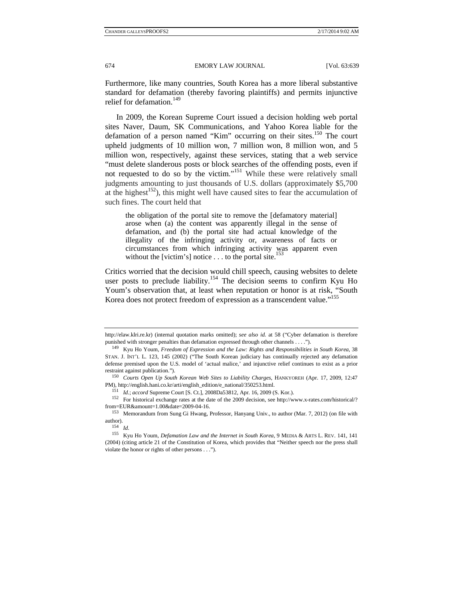Furthermore, like many countries, South Korea has a more liberal substantive standard for defamation (thereby favoring plaintiffs) and permits injunctive relief for defamation.<sup>149</sup>

In 2009, the Korean Supreme Court issued a decision holding web portal sites Naver, Daum, SK Communications, and Yahoo Korea liable for the defamation of a person named "Kim" occurring on their sites.<sup>150</sup> The court upheld judgments of 10 million won, 7 million won, 8 million won, and 5 million won, respectively, against these services, stating that a web service "must delete slanderous posts or block searches of the offending posts, even if not requested to do so by the victim."<sup>151</sup> While these were relatively small judgments amounting to just thousands of U.S. dollars (approximately \$5,700 at the highest<sup>152</sup>), this might well have caused sites to fear the accumulation of such fines. The court held that

the obligation of the portal site to remove the [defamatory material] arose when (a) the content was apparently illegal in the sense of defamation, and (b) the portal site had actual knowledge of the illegality of the infringing activity or, awareness of facts or circumstances from which infringing activity was apparent even without the [victim's] notice . . . to the portal site.<sup>153</sup>

Critics worried that the decision would chill speech, causing websites to delete user posts to preclude liability.<sup>154</sup> The decision seems to confirm Kyu Ho Youm's observation that, at least when reputation or honor is at risk, "South Korea does not protect freedom of expression as a transcendent value."<sup>155</sup>

http://elaw.klri.re.kr) (internal quotation marks omitted); *see also id.* at 58 ("Cyber defamation is therefore punished with stronger penalties than defamation expressed through other channels . . . ."). 149 Kyu Ho Youm, *Freedom of Expression and the Law: Rights and Responsibilities in South Korea*, 38

STAN. J. INT'L L. 123, 145 (2002) ("The South Korean judiciary has continually rejected any defamation defense premised upon the U.S. model of 'actual malice,' and injunctive relief continues to exist as a prior restraint against publication."). 150 *Courts Open Up South Korean Web Sites to Liability Charges*, HANKYOREH (Apr. 17, 2009, 12:47

PM), http://english.hani.co.kr/arti/english\_edition/e\_national/350253.html.<br>  $151$  Id.; accord Supreme Court [S. Ct.], 2008Da53812, Apr. 16, 2009 (S. Kor.).<br>
<sup>152</sup> For historical exchange rates at the date of the 2009 dec

<sup>&</sup>lt;sup>153</sup> Memorandum from Sung Gi Hwang, Professor, Hanyang Univ., to author (Mar. 7, 2012) (on file with author).<br> $154$  *Id.* 

<sup>155</sup> Kyu Ho Youm, *Defamation Law and the Internet in South Korea*, 9 MEDIA & ARTS L. REV. 141, 141 (2004) (citing article 21 of the Constitution of Korea, which provides that "Neither speech nor the press shall violate the honor or rights of other persons . . .").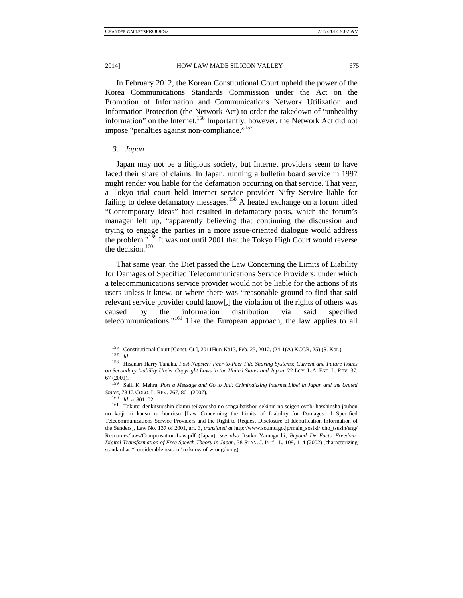In February 2012, the Korean Constitutional Court upheld the power of the Korea Communications Standards Commission under the Act on the Promotion of Information and Communications Network Utilization and Information Protection (the Network Act) to order the takedown of "unhealthy information" on the Internet.<sup>156</sup> Importantly, however, the Network Act did not impose "penalties against non-compliance."<sup>157</sup>

#### *3. Japan*

Japan may not be a litigious society, but Internet providers seem to have faced their share of claims. In Japan, running a bulletin board service in 1997 might render you liable for the defamation occurring on that service. That year, a Tokyo trial court held Internet service provider Nifty Service liable for failing to delete defamatory messages.<sup>158</sup> A heated exchange on a forum titled "Contemporary Ideas" had resulted in defamatory posts, which the forum's manager left up, "apparently believing that continuing the discussion and trying to engage the parties in a more issue-oriented dialogue would address the problem."159 It was not until 2001 that the Tokyo High Court would reverse the decision.<sup>160</sup>

That same year, the Diet passed the Law Concerning the Limits of Liability for Damages of Specified Telecommunications Service Providers, under which a telecommunications service provider would not be liable for the actions of its users unless it knew, or where there was "reasonable ground to find that said relevant service provider could know[,] the violation of the rights of others was caused by the information distribution via said specified telecommunications."161 Like the European approach, the law applies to all

<sup>156</sup> Constitutional Court [Const. Ct.], 2011Hun-Ka13, Feb. 23, 2012, (24-1(A) KCCR, 25) (S. Kor.). 157 *Id.*

<sup>158</sup> Hisanari Harry Tanaka, *Post-Napster: Peer-to-Peer File Sharing Systems: Current and Future Issues on Secondary Liability Under Copyright Laws in the United States and Japan*, 22 LOY. L.A. ENT. L. REV. 37,

<sup>67 (2001). 159</sup> Salil K. Mehra, *Post a Message and Go to Jail: Criminalizing Internet Libel in Japan and the United States*, 78 U. COLO. L. REV. 767, 801 (2007). 160 *Id.* at 801–02. 161 Tokutei denkitsuushin ekimu teikyousha no songaibaishou sekinin no seigen oyobi hasshinsha jouhou

no kaiji ni kansu ru houritsu [Law Concerning the Limits of Liability for Damages of Specified Telecommunications Service Providers and the Right to Request Disclosure of Identification Information of the Senders], Law No. 137 of 2001, art. 3, *translated at* http://www.soumu.go.jp/main\_sosiki/joho\_tsusin/eng/ Resources/laws/Compensation-Law.pdf (Japan); *see also* Itsuko Yamaguchi, *Beyond De Facto Freedom: Digital Transformation of Free Speech Theory in Japan*, 38 STAN. J. INT'L L. 109, 114 (2002) (characterizing standard as "considerable reason" to know of wrongdoing).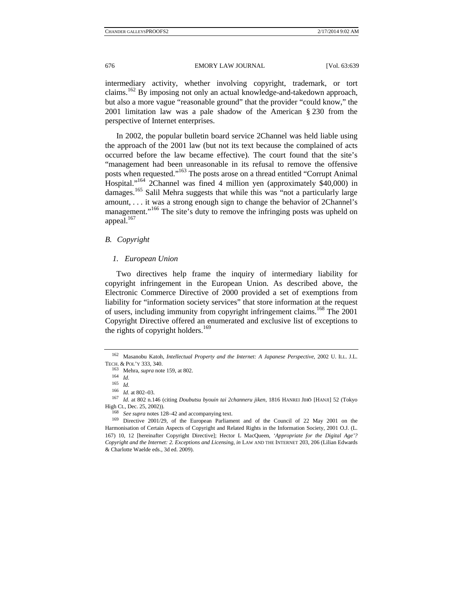intermediary activity, whether involving copyright, trademark, or tort claims.162 By imposing not only an actual knowledge-and-takedown approach, but also a more vague "reasonable ground" that the provider "could know," the 2001 limitation law was a pale shadow of the American § 230 from the perspective of Internet enterprises.

In 2002, the popular bulletin board service 2Channel was held liable using the approach of the 2001 law (but not its text because the complained of acts occurred before the law became effective). The court found that the site's "management had been unreasonable in its refusal to remove the offensive posts when requested."163 The posts arose on a thread entitled "Corrupt Animal Hospital."164 2Channel was fined 4 million yen (approximately \$40,000) in damages.<sup>165</sup> Salil Mehra suggests that while this was "not a particularly large amount, . . . it was a strong enough sign to change the behavior of 2Channel's management."<sup>166</sup> The site's duty to remove the infringing posts was upheld on appeal.<sup>167</sup>

## *B. Copyright*

## *1. European Union*

Two directives help frame the inquiry of intermediary liability for copyright infringement in the European Union. As described above, the Electronic Commerce Directive of 2000 provided a set of exemptions from liability for "information society services" that store information at the request of users, including immunity from copyright infringement claims.<sup>168</sup> The  $2001$ Copyright Directive offered an enumerated and exclusive list of exceptions to the rights of copyright holders. $169$ 

<sup>162</sup> Masanobu Katoh, *Intellectual Property and the Internet: A Japanese Perspective*, 2002 U. ILL. J.L. TECH. & POL'Y 333, 340. 163 Mehra, *supra* note 159, at 802. 164 *Id.*

 $\frac{165}{166}$  *Id.* at 802–03.

<sup>&</sup>lt;sup>167</sup> *Id.* at 802 n.146 (citing *Doubutsu byouin tai 2channeru jiken*, 1816 HANREI JIHŌ [HANJI] 52 (Tokyo High Ct., Dec. 25, 2002)).

High Ct., Dec. 25, 2002)). 168 *See supra* notes 128–42 and accompanying text. 169 Directive 2001/29, of the European Parliament and of the Council of 22 May 2001 on the Harmonisation of Certain Aspects of Copyright and Related Rights in the Information Society, 2001 O.J. (L. 167) 10, 12 [hereinafter Copyright Directive]; Hector L MacQueen, *'Appropriate for the Digital Age'? Copyright and the Internet: 2. Exceptions and Licensing*, *in* LAW AND THE INTERNET 203, 206 (Lilian Edwards & Charlotte Waelde eds., 3d ed. 2009).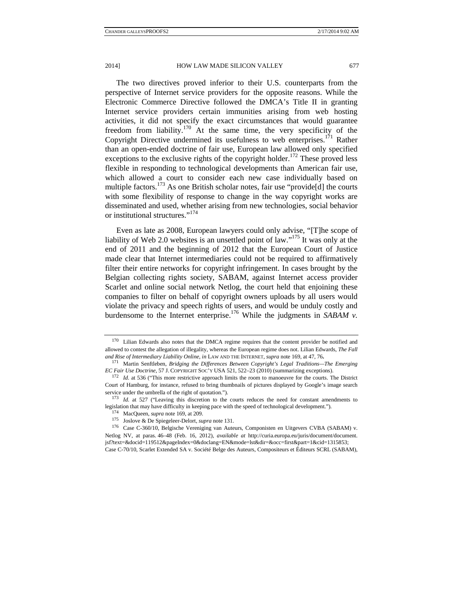The two directives proved inferior to their U.S. counterparts from the perspective of Internet service providers for the opposite reasons. While the Electronic Commerce Directive followed the DMCA's Title II in granting Internet service providers certain immunities arising from web hosting activities, it did not specify the exact circumstances that would guarantee freedom from liability.<sup>170</sup> At the same time, the very specificity of the Copyright Directive undermined its usefulness to web enterprises.<sup>171</sup> Rather than an open-ended doctrine of fair use, European law allowed only specified exceptions to the exclusive rights of the copyright holder.<sup>172</sup> These proved less flexible in responding to technological developments than American fair use, which allowed a court to consider each new case individually based on multiple factors.<sup>173</sup> As one British scholar notes, fair use "provide<sup>[d]</sup> the courts with some flexibility of response to change in the way copyright works are disseminated and used, whether arising from new technologies, social behavior or institutional structures."<sup>174</sup>

Even as late as 2008, European lawyers could only advise, "[T]he scope of liability of Web 2.0 websites is an unsettled point of law."175 It was only at the end of 2011 and the beginning of 2012 that the European Court of Justice made clear that Internet intermediaries could not be required to affirmatively filter their entire networks for copyright infringement. In cases brought by the Belgian collecting rights society, SABAM, against Internet access provider Scarlet and online social network Netlog, the court held that enjoining these companies to filter on behalf of copyright owners uploads by all users would violate the privacy and speech rights of users, and would be unduly costly and burdensome to the Internet enterprise.<sup>176</sup> While the judgments in *SABAM v.* 

<sup>&</sup>lt;sup>170</sup> Lilian Edwards also notes that the DMCA regime requires that the content provider be notified and allowed to contest the allegation of illegality, whereas the European regime does not. Lilian Edwards, *The Fall and Rise of Intermediary Liability Online*, *in* LAW AND THE INTERNET, *supra* note 169, at 47, 76**.** 

<sup>171</sup> Martin Senftleben, *Bridging the Differences Between Copyright's Legal Traditions—The Emerging EC Fair Use Doctrine*, 57 J. COPYRIGHT SOC'Y USA 521, 522–23 (2010) (summarizing exceptions).<br><sup>172</sup> *Id.* at 536 ("This more restrictive approach limits the room to manoeuvre for the courts. The District

Court of Hamburg, for instance, refused to bring thumbnails of pictures displayed by Google's image search

service under the umbrella of the right of quotation.").<br><sup>173</sup> *Id.* at 527 ("Leaving this discretion to the courts reduces the need for constant amendments to legislation that may have difficulty in keeping pace with the

<sup>&</sup>lt;sup>174</sup> MacQueen, *supra* note 169, at 209.<br><sup>175</sup> Joslove & De Spiegeleer-Delort, *supra* note 131.<br><sup>176</sup> Case C-360/10, Belgische Vereniging van Auteurs, Componisten en Uitgevers CVBA (SABAM) v. Netlog NV, at paras. 46–48 (Feb. 16, 2012), *available at* http://curia.europa.eu/juris/document/document. jsf?text=&docid=119512&pageIndex=0&doclang=EN&mode=lst&dir=&occ=first&part=1&cid=1315853; Case C-70/10, Scarlet Extended SA v. Société Belge des Auteurs, Compositeurs et Éditeurs SCRL (SABAM),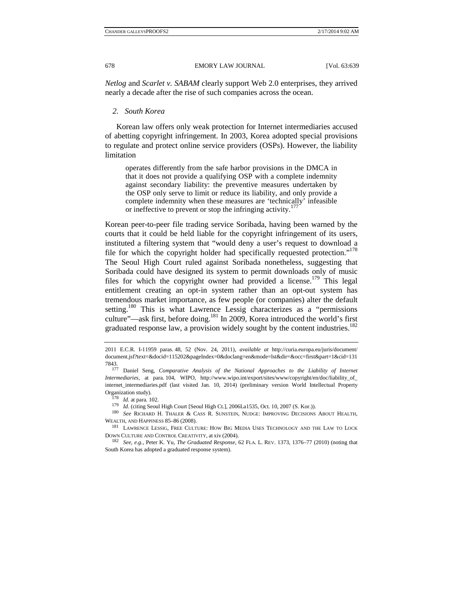*Netlog* and *Scarlet v. SABAM* clearly support Web 2.0 enterprises, they arrived nearly a decade after the rise of such companies across the ocean.

## *2. South Korea*

Korean law offers only weak protection for Internet intermediaries accused of abetting copyright infringement. In 2003, Korea adopted special provisions to regulate and protect online service providers (OSPs). However, the liability limitation

operates differently from the safe harbor provisions in the DMCA in that it does not provide a qualifying OSP with a complete indemnity against secondary liability: the preventive measures undertaken by the OSP only serve to limit or reduce its liability, and only provide a complete indemnity when these measures are 'technically' infeasible or ineffective to prevent or stop the infringing activity.<sup>177</sup>

Korean peer-to-peer file trading service Soribada, having been warned by the courts that it could be held liable for the copyright infringement of its users, instituted a filtering system that "would deny a user's request to download a file for which the copyright holder had specifically requested protection."<sup>178</sup> The Seoul High Court ruled against Soribada nonetheless, suggesting that Soribada could have designed its system to permit downloads only of music files for which the copyright owner had provided a license.<sup>179</sup> This legal entitlement creating an opt-in system rather than an opt-out system has tremendous market importance, as few people (or companies) alter the default setting.<sup>180</sup> This is what Lawrence Lessig characterizes as a "permissions" culture"—ask first, before doing.<sup>181</sup> In 2009, Korea introduced the world's first graduated response law, a provision widely sought by the content industries.<sup>182</sup>

<sup>2011</sup> E.C.R. I-11959 paras. 48, 52 (Nov. 24, 2011), *available at* http://curia.europa.eu/juris/document/ document.jsf?text=&docid=115202&pageIndex=0&doclang=en&mode=lst&dir=&occ=first&part=1&cid=131

<sup>7843. 177</sup> Daniel Seng, *Comparative Analysis of the National Approaches to the Liability of Internet Intermediaries*, at para. 104, WIPO, http://www.wipo.int/export/sites/www/copyright/en/doc/liability\_of\_ internet\_intermediaries.pdf (last visited Jan. 10, 2014) (preliminary version World Intellectual Property

 $\begin{array}{ll} \mbox{Organization study).}\\ & \vspace{0.2cm} \vspace{0.2cm} \begin{array}{ll} \vspace{0.2cm} \text{Organization study.}\\ & \vspace{0.2cm} \vspace{0.2cm} \end{array} \end{array} \begin{array}{ll} \mbox{Area. 102.}\\ \vspace{0.2cm} \vspace{0.2cm} \begin{array}{ll} \vspace{0.2cm} \text{178} & \text{Id. (citing Seoul High Court [Seoul High Ct.], 2006La1535, Oct. 10, 2007 (S. Kor.)).\\ & \vspace{0.2cm} \end{array} \end{array} \begin{array$ WEALTH, AND HAPPINESS 85–86 (2008).  $181$  LAWRENCE LESSIG, FREE CULTURE: HOW BIG MEDIA USES TECHNOLOGY AND THE LAW TO LOCK

DOWN CULTURE AND CONTROL CREATIVITY, at xiv (2004). 182 *See, e.g.*, Peter K. Yu, *The Graduated Response*, 62 FLA. L. REV. 1373, 1376–77 (2010) (noting that

South Korea has adopted a graduated response system).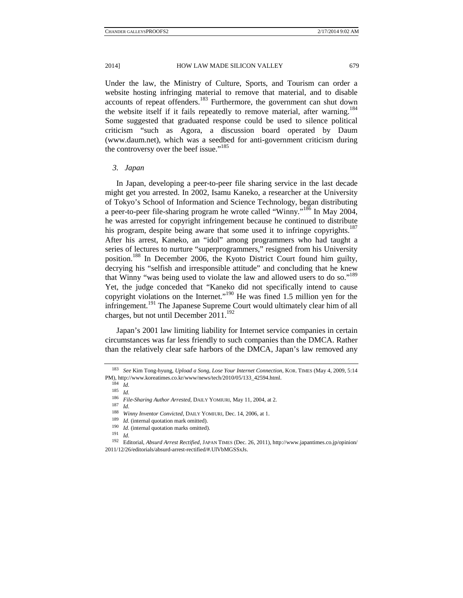Under the law, the Ministry of Culture, Sports, and Tourism can order a website hosting infringing material to remove that material, and to disable accounts of repeat offenders.183 Furthermore, the government can shut down the website itself if it fails repeatedly to remove material, after warning.<sup>184</sup> Some suggested that graduated response could be used to silence political criticism "such as Agora, a discussion board operated by Daum (www.daum.net), which was a seedbed for anti-government criticism during the controversy over the beef issue."<sup>185</sup>

## *3. Japan*

In Japan, developing a peer-to-peer file sharing service in the last decade might get you arrested. In 2002, Isamu Kaneko, a researcher at the University of Tokyo's School of Information and Science Technology, began distributing a peer-to-peer file-sharing program he wrote called "Winny."186 In May 2004, he was arrested for copyright infringement because he continued to distribute his program, despite being aware that some used it to infringe copyrights.<sup>187</sup> After his arrest, Kaneko, an "idol" among programmers who had taught a series of lectures to nurture "superprogrammers," resigned from his University position.188 In December 2006, the Kyoto District Court found him guilty, decrying his "selfish and irresponsible attitude" and concluding that he knew that Winny "was being used to violate the law and allowed users to do so."<sup>189</sup> Yet, the judge conceded that "Kaneko did not specifically intend to cause copyright violations on the Internet."190 He was fined 1.5 million yen for the infringement.191 The Japanese Supreme Court would ultimately clear him of all charges, but not until December  $2011$ .<sup>192</sup>

Japan's 2001 law limiting liability for Internet service companies in certain circumstances was far less friendly to such companies than the DMCA. Rather than the relatively clear safe harbors of the DMCA, Japan's law removed any

<sup>183</sup> *See* Kim Tong-hyung, *Upload a Song, Lose Your Internet Connection*, KOR. TIMES (May 4, 2009, 5:14 PM), http://www.koreatimes.co.kr/www/news/tech/2010/05/133\_42594.html. 184 *Id.*

<sup>185</sup> *Id.*

<sup>186</sup> *File-Sharing Author Arrested*, DAILY YOMIURI, May 11, 2004, at 2. 187 *Id.*

<sup>188</sup> *Winny Inventor Convicted*, DAILY YOMIURI, Dec. 14, 2006, at 1. 189 *Id.* (internal quotation mark omitted). 190 *Id.* (internal quotation marks omitted). 191 *Id.*

<sup>192</sup> Editorial, *Absurd Arrest Rectified*, JAPAN TIMES (Dec. 26, 2011), http://www.japantimes.co.jp/opinion/ 2011/12/26/editorials/absurd-arrest-rectified/#.UlVbMGSSxJs.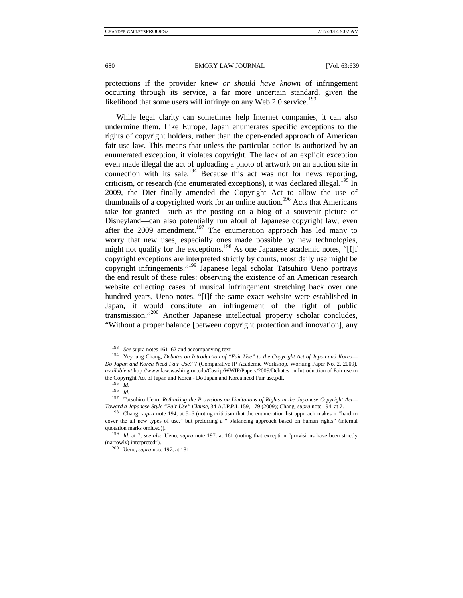protections if the provider knew *or should have known* of infringement occurring through its service, a far more uncertain standard, given the likelihood that some users will infringe on any Web 2.0 service.<sup>193</sup>

While legal clarity can sometimes help Internet companies, it can also undermine them. Like Europe, Japan enumerates specific exceptions to the rights of copyright holders, rather than the open-ended approach of American fair use law. This means that unless the particular action is authorized by an enumerated exception, it violates copyright. The lack of an explicit exception even made illegal the act of uploading a photo of artwork on an auction site in connection with its sale.<sup>194</sup> Because this act was not for news reporting, criticism, or research (the enumerated exceptions), it was declared illegal.<sup>195</sup> In 2009, the Diet finally amended the Copyright Act to allow the use of thumbnails of a copyrighted work for an online auction.<sup>196</sup> Acts that Americans take for granted—such as the posting on a blog of a souvenir picture of Disneyland—can also potentially run afoul of Japanese copyright law, even after the 2009 amendment.<sup>197</sup> The enumeration approach has led many to worry that new uses, especially ones made possible by new technologies, might not qualify for the exceptions.<sup>198</sup> As one Japanese academic notes, "[I]f copyright exceptions are interpreted strictly by courts, most daily use might be copyright infringements."199 Japanese legal scholar Tatsuhiro Ueno portrays the end result of these rules: observing the existence of an American research website collecting cases of musical infringement stretching back over one hundred years, Ueno notes, "[I]f the same exact website were established in Japan, it would constitute an infringement of the right of public transmission."<sup>200</sup> Another Japanese intellectual property scholar concludes, "Without a proper balance [between copyright protection and innovation], any

<sup>&</sup>lt;sup>193</sup> *See* supra notes 161–62 and accompanying text.<br><sup>194</sup> Yeyoung Chang, *Debates on Introduction of "Fair Use" to the Copyright Act of Japan and Korea— Do Japan and Korea Need Fair Use?* 7 (Comparative IP Academic Workshop, Working Paper No. 2, 2009), *available at* http://www.law.washington.edu/Casrip/WWIP/Papers/2009/Debates on Introduction of Fair use to the Copyright Act of Japan and Korea - Do Japan and Korea need Fair use.pdf. 195 *Id.*

<sup>196</sup> *Id.*

<sup>197</sup> Tatsuhiro Ueno, *Rethinking the Provisions on Limitations of Rights in the Japanese Copyright Act—* Toward a Japanese-Style "Fair Use" Clause, 34 A.I.P.P.I. 159, 179 (2009); Chang, supra note 194, at 7.<br><sup>198</sup> Chang, supra note 194, at 5–6 (noting criticism that the enumeration list approach makes it "hard to

cover the all new types of use," but preferring a "[b]alancing approach based on human rights" (internal quotation marks omitted)).<br><sup>199</sup> *Id.* at 7; *see also* Ueno, *supra* note 197, at 161 (noting that exception "provisions have been strictly

<sup>(</sup>narrowly) interpreted"). 200 Ueno, *supra* note 197, at 181.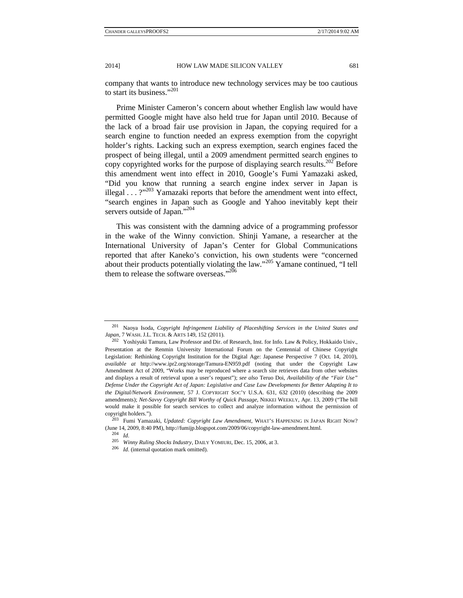company that wants to introduce new technology services may be too cautious to start its business."<sup>201</sup>

Prime Minister Cameron's concern about whether English law would have permitted Google might have also held true for Japan until 2010. Because of the lack of a broad fair use provision in Japan, the copying required for a search engine to function needed an express exemption from the copyright holder's rights. Lacking such an express exemption, search engines faced the prospect of being illegal, until a 2009 amendment permitted search engines to copy copyrighted works for the purpose of displaying search results.<sup>202</sup> Before this amendment went into effect in 2010, Google's Fumi Yamazaki asked, "Did you know that running a search engine index server in Japan is illegal  $\ldots$  ?"<sup>203</sup> Yamazaki reports that before the amendment went into effect, "search engines in Japan such as Google and Yahoo inevitably kept their servers outside of Japan."<sup>204</sup>

This was consistent with the damning advice of a programming professor in the wake of the Winny conviction. Shinji Yamane, a researcher at the International University of Japan's Center for Global Communications reported that after Kaneko's conviction, his own students were "concerned about their products potentially violating the law."205 Yamane continued, "I tell them to release the software overseas."<sup>206</sup>

<sup>201</sup> Naoya Isoda, *Copyright Infringement Liability of Placeshifting Services in the United States and Japan*, 7 WASH.J.L. TECH. & ARTS 149, 152 (2011). 202 Yoshiyuki Tamura, Law Professor and Dir. of Research, Inst. for Info. Law & Policy, Hokkaido Univ.,

Presentation at the Renmin University International Forum on the Centennial of Chinese Copyright Legislation: Rethinking Copyright Institution for the Digital Age: Japanese Perspective 7 (Oct. 14, 2010), *available at* http://www.ipr2.org/storage/Tamura-EN959.pdf (noting that under the Copyright Law Amendment Act of 2009, "Works may be reproduced where a search site retrieves data from other websites and displays a result of retrieval upon a user's request"); *see also* Teruo Doi, *Availability of the "Fair Use" Defense Under the Copyright Act of Japan: Legislative and Case Law Developments for Better Adapting It to the Digital/Network Environment*, 57 J. COPYRIGHT SOC'Y U.S.A. 631, 632 (2010) (describing the 2009 amendments); *Net-Savvy Copyright Bill Worthy of Quick Passage*, NIKKEI WEEKLY, Apr. 13, 2009 ("The bill would make it possible for search services to collect and analyze information without the permission of

copyright holders."). 203 Fumi Yamazaki, *Updated: Copyright Law Amendment*, WHAT'S HAPPENING IN JAPAN RIGHT NOW? (June 14, 2009, 8:40 PM), http://fumijp.blogspot.com/2009/06/copyright-law-amendment.html. 204 *Id.*

<sup>205</sup> *Winny Ruling Shocks Industry*, DAILY YOMIURI, Dec. 15, 2006, at 3. 206 *Id.* (internal quotation mark omitted).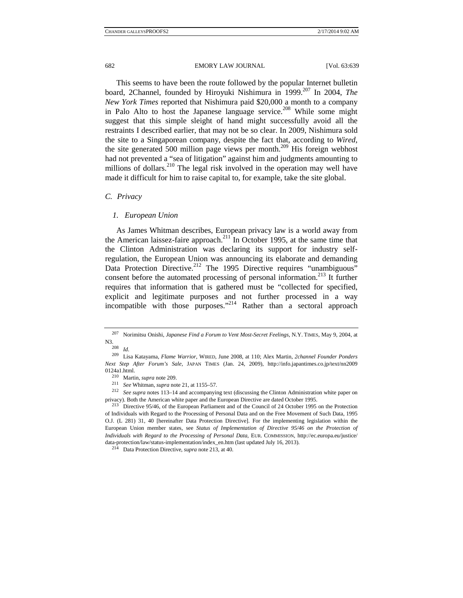This seems to have been the route followed by the popular Internet bulletin board, 2Channel, founded by Hiroyuki Nishimura in 1999.207 In 2004, *The New York Times* reported that Nishimura paid \$20,000 a month to a company in Palo Alto to host the Japanese language service.<sup>208</sup> While some might suggest that this simple sleight of hand might successfully avoid all the restraints I described earlier, that may not be so clear. In 2009, Nishimura sold the site to a Singaporean company, despite the fact that, according to *Wired*, the site generated 500 million page views per month.<sup>209</sup> His foreign webhost had not prevented a "sea of litigation" against him and judgments amounting to millions of dollars.  $210$  The legal risk involved in the operation may well have made it difficult for him to raise capital to, for example, take the site global.

## *C. Privacy*

#### *1. European Union*

As James Whitman describes, European privacy law is a world away from the American laissez-faire approach.<sup>211</sup> In October 1995, at the same time that the Clinton Administration was declaring its support for industry selfregulation, the European Union was announcing its elaborate and demanding Data Protection Directive.<sup>212</sup> The 1995 Directive requires "unambiguous" consent before the automated processing of personal information.213 It further requires that information that is gathered must be "collected for specified, explicit and legitimate purposes and not further processed in a way incompatible with those purposes."<sup>214</sup> Rather than a sectoral approach

<sup>&</sup>lt;sup>207</sup> Norimitsu Onishi, *Japanese Find a Forum to Vent Most-Secret Feelings*, N.Y. TIMES, May 9, 2004, at N3.<br>N3.

N3. 208 *Id.* 209 Lisa Katayama, *Flame Warrior*, WIRED, June 2008, at 110; Alex Martin, *2channel Founder Ponders Next Step After Forum's Sale*, JAPAN TIMES (Jan. 24, 2009), http://info.japantimes.co.jp/text/nn2009 0124a1.html.<br><sup>210</sup> Martin, *supra* note 209.<br><sup>211</sup> *See* Whitman, *supra* note 21, at 1155–57.<br><sup>212</sup> *See supra* notes 113–14 and accompanying text (discussing the Clinton Administration white paper on

privacy). Both the American white paper and the European Directive are dated October 1995.<br><sup>213</sup> Directive 95/46, of the European Parliament and of the Council of 24 October 1995 on the Protection

of Individuals with Regard to the Processing of Personal Data and on the Free Movement of Such Data, 1995 O.J. (L 281) 31, 40 [hereinafter Data Protection Directive]. For the implementing legislation within the European Union member states, see *Status of Implementation of Directive 95/46 on the Protection of Individuals with Regard to the Processing of Personal Data*, EUR. COMMISSION, http://ec.europa.eu/justice/ data-protection/law/status-implementation/index\_en.htm (last updated July 16, 2013). 214 Data Protection Directive, *supra* note 213, at 40.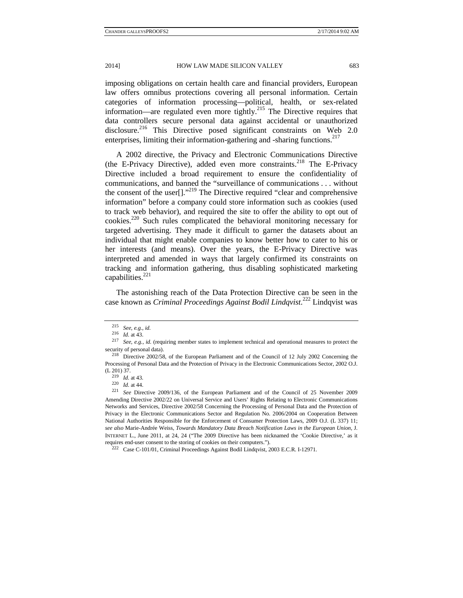imposing obligations on certain health care and financial providers, European law offers omnibus protections covering all personal information. Certain categories of information processing—political, health, or sex-related information—are regulated even more tightly.<sup>215</sup> The Directive requires that data controllers secure personal data against accidental or unauthorized disclosure.<sup>216</sup> This Directive posed significant constraints on Web 2.0 enterprises, limiting their information-gathering and -sharing functions.<sup>217</sup>

A 2002 directive, the Privacy and Electronic Communications Directive (the E-Privacy Directive), added even more constraints.<sup>218</sup> The E-Privacy Directive included a broad requirement to ensure the confidentiality of communications, and banned the "surveillance of communications . . . without the consent of the user[]."<sup>219</sup> The Directive required "clear and comprehensive information" before a company could store information such as cookies (used to track web behavior), and required the site to offer the ability to opt out of cookies.220 Such rules complicated the behavioral monitoring necessary for targeted advertising. They made it difficult to garner the datasets about an individual that might enable companies to know better how to cater to his or her interests (and means). Over the years, the E-Privacy Directive was interpreted and amended in ways that largely confirmed its constraints on tracking and information gathering, thus disabling sophisticated marketing capabilities.<sup>221</sup>

The astonishing reach of the Data Protection Directive can be seen in the case known as *Criminal Proceedings Against Bodil Lindqvist*. 222 Lindqvist was

<sup>215</sup> *See, e.g.*, *id.*

<sup>&</sup>lt;sup>217</sup> *See, e.g., id.* (requiring member states to implement technical and operational measures to protect the security of personal data).<br><sup>218</sup> Directive 2002/58, of the European Parliament and of the Council of 12 July 2002 Concerning the

Processing of Personal Data and the Protection of Privacy in the Electronic Communications Sector, 2002 O.J.

<sup>(</sup>L 201) 37. 219 *Id.* at 43. 220 *Id.* at 44. 221 *See* Directive 2009/136, of the European Parliament and of the Council of 25 November 2009 Amending Directive 2002/22 on Universal Service and Users' Rights Relating to Electronic Communications Networks and Services, Directive 2002/58 Concerning the Processing of Personal Data and the Protection of Privacy in the Electronic Communications Sector and Regulation No. 2006/2004 on Cooperation Between National Authorities Responsible for the Enforcement of Consumer Protection Laws, 2009 O.J. (L 337) 11; *see also* Marie-Andrée Weiss, *Towards Mandatory Data Breach Notification Laws in the European Union*, J. INTERNET L., June 2011, at 24, 24 ("The 2009 Directive has been nicknamed the 'Cookie Directive,' as it requires end-user consent to the storing of cookies on their computers."). 222 Case C-101/01, Criminal Proceedings Against Bodil Lindqvist, 2003 E.C.R. I-12971.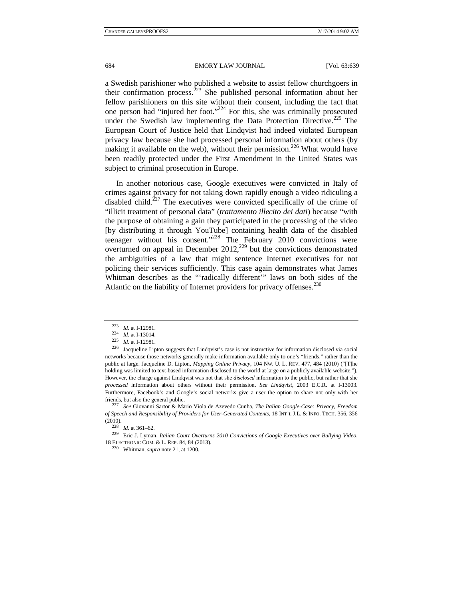a Swedish parishioner who published a website to assist fellow churchgoers in their confirmation process.<sup>223</sup> She published personal information about her fellow parishioners on this site without their consent, including the fact that one person had "injured her foot."<sup>224</sup> For this, she was criminally prosecuted under the Swedish law implementing the Data Protection Directive.<sup>225</sup> The European Court of Justice held that Lindqvist had indeed violated European privacy law because she had processed personal information about others (by making it available on the web), without their permission.<sup>226</sup> What would have been readily protected under the First Amendment in the United States was subject to criminal prosecution in Europe.

In another notorious case, Google executives were convicted in Italy of crimes against privacy for not taking down rapidly enough a video ridiculing a disabled child.<sup>227</sup> The executives were convicted specifically of the crime of "illicit treatment of personal data" (*trattamento illecito dei dati*) because "with the purpose of obtaining a gain they participated in the processing of the video [by distributing it through YouTube] containing health data of the disabled teenager without his consent."228 The February 2010 convictions were overturned on appeal in December  $2012<sub>1</sub><sup>229</sup>$  but the convictions demonstrated the ambiguities of a law that might sentence Internet executives for not policing their services sufficiently. This case again demonstrates what James Whitman describes as the "'radically different'" laws on both sides of the Atlantic on the liability of Internet providers for privacy offenses.<sup>230</sup>

*of Speech and Responsibility of Providers for User-Generated Contents*, 18 INT'L J.L. & INFO. TECH. 356, 356

(2010). 228 *Id.* at 361–62. 229 Eric J. Lyman, *Italian Court Overturns 2010 Convictions of Google Executives over Bullying Video*, 18 ELECTRONIC COM. & L. REP. 84, 84 (2013). 230 Whitman, *supra* note 21, at 1200.

<sup>223</sup> *Id.* at I-12981.<br>
<sup>224</sup> *Id.* at I-13014.<br>
<sup>225</sup> *Id.* at I-12981.<br>
<sup>226</sup> Jacqueline Lipton suggests that Lindqvist's case is not instructive for information disclosed via social networks because those networks generally make information available only to one's "friends," rather than the public at large. Jacqueline D. Lipton, *Mapping Online Privacy*, 104 NW. U. L. REV. 477, 484 (2010) ("[T]he holding was limited to text-based information disclosed to the world at large on a publicly available website."). However, the charge against Lindqvist was not that she *disclosed* information to the public, but rather that she *processed* information about others without their permission. *See Lindqvist*, 2003 E.C.R. at I-13003. Furthermore, Facebook's and Google's social networks give a user the option to share not only with her friends, but also the general public. 227 *See* Giovanni Sartor & Mario Viola de Azevedo Cunha, *The Italian Google-Case: Privacy, Freedom*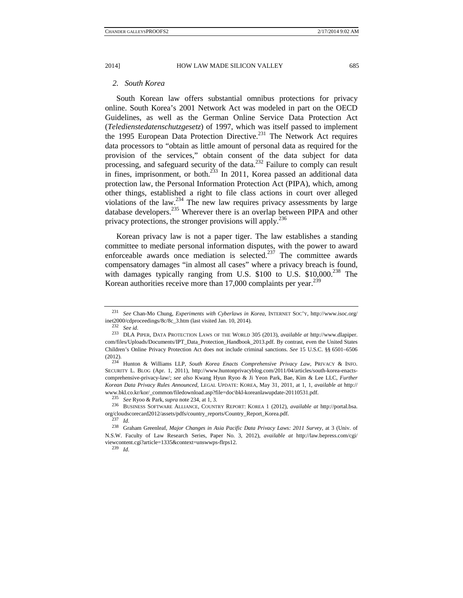## *2. South Korea*

South Korean law offers substantial omnibus protections for privacy online. South Korea's 2001 Network Act was modeled in part on the OECD Guidelines, as well as the German Online Service Data Protection Act (*Teledienstedatenschutzgesetz*) of 1997, which was itself passed to implement the 1995 European Data Protection Directive.<sup>231</sup> The Network Act requires data processors to "obtain as little amount of personal data as required for the provision of the services," obtain consent of the data subject for data processing, and safeguard security of the data.<sup>232</sup> Failure to comply can result in fines, imprisonment, or both.<sup>233</sup> In 2011, Korea passed an additional data protection law, the Personal Information Protection Act (PIPA), which, among other things, established a right to file class actions in court over alleged violations of the law.234 The new law requires privacy assessments by large database developers.235 Wherever there is an overlap between PIPA and other privacy protections, the stronger provisions will apply.<sup>236</sup>

Korean privacy law is not a paper tiger. The law establishes a standing committee to mediate personal information disputes, with the power to award enforceable awards once mediation is selected. $237$  The committee awards compensatory damages "in almost all cases" where a privacy breach is found, with damages typically ranging from U.S.  $$100$  to U.S.  $$10,000.<sup>238</sup>$  The Korean authorities receive more than 17,000 complaints per year.<sup>239</sup>

<sup>231</sup> *See* Chan-Mo Chung, *Experiments with Cyberlaws in Korea*, INTERNET SOC'Y, http://www.isoc.org/ inet2000/cdproceedings/8c/8c\_3.htm (last visited Jan. 10, 2014). 232 *See id.*

<sup>233</sup> DLA PIPER, DATA PROTECTION LAWS OF THE WORLD 305 (2013), *available at* http://www.dlapiper. com/files/Uploads/Documents/IPT\_Data\_Protection\_Handbook\_2013.pdf. By contrast, even the United States Children's Online Privacy Protection Act does not include criminal sanctions. *See* 15 U.S.C. §§ 6501–6506 (2012). 234 Hunton & Williams LLP, *South Korea Enacts Comprehensive Privacy Law*, PRIVACY & INFO.

SECURITY L. BLOG (Apr. 1, 2011), http://www.huntonprivacyblog.com/2011/04/articles/south-korea-enactscomprehensive-privacy-law/; *see also* Kwang Hyun Ryoo & Ji Yeon Park, Bae, Kim & Lee LLC, *Further Korean Data Privacy Rules Announced*, LEGAL UPDATE: KOREA, May 31, 2011, at 1, 1, *available at* http://

www.bkl.co.kr/kor/\_common/filedownload.asp?file=doc\bkl-koreanlawupdate-20110531.pdf.<br>
<sup>235</sup> See Ryoo & Park, *supra* note 234, at 1, 3.<br>
<sup>236</sup> BUSINESS SOFTWARE ALLIANCE, COUNTRY REPORT: KOREA 1 (2012), *available at htt* org/cloudscorecard2012/assets/pdfs/country\_reports/Country\_Report\_Korea.pdf. 237 *Id.*

<sup>238</sup> Graham Greenleaf, *Major Changes in Asia Pacific Data Privacy Laws: 2011 Survey*, at 3 (Univ. of N.S.W. Faculty of Law Research Series, Paper No. 3, 2012), *available at* http://law.bepress.com/cgi/ viewcontent.cgi?article=1335&context=unswwps-flrps12. 239 *Id.*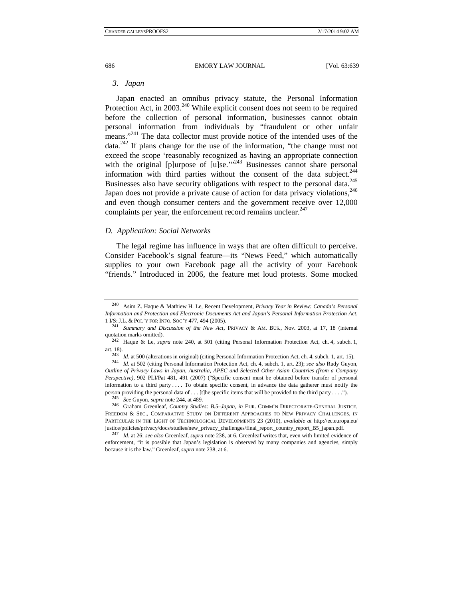## *3. Japan*

Japan enacted an omnibus privacy statute, the Personal Information Protection Act, in  $2003$ <sup>240</sup> While explicit consent does not seem to be required before the collection of personal information, businesses cannot obtain personal information from individuals by "fraudulent or other unfair means."<sup>241</sup> The data collector must provide notice of the intended uses of the data.242 If plans change for the use of the information, "the change must not exceed the scope 'reasonably recognized as having an appropriate connection with the original [p]urpose of [u]se.'"<sup>243</sup> Businesses cannot share personal information with third parties without the consent of the data subject.<sup>244</sup> Businesses also have security obligations with respect to the personal data.<sup>245</sup> Japan does not provide a private cause of action for data privacy violations,  $246$ and even though consumer centers and the government receive over 12,000 complaints per year, the enforcement record remains unclear.<sup>247</sup>

## *D. Application: Social Networks*

The legal regime has influence in ways that are often difficult to perceive. Consider Facebook's signal feature—its "News Feed," which automatically supplies to your own Facebook page all the activity of your Facebook "friends." Introduced in 2006, the feature met loud protests. Some mocked

<sup>240</sup> Asim Z. Haque & Mathiew H. Le, Recent Development, *Privacy Year in Review: Canada's Personal Information and Protection and Electronic Documents Act and Japan's Personal Information Protection Act*, 1 I/S:J.L. & POL'Y FOR INFO. SOC'Y 477, 494 (2005). 241 *Summary and Discussion of the New Act*, PRIVACY & AM. BUS., Nov. 2003, at 17, 18 (internal

quotation marks omitted).<br><sup>242</sup> Haque & Le, *supra* note 240, at 501 (citing Personal Information Protection Act, ch. 4, subch. 1,

art. 18).<br><sup>243</sup> *Id.* at 500 (alterations in original) (citing Personal Information Protection Act, ch. 4, subch. 1, art. 15).<br><sup>244</sup> *Id.* at 502 (citing Personal Information Protection Act, ch. 4, subch. 1, art. 23); *see* 

*Outline of Privacy Laws in Japan, Australia, APEC and Selected Other Asian Countries (from a Company Perspective)*, 902 PLI/Pat 481, 491 (2007) ("Specific consent must be obtained before transfer of personal information to a third party . . . . To obtain specific consent, in advance the data gatherer must notify the person providing the personal data of . . . [t]he specific items that will be provided to the third party . . . .").<br><sup>245</sup> See Guyon, *supra* note 244, at 489.<br><sup>246</sup> Graham Greenleaf, *Country Studies: B.5–Japan, in* EUR.

FREEDOM & SEC., COMPARATIVE STUDY ON DIFFERENT APPROACHES TO NEW PRIVACY CHALLENGES, IN PARTICULAR IN THE LIGHT OF TECHNOLOGICAL DEVELOPMENTS 23 (2010), *available at* http://ec.europa.eu/

justice/policies/privacy/docs/studies/new\_privacy\_challenges/final\_report\_country\_report\_B5\_japan.pdf.<br><sup>247</sup> Id. at 26; see also Greenleaf, supra note 238, at 6. Greenleaf writes that, even with limited evidence of enforcement, "it is possible that Japan's legislation is observed by many companies and agencies, simply because it is the law." Greenleaf, *supra* note 238, at 6.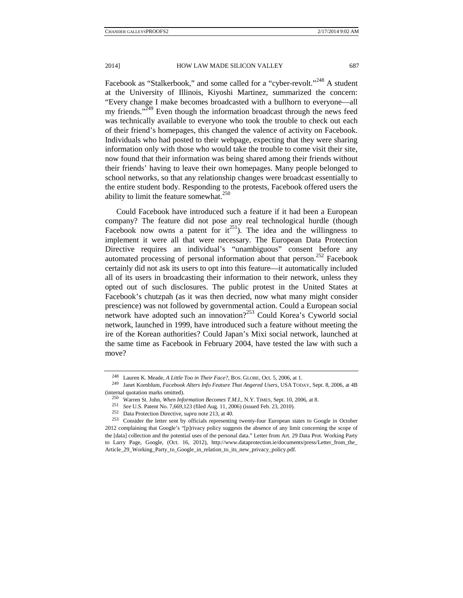Facebook as "Stalkerbook," and some called for a "cyber-revolt."<sup>248</sup> A student at the University of Illinois, Kiyoshi Martinez, summarized the concern: "Every change I make becomes broadcasted with a bullhorn to everyone—all my friends."<sup> $249$ </sup> Even though the information broadcast through the news feed was technically available to everyone who took the trouble to check out each of their friend's homepages, this changed the valence of activity on Facebook. Individuals who had posted to their webpage, expecting that they were sharing information only with those who would take the trouble to come visit their site, now found that their information was being shared among their friends without their friends' having to leave their own homepages. Many people belonged to school networks, so that any relationship changes were broadcast essentially to the entire student body. Responding to the protests, Facebook offered users the ability to limit the feature somewhat. $250$ 

Could Facebook have introduced such a feature if it had been a European company? The feature did not pose any real technological hurdle (though Facebook now owns a patent for  $it^{251}$ ). The idea and the willingness to implement it were all that were necessary. The European Data Protection Directive requires an individual's "unambiguous" consent before any automated processing of personal information about that person.<sup>252</sup> Facebook certainly did not ask its users to opt into this feature—it automatically included all of its users in broadcasting their information to their network, unless they opted out of such disclosures. The public protest in the United States at Facebook's chutzpah (as it was then decried, now what many might consider prescience) was not followed by governmental action. Could a European social network have adopted such an innovation?<sup>253</sup> Could Korea's Cyworld social network, launched in 1999, have introduced such a feature without meeting the ire of the Korean authorities? Could Japan's Mixi social network, launched at the same time as Facebook in February 2004, have tested the law with such a move?

<sup>248</sup> Lauren K. Meade, *A Little Too in Their Face?*, BOS. GLOBE, Oct. 5, 2006, at 1. 249 Janet Kornblum, *Facebook Alters Info Feature That Angered Users*, USA TODAY, Sept. 8, 2006, at 4B (internal quotation marks omitted).<br>
<sup>250</sup> Warren St. John, *When Information Becomes T.M.I.*, N.Y. TIMES, Sept. 10, 2006, at 8.<br>
<sup>251</sup> See U.S. Patent No. 7,669,123 (filed Aug. 11, 2006) (issued Feb. 23, 2010).<br>
<sup>252</sup> Da

<sup>2012</sup> complaining that Google's "[p]rivacy policy suggests the absence of any limit concerning the scope of the [data] collection and the potential uses of the personal data." Letter from Art. 29 Data Prot. Working Party to Larry Page, Google, (Oct. 16, 2012), http://www.dataprotection.ie/documents/press/Letter\_from\_the\_ Article\_29\_Working\_Party\_to\_Google\_in\_relation\_to\_its\_new\_privacy\_policy.pdf.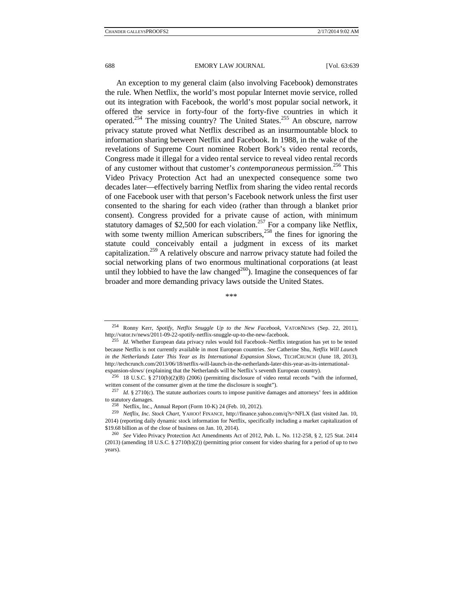An exception to my general claim (also involving Facebook) demonstrates the rule. When Netflix, the world's most popular Internet movie service, rolled out its integration with Facebook, the world's most popular social network, it offered the service in forty-four of the forty-five countries in which it operated.<sup>254</sup> The missing country? The United States.<sup>255</sup> An obscure, narrow privacy statute proved what Netflix described as an insurmountable block to information sharing between Netflix and Facebook. In 1988, in the wake of the revelations of Supreme Court nominee Robert Bork's video rental records, Congress made it illegal for a video rental service to reveal video rental records of any customer without that customer's *contemporaneous* permission.256 This Video Privacy Protection Act had an unexpected consequence some two decades later—effectively barring Netflix from sharing the video rental records of one Facebook user with that person's Facebook network unless the first user consented to the sharing for each video (rather than through a blanket prior consent). Congress provided for a private cause of action, with minimum statutory damages of \$2,500 for each violation.<sup>257</sup> For a company like Netflix, with some twenty million American subscribers, $258$  the fines for ignoring the statute could conceivably entail a judgment in excess of its market capitalization.259 A relatively obscure and narrow privacy statute had foiled the social networking plans of two enormous multinational corporations (at least until they lobbied to have the law changed<sup>260</sup>). Imagine the consequences of far broader and more demanding privacy laws outside the United States.

\*\*\*

254 Ronny Kerr, *Spotify, Netflix Snuggle Up to the New Facebook*, VATORNEWS (Sep. 22, 2011),

http://vator.tv/news/2011-09-22-spotify-netflix-snuggle-up-to-the-new-facebook. 255 *Id.* Whether European data privacy rules would foil Facebook–Netflix integration has yet to be tested because Netflix is not currently available in most European countries. *See* Catherine Shu, *Netflix Will Launch in the Netherlands Later This Year as Its International Expansion Slows*, TECHCRUNCH (June 18, 2013), http://techcrunch.com/2013/06/18/netflix-will-launch-in-the-netherlands-later-this-year-as-its-international-

expansion-slows/ (explaining that the Netherlands will be Netflix's seventh European country).<br><sup>256</sup> 18 U.S.C. § 2710(b)(2)(B) (2006) (permitting disclosure of video rental records "with the informed,

written consent of the consumer given at the time the disclosure is sought").<br><sup>257</sup> *Id.* § 2710(c). The statute authorizes courts to impose punitive damages and attorneys' fees in addition to statutory damages. 258 Netflix, Inc., Annual Report (Form 10-K) 24 (Feb. 10, 2012). 259 *Netflix, Inc. Stock Chart*, YAHOO! FINANCE, http://finance.yahoo.com/q?s=NFLX (last visited Jan. 10,

<sup>2014) (</sup>reporting daily dynamic stock information for Netflix, specifically including a market capitalization of \$19.68 billion as of the close of business on Jan. 10, 2014). 260 *See* Video Privacy Protection Act Amendments Act of 2012, Pub. L. No. 112-258, § 2, 125 Stat. 2414

<sup>(2013) (</sup>amending 18 U.S.C. § 2710(b)(2)) (permitting prior consent for video sharing for a period of up to two years).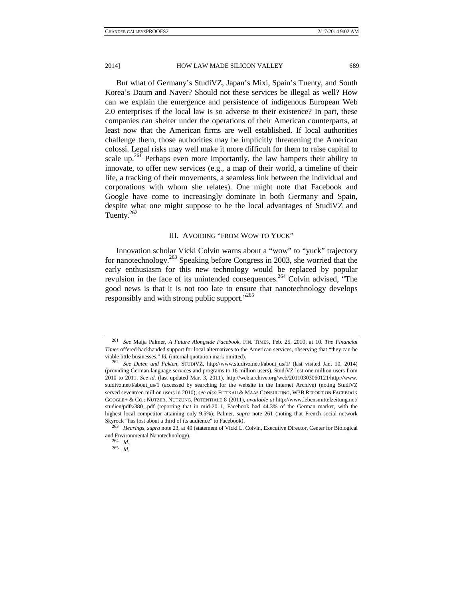But what of Germany's StudiVZ, Japan's Mixi, Spain's Tuenty, and South Korea's Daum and Naver? Should not these services be illegal as well? How can we explain the emergence and persistence of indigenous European Web 2.0 enterprises if the local law is so adverse to their existence? In part, these companies can shelter under the operations of their American counterparts, at least now that the American firms are well established. If local authorities challenge them, those authorities may be implicitly threatening the American colossi. Legal risks may well make it more difficult for them to raise capital to scale up.<sup>261</sup> Perhaps even more importantly, the law hampers their ability to innovate, to offer new services (e.g., a map of their world, a timeline of their life, a tracking of their movements, a seamless link between the individual and corporations with whom she relates). One might note that Facebook and Google have come to increasingly dominate in both Germany and Spain, despite what one might suppose to be the local advantages of StudiVZ and Tuenty. $262$ 

## III. AVOIDING "FROM WOW TO YUCK"

Innovation scholar Vicki Colvin warns about a "wow" to "yuck" trajectory for nanotechnology.263 Speaking before Congress in 2003, she worried that the early enthusiasm for this new technology would be replaced by popular revulsion in the face of its unintended consequences.264 Colvin advised, "The good news is that it is not too late to ensure that nanotechnology develops responsibly and with strong public support."<sup>265</sup>

<sup>261</sup> *See* Maija Palmer, *A Future Alongside Facebook*, FIN. TIMES, Feb. 25, 2010, at 10. *The Financial Times* offered backhanded support for local alternatives to the American services, observing that "they can be viable little businesses." *Id.* (internal quotation mark omitted). 262 *See Daten und Fakten*, STUDIVZ, http://www.studivz.net/l/about\_us/1/ (last visited Jan. 10, 2014)

<sup>(</sup>providing German language services and programs to 16 million users). StudiVZ lost one million users from 2010 to 2011. *See id.* (last updated Mar. 3, 2011), http://web.archive.org/web/20110303060121/http://www. studivz.net/l/about\_us/1 (accessed by searching for the website in the Internet Archive) (noting StudiVZ served seventeen million users in 2010); *see also* FITTKAU & MAAß CONSULTING, W3B REPORT ON FACEBOOK GOOGLE+ & CO.: NUTZER, NUTZUNG, POTENTIALE 8 (2011), *available at* http://www.lebensmittelzeitung.net/ studien/pdfs/380\_.pdf (reporting that in mid-2011, Facebook had 44.3% of the German market, with the highest local competitor attaining only 9.5%); Palmer, *supra* note 261 (noting that French social network Skyrock "has lost about a third of its audience" to Facebook). 263 *Hearings*, *supra* note 23, at 49 (statement of Vicki L. Colvin, Executive Director, Center for Biological

and Environmental Nanotechnology). 264 *Id.* 

<sup>265</sup> *Id.*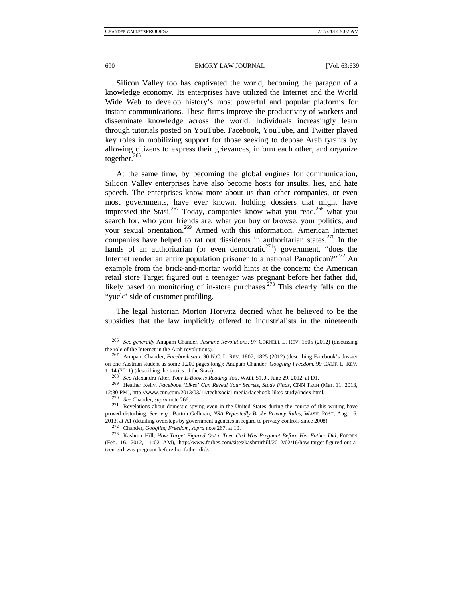Silicon Valley too has captivated the world, becoming the paragon of a knowledge economy. Its enterprises have utilized the Internet and the World Wide Web to develop history's most powerful and popular platforms for instant communications. These firms improve the productivity of workers and disseminate knowledge across the world. Individuals increasingly learn through tutorials posted on YouTube. Facebook, YouTube, and Twitter played key roles in mobilizing support for those seeking to depose Arab tyrants by allowing citizens to express their grievances, inform each other, and organize together. $266$ 

At the same time, by becoming the global engines for communication, Silicon Valley enterprises have also become hosts for insults, lies, and hate speech. The enterprises know more about us than other companies, or even most governments, have ever known, holding dossiers that might have impressed the Stasi.<sup>267</sup> Today, companies know what you read,<sup>268</sup> what you search for, who your friends are, what you buy or browse, your politics, and your sexual orientation.<sup>269</sup> Armed with this information, American Internet companies have helped to rat out dissidents in authoritarian states.<sup>270</sup> In the hands of an authoritarian (or even democratic<sup>271</sup>) government, "does the Internet render an entire population prisoner to a national Panopticon?"<sup>272</sup> An example from the brick-and-mortar world hints at the concern: the American retail store Target figured out a teenager was pregnant before her father did, likely based on monitoring of in-store purchases.<sup> $\frac{273}{3}$ </sup> This clearly falls on the "yuck" side of customer profiling.

The legal historian Morton Horwitz decried what he believed to be the subsidies that the law implicitly offered to industrialists in the nineteenth

<sup>266</sup> *See generally* Anupam Chander, *Jasmine Revolutions*, 97 CORNELL L. REV. 1505 (2012) (discussing the role of the Internet in the Arab revolutions). 267 Anupam Chander, *Facebookistan*, 90 N.C. L. REV. 1807, 1825 (2012) (describing Facebook's dossier

on one Austrian student as some 1,200 pages long); Anupam Chander, *Googling Freedom*, 99 CALIF. L. REV.

<sup>1, 14 (2011) (</sup>describing the tactics of the Stasi).<br><sup>268</sup> See Alexandra Alter, *Your E-Book Is Reading You*, WALL ST. J., June 29, 2012, at D1.<br><sup>269</sup> Heather Kelly, *Facebook 'Likes' Can Reveal Your Secrets, Study Finds*,

<sup>12:30</sup> PM), http://www.cnn.com/2013/03/11/tech/social-media/facebook-likes-study/index.html.<br><sup>270</sup> See Chander, supra note 266.<br><sup>271</sup> Revelations about domestic spying even in the United States during the course of this wr proved disturbing. *See, e.g.*, Barton Gellman, *NSA Repeatedly Broke Privacy Rules*, WASH. POST, Aug. 16,

<sup>2013,</sup> at A1 (detailing oversteps by government agencies in regard to privacy controls since 2008).<br><sup>272</sup> Chander, *Googling Freedom, supra* note 267, at 10.<br><sup>273</sup> Kashmir Hill, *How Target Figured Out a Teen Girl Was Pregn* (Feb. 16, 2012, 11:02 AM), http://www.forbes.com/sites/kashmirhill/2012/02/16/how-target-figured-out-ateen-girl-was-pregnant-before-her-father-did/.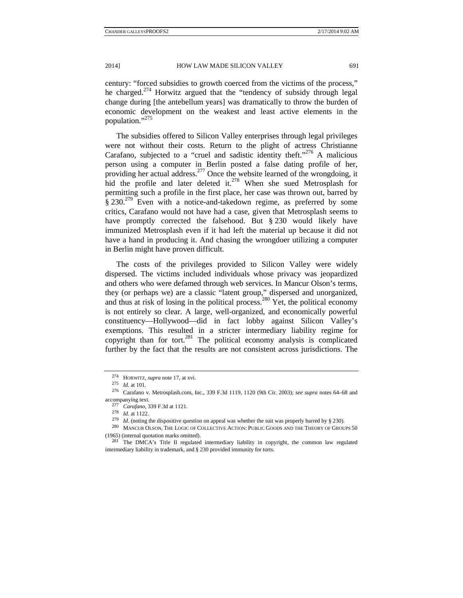century: "forced subsidies to growth coerced from the victims of the process," he charged.<sup>274</sup> Horwitz argued that the "tendency of subsidy through legal change during [the antebellum years] was dramatically to throw the burden of economic development on the weakest and least active elements in the population."<sup>275</sup>

The subsidies offered to Silicon Valley enterprises through legal privileges were not without their costs. Return to the plight of actress Christianne Carafano, subjected to a "cruel and sadistic identity theft."<sup>276</sup> A malicious person using a computer in Berlin posted a false dating profile of her, providing her actual address.<sup>277</sup> Once the website learned of the wrongdoing, it hid the profile and later deleted it.<sup>278</sup> When she sued Metrosplash for permitting such a profile in the first place, her case was thrown out, barred by § 230.<sup>279</sup> Even with a notice-and-takedown regime, as preferred by some critics, Carafano would not have had a case, given that Metrosplash seems to have promptly corrected the falsehood. But § 230 would likely have immunized Metrosplash even if it had left the material up because it did not have a hand in producing it. And chasing the wrongdoer utilizing a computer in Berlin might have proven difficult.

The costs of the privileges provided to Silicon Valley were widely dispersed. The victims included individuals whose privacy was jeopardized and others who were defamed through web services. In Mancur Olson's terms, they (or perhaps we) are a classic "latent group," dispersed and unorganized, and thus at risk of losing in the political process.<sup>280</sup> Yet, the political economy is not entirely so clear. A large, well-organized, and economically powerful constituency—Hollywood—did in fact lobby against Silicon Valley's exemptions. This resulted in a stricter intermediary liability regime for copyright than for tort.<sup>281</sup> The political economy analysis is complicated further by the fact that the results are not consistent across jurisdictions. The

<sup>274</sup> HORWITZ, *supra* note 17, at xvi. 275 *Id.* at 101. 276 Carafano v. Metrosplash.com, Inc., 339 F.3d 1119, 1120 (9th Cir. 2003); *see supra* notes 64–68 and accompanying text.<br>
<sup>277</sup> *Carafano*, 339 F.3d at 1121.<br>
<sup>278</sup> *Id.* at 1122.<br>
<sup>279</sup> *Id.* (noting the dispositive question on appeal was whether the suit was properly barred by § 230).<br>
<sup>279</sup> *Id.* (noting the dispositiv

<sup>(1965) (</sup>internal quotation marks omitted).  $^{281}$  The DMCA's Title II regulated intermediary liability in copyright, the common law regulated

intermediary liability in trademark, and § 230 provided immunity for torts.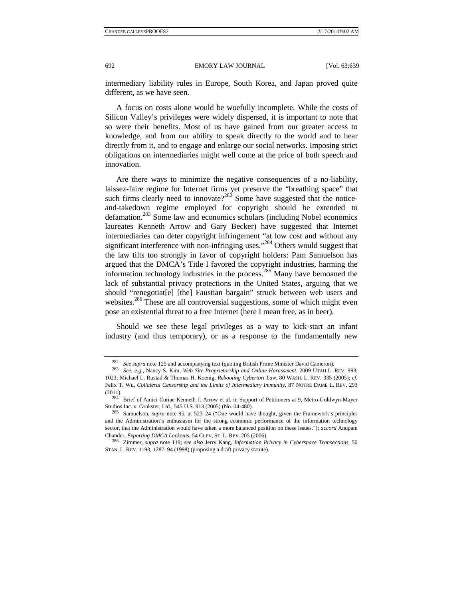intermediary liability rules in Europe, South Korea, and Japan proved quite different, as we have seen.

A focus on costs alone would be woefully incomplete. While the costs of Silicon Valley's privileges were widely dispersed, it is important to note that so were their benefits. Most of us have gained from our greater access to knowledge, and from our ability to speak directly to the world and to hear directly from it, and to engage and enlarge our social networks. Imposing strict obligations on intermediaries might well come at the price of both speech and innovation.

Are there ways to minimize the negative consequences of a no-liability, laissez-faire regime for Internet firms yet preserve the "breathing space" that such firms clearly need to innovate?<sup>282</sup> Some have suggested that the noticeand-takedown regime employed for copyright should be extended to defamation.283 Some law and economics scholars (including Nobel economics laureates Kenneth Arrow and Gary Becker) have suggested that Internet intermediaries can deter copyright infringement "at low cost and without any significant interference with non-infringing uses."<sup>284</sup> Others would suggest that the law tilts too strongly in favor of copyright holders: Pam Samuelson has argued that the DMCA's Title I favored the copyright industries, harming the information technology industries in the process.<sup>285</sup> Many have bemoaned the lack of substantial privacy protections in the United States, arguing that we should "renegotiat[e] [the] Faustian bargain" struck between web users and websites.<sup>286</sup> These are all controversial suggestions, some of which might even pose an existential threat to a free Internet (here I mean free, as in beer).

Should we see these legal privileges as a way to kick-start an infant industry (and thus temporary), or as a response to the fundamentally new

<sup>282</sup> *See supra* note 125 and accompanying text (quoting British Prime Minister David Cameron). 283 *See, e.g.*, Nancy S. Kim, *Web Site Proprietorship and Online Harassment*, 2009 UTAH L. REV. 993, 1023; Michael L. Rustad & Thomas H. Koenig, *Rebooting Cybertort Law*, 80 WASH. L. REV. 335 (2005); *cf.* Felix T. Wu, *Collateral Censorship and the Limits of Intermediary Immunity*, 87 NOTRE DAME L. REV. 293

<sup>(2011). 284</sup> Brief of Amici Curiae Kenneth J. Arrow et al. in Support of Petitioners at 9, Metro-Goldwyn-Mayer Studios Inc. v. Grokster, Ltd., 545 U.S. 913 (2005) (No. 04-480). 285 Samuelson, *supra* note 95, at 523–24 ("One would have thought, given the Framework's principles

and the Administration's enthusiasm for the strong economic performance of the information technology sector, that the Administration would have taken a more balanced position on these issues."); *accord* Anupam Chander, *Exporting DMCA Lockouts*, 54 CLEV. ST. L. REV. 205 (2006). 286 Zimmer, *supra* note 119; *see also* Jerry Kang, *Information Privacy in Cyberspace Transactions*, 50

STAN. L. REV. 1193, 1287–94 (1998) (proposing a draft privacy statute).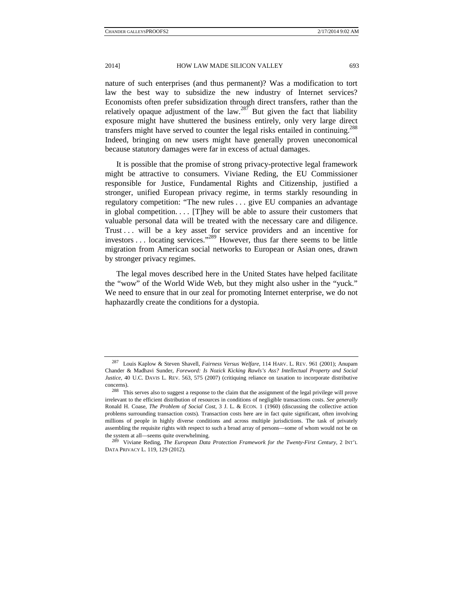nature of such enterprises (and thus permanent)? Was a modification to tort law the best way to subsidize the new industry of Internet services? Economists often prefer subsidization through direct transfers, rather than the relatively opaque adjustment of the law.<sup>287</sup> But given the fact that liability exposure might have shuttered the business entirely, only very large direct transfers might have served to counter the legal risks entailed in continuing.<sup>288</sup> Indeed, bringing on new users might have generally proven uneconomical because statutory damages were far in excess of actual damages.

It is possible that the promise of strong privacy-protective legal framework might be attractive to consumers. Viviane Reding, the EU Commissioner responsible for Justice, Fundamental Rights and Citizenship, justified a stronger, unified European privacy regime, in terms starkly resounding in regulatory competition: "The new rules . . . give EU companies an advantage in global competition. . . . [T]hey will be able to assure their customers that valuable personal data will be treated with the necessary care and diligence. Trust . . . will be a key asset for service providers and an incentive for investors . . . locating services."289 However, thus far there seems to be little migration from American social networks to European or Asian ones, drawn by stronger privacy regimes.

The legal moves described here in the United States have helped facilitate the "wow" of the World Wide Web, but they might also usher in the "yuck." We need to ensure that in our zeal for promoting Internet enterprise, we do not haphazardly create the conditions for a dystopia.

<sup>287</sup> Louis Kaplow & Steven Shavell, *Fairness Versus Welfare*, 114 HARV. L. REV. 961 (2001); Anupam Chander & Madhavi Sunder, *Foreword: Is Nozick Kicking Rawls's Ass? Intellectual Property and Social Justice*, 40 U.C. DAVIS L. REV. 563, 575 (2007) (critiquing reliance on taxation to incorporate distributive

concerns). 288 This serves also to suggest a response to the claim that the assignment of the legal privilege will prove irrelevant to the efficient distribution of resources in conditions of negligible transactions costs. *See generally*  Ronald H. Coase, *The Problem of Social Cost*, 3 J. L. & ECON. 1 (1960) (discussing the collective action problems surrounding transaction costs). Transaction costs here are in fact quite significant, often involving millions of people in highly diverse conditions and across multiple jurisdictions. The task of privately assembling the requisite rights with respect to such a broad array of persons—some of whom would not be on the system at all—seems quite overwhelming. 289 Viviane Reding, *The European Data Protection Framework for the Twenty-First Century*, 2 INT'L

DATA PRIVACY L. 119, 129 (2012).